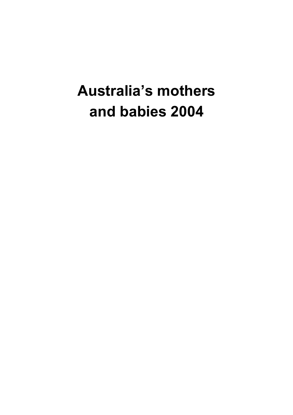## **Australia's mothers and babies 2004**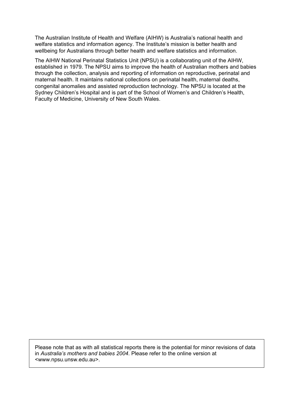The Australian Institute of Health and Welfare (AIHW) is Australia's national health and welfare statistics and information agency. The Institute's mission is better health and wellbeing for Australians through better health and welfare statistics and information.

The AIHW National Perinatal Statistics Unit (NPSU) is a collaborating unit of the AIHW, established in 1979. The NPSU aims to improve the health of Australian mothers and babies through the collection, analysis and reporting of information on reproductive, perinatal and maternal health. It maintains national collections on perinatal health, maternal deaths, congenital anomalies and assisted reproduction technology. The NPSU is located at the Sydney Children's Hospital and is part of the School of Women's and Children's Health, Faculty of Medicine, University of New South Wales.

Please note that as with all statistical reports there is the potential for minor revisions of data in *Australia's mothers and babies 2004*. Please refer to the online version at <www.npsu.unsw.edu.au>.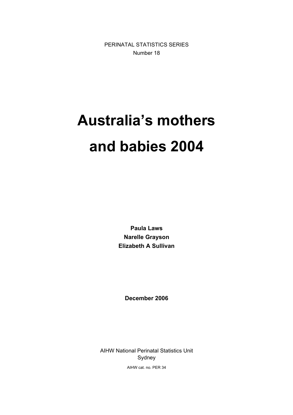PERINATAL STATISTICS SERIES Number 18

# **Australia's mothers and babies 2004**

**Paula Laws Narelle Grayson Elizabeth A Sullivan** 

**December 2006** 

AIHW National Perinatal Statistics Unit Sydney AIHW cat. no. PER 34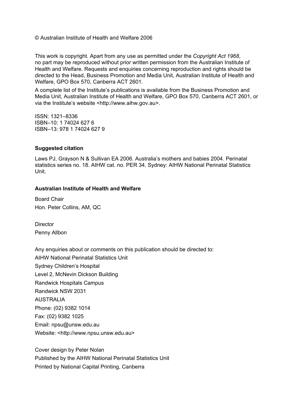© Australian Institute of Health and Welfare 2006

This work is copyright. Apart from any use as permitted under the *Copyright Act 1968*, no part may be reproduced without prior written permission from the Australian Institute of Health and Welfare. Requests and enquiries concerning reproduction and rights should be directed to the Head, Business Promotion and Media Unit, Australian Institute of Health and Welfare, GPO Box 570, Canberra ACT 2601.

A complete list of the Institute's publications is available from the Business Promotion and Media Unit, Australian Institute of Health and Welfare, GPO Box 570, Canberra ACT 2601, or via the Institute's website <http://www.aihw.gov.au>.

ISSN: 1321–8336 ISBN–10: 1 74024 627 6 ISBN–13: 978 1 74024 627 9

#### **Suggested citation**

Laws PJ, Grayson N & Sullivan EA 2006. Australia's mothers and babies 2004. Perinatal statistics series no. 18. AIHW cat. no. PER 34. Sydney: AIHW National Perinatal Statistics Unit.

#### **Australian Institute of Health and Welfare**

Board Chair Hon. Peter Collins, AM, QC

**Director** Penny Allbon

Any enquiries about or comments on this publication should be directed to: AIHW National Perinatal Statistics Unit Sydney Children's Hospital Level 2, McNevin Dickson Building Randwick Hospitals Campus Randwick NSW 2031 AUSTRALIA Phone: (02) 9382 1014 Fax: (02) 9382 1025 Email: npsu@unsw.edu.au Website: <http://www.npsu.unsw.edu.au>

Cover design by Peter Nolan Published by the AIHW National Perinatal Statistics Unit Printed by National Capital Printing, Canberra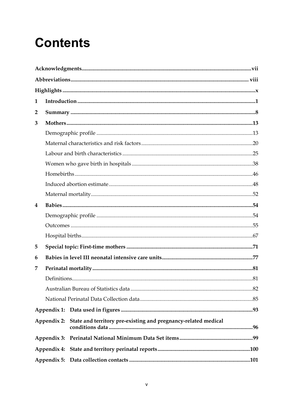## **Contents**

| 1              |             |                                                                |  |
|----------------|-------------|----------------------------------------------------------------|--|
| $\overline{2}$ |             |                                                                |  |
| 3              |             |                                                                |  |
|                |             |                                                                |  |
|                |             |                                                                |  |
|                |             |                                                                |  |
|                |             |                                                                |  |
|                |             |                                                                |  |
|                |             |                                                                |  |
|                |             |                                                                |  |
| 4              |             |                                                                |  |
|                |             |                                                                |  |
|                |             |                                                                |  |
|                |             |                                                                |  |
| 5              |             |                                                                |  |
| 6              |             |                                                                |  |
| 7              |             |                                                                |  |
|                |             |                                                                |  |
|                |             |                                                                |  |
|                |             |                                                                |  |
|                |             |                                                                |  |
|                | Appendix 2: | State and territory pre-existing and pregnancy-related medical |  |
|                | Appendix 3: |                                                                |  |
|                |             |                                                                |  |
|                |             |                                                                |  |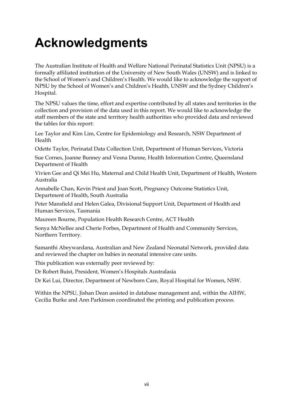## **Acknowledgments**

The Australian Institute of Health and Welfare National Perinatal Statistics Unit (NPSU) is a formally affiliated institution of the University of New South Wales (UNSW) and is linked to the School of Women's and Children's Health. We would like to acknowledge the support of NPSU by the School of Women's and Children's Health, UNSW and the Sydney Children's Hospital.

The NPSU values the time, effort and expertise contributed by all states and territories in the collection and provision of the data used in this report. We would like to acknowledge the staff members of the state and territory health authorities who provided data and reviewed the tables for this report:

Lee Taylor and Kim Lim, Centre for Epidemiology and Research, NSW Department of Health

Odette Taylor, Perinatal Data Collection Unit, Department of Human Services, Victoria

Sue Cornes, Joanne Bunney and Vesna Dunne, Health Information Centre, Queensland Department of Health

Vivien Gee and Qi Mei Hu, Maternal and Child Health Unit, Department of Health, Western Australia

Annabelle Chan, Kevin Priest and Joan Scott, Pregnancy Outcome Statistics Unit, Department of Health, South Australia

Peter Mansfield and Helen Galea, Divisional Support Unit, Department of Health and Human Services, Tasmania

Maureen Bourne, Population Health Research Centre, ACT Health

Sonya McNellee and Cherie Forbes, Department of Health and Community Services, Northern Territory.

Samanthi Abeywardana, Australian and New Zealand Neonatal Network, provided data and reviewed the chapter on babies in neonatal intensive care units.

This publication was externally peer reviewed by:

Dr Robert Buist, President, Women's Hospitals Australasia

Dr Kei Lui, Director, Department of Newborn Care, Royal Hospital for Women, NSW.

Within the NPSU, Jishan Dean assisted in database management and, within the AIHW, Cecilia Burke and Ann Parkinson coordinated the printing and publication process.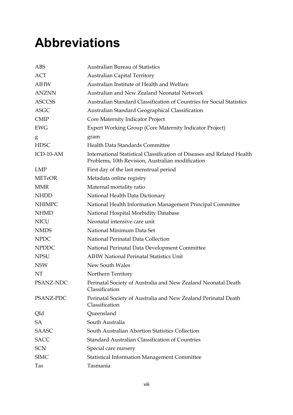## **Abbreviations**

| <b>ABS</b>    | <b>Australian Bureau of Statistics</b>                                                                                      |
|---------------|-----------------------------------------------------------------------------------------------------------------------------|
| ACT           | <b>Australian Capital Territory</b>                                                                                         |
| AIHW          | Australian Institute of Health and Welfare                                                                                  |
| <b>ANZNN</b>  | Australian and New Zealand Neonatal Network                                                                                 |
| <b>ASCCSS</b> | Australian Standard Classification of Countries for Social Statistics                                                       |
| <b>ASGC</b>   | Australian Standard Geographical Classification                                                                             |
| <b>CMIP</b>   | Core Maternity Indicator Project                                                                                            |
| <b>EWG</b>    | <b>Expert Working Group (Core Maternity Indicator Project)</b>                                                              |
| g             | gram                                                                                                                        |
| <b>HDSC</b>   | Health Data Standards Committee                                                                                             |
| ICD-10-AM     | International Statistical Classification of Diseases and Related Health<br>Problems, 10th Revision, Australian modification |
| LMP           | First day of the last menstrual period                                                                                      |
| <b>METeOR</b> | Metadata online registry                                                                                                    |
| <b>MMR</b>    | Maternal mortality ratio                                                                                                    |
| <b>NHDD</b>   | National Health Data Dictionary                                                                                             |
| <b>NHIMPC</b> | National Health Information Management Principal Committee                                                                  |
| <b>NHMD</b>   | National Hospital Morbidity Database                                                                                        |
| <b>NICU</b>   | Neonatal intensive care unit                                                                                                |
| <b>NMDS</b>   | National Minimum Data Set                                                                                                   |
| <b>NPDC</b>   | National Perinatal Data Collection                                                                                          |
| <b>NPDDC</b>  | National Perinatal Data Development Committee                                                                               |
| <b>NPSU</b>   | <b>AIHW National Perinatal Statistics Unit</b>                                                                              |
| <b>NSW</b>    | New South Wales                                                                                                             |
| NT            | Northern Territory                                                                                                          |
| PSANZ-NDC     | Perinatal Society of Australia and New Zealand Neonatal Death<br>Classification                                             |
| PSANZ-PDC     | Perinatal Society of Australia and New Zealand Perinatal Death<br>Classification                                            |
| Qld           | Queensland                                                                                                                  |
| SA            | South Australia                                                                                                             |
| <b>SAASC</b>  | South Australian Abortion Statistics Collection                                                                             |
| <b>SACC</b>   | Standard Australian Classification of Countries                                                                             |
| <b>SCN</b>    | Special care nursery                                                                                                        |
| <b>SIMC</b>   | <b>Statistical Information Management Committee</b>                                                                         |
| Tas           | Tasmania                                                                                                                    |
|               |                                                                                                                             |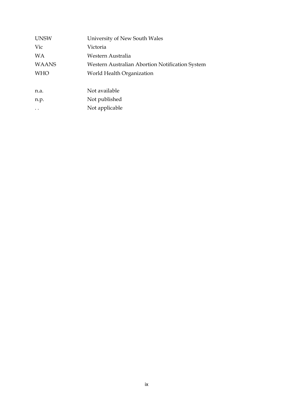| <b>UNSW</b>          | University of New South Wales                   |
|----------------------|-------------------------------------------------|
| Vic                  | Victoria                                        |
| WA                   | Western Australia                               |
| <b>WAANS</b>         | Western Australian Abortion Notification System |
| <b>WHO</b>           | World Health Organization                       |
|                      |                                                 |
| n.a.                 | Not available                                   |
| n.p.                 | Not published                                   |
| $\ddot{\phantom{0}}$ | Not applicable                                  |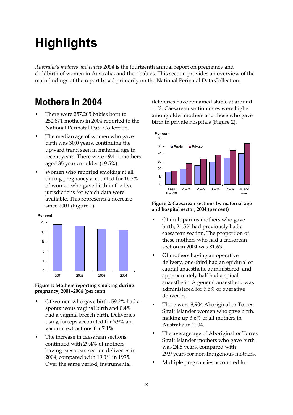## **Highlights**

*Australia's mothers and babies 2004* is the fourteenth annual report on pregnancy and childbirth of women in Australia, and their babies. This section provides an overview of the main findings of the report based primarily on the National Perinatal Data Collection.

## **Mothers in 2004**

- There were 257,205 babies born to 252,871 mothers in 2004 reported to the National Perinatal Data Collection.
- The median age of women who gave birth was 30.0 years, continuing the upward trend seen in maternal age in recent years. There were 49,411 mothers aged 35 years or older (19.5%).
- Women who reported smoking at all during pregnancy accounted for 16.7% of women who gave birth in the five jurisdictions for which data were available. This represents a decrease since 2001 (Figure 1).



#### **Figure 1: Mothers reporting smoking during pregnancy, 2001–2004 (per cent)**

- Of women who gave birth, 59.2% had a spontaneous vaginal birth and 0.4% had a vaginal breech birth. Deliveries using forceps accounted for 3.9% and vacuum extractions for 7.1%.
- The increase in caesarean sections continued with 29.4% of mothers having caesarean section deliveries in 2004, compared with 19.3% in 1995. Over the same period, instrumental

deliveries have remained stable at around 11%. Caesarean section rates were higher among older mothers and those who gave birth in private hospitals (Figure 2).



**Figure 2: Caesarean sections by maternal age and hospital sector, 2004 (per cent)** 

- Of multiparous mothers who gave birth, 24.5% had previously had a caesarean section. The proportion of these mothers who had a caesarean section in 2004 was 81.6%.
- Of mothers having an operative delivery, one-third had an epidural or caudal anaesthetic administered, and approximately half had a spinal anaesthetic. A general anaesthetic was administered for 5.5% of operative deliveries.
- There were 8,904 Aboriginal or Torres Strait Islander women who gave birth, making up 3.6% of all mothers in Australia in 2004.
- The average age of Aboriginal or Torres Strait Islander mothers who gave birth was 24.8 years, compared with 29.9 years for non-Indigenous mothers.
- Multiple pregnancies accounted for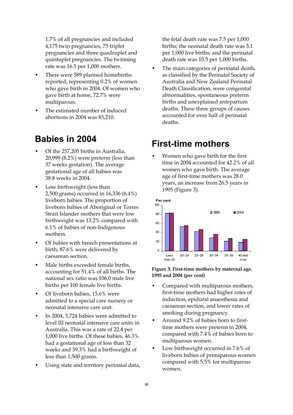1.7% of all pregnancies and included 4,175 twin pregnancies, 75 triplet pregnancies and three quadruplet and quintuplet pregnancies. The twinning rate was 16.5 per 1,000 mothers.

- There were 589 planned homebirths reported, representing 0.2% of women who gave birth in 2004. Of women who gave birth at home, 72.7% were multiparous.
- The estimated number of induced abortions in 2004 was 83,210.

## **Babies in 2004**

- Of the 257,205 births in Australia, 20,999 (8.2%) were preterm (less than 37 weeks gestation). The average gestational age of all babies was 38.8 weeks in 2004.
- Low birthweight (less than 2,500 grams) occurred in 16,336 (6.4%) liveborn babies. The proportion of liveborn babies of Aboriginal or Torres Strait Islander mothers that were low birthweight was 13.2% compared with 6.1% of babies of non-Indigenous mothers.
- Of babies with breech presentations at birth, 87.6% were delivered by caesarean section.
- Male births exceeded female births, accounting for 51.4% of all births. The national sex ratio was 106.0 male live births per 100 female live births.
- Of liveborn babies, 15.6% were admitted to a special care nursery or neonatal intensive care unit.
- In 2004, 5,724 babies were admitted to level III neonatal intensive care units in Australia. This was a rate of 22.4 per 1,000 live births. Of these babies, 46.3% had a gestational age of less than 32 weeks and 39.3% had a birthweight of less than 1,500 grams.
- Using state and territory perinatal data,

 the fetal death rate was 7.5 per 1,000 births; the neonatal death rate was 3.1 per 1,000 live births; and the perinatal death rate was 10.5 per 1,000 births.

The main categories of perinatal death, as classified by the Perinatal Society of Australia and New Zealand Perinatal Death Classification, were congenital abnormalities, spontaneous preterm births and unexplained antepartum deaths. These three groups of causes accounted for over half of perinatal deaths.

## **First-time mothers**

• Women who gave birth for the first time in 2004 accounted for 42.2% of all women who gave birth. The average age of first-time mothers was 28.0 years, an increase from 26.5 years in 1995 (Figure 3).



**Figure 3: First-time mothers by maternal age, 1995 and 2004 (per cent)** 

- Compared with multiparous mothers, first-time mothers had higher rates of induction, epidural anaesthesia and caesarean section, and lower rates of smoking during pregnancy.
- Around 9.2% of babies born to firsttime mothers were preterm in 2004, compared with 7.4% of babies born to multiparous women.
- Low birthweight occurred in 7.6% of liveborn babies of primiparous women compared with 5.5% for multiparous women.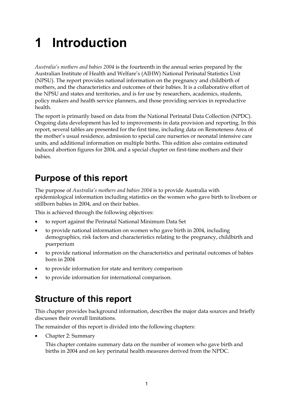## **1 Introduction**

*Australia's mothers and babies 2004* is the fourteenth in the annual series prepared by the Australian Institute of Health and Welfare's (AIHW) National Perinatal Statistics Unit (NPSU). The report provides national information on the pregnancy and childbirth of mothers, and the characteristics and outcomes of their babies. It is a collaborative effort of the NPSU and states and territories, and is for use by researchers, academics, students, policy makers and health service planners, and those providing services in reproductive health.

The report is primarily based on data from the National Perinatal Data Collection (NPDC). Ongoing data development has led to improvements in data provision and reporting. In this report, several tables are presented for the first time, including data on Remoteness Area of the mother's usual residence, admission to special care nurseries or neonatal intensive care units, and additional information on multiple births. This edition also contains estimated induced abortion figures for 2004, and a special chapter on first-time mothers and their babies.

## **Purpose of this report**

The purpose of *Australia's mothers and babies 2004* is to provide Australia with epidemiological information including statistics on the women who gave birth to liveborn or stillborn babies in 2004, and on their babies.

This is achieved through the following objectives:

- to report against the Perinatal National Minimum Data Set
- to provide national information on women who gave birth in 2004, including demographics, risk factors and characteristics relating to the pregnancy, childbirth and puerperium
- to provide national information on the characteristics and perinatal outcomes of babies born in 2004
- to provide information for state and territory comparison
- to provide information for international comparison.

## **Structure of this report**

This chapter provides background information, describes the major data sources and briefly discusses their overall limitations.

The remainder of this report is divided into the following chapters:

• Chapter 2: Summary

 This chapter contains summary data on the number of women who gave birth and births in 2004 and on key perinatal health measures derived from the NPDC.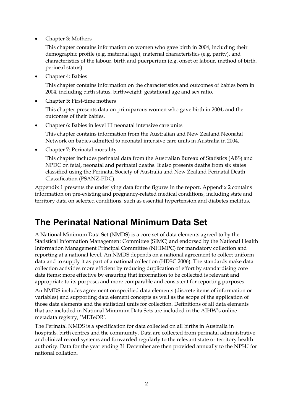• Chapter 3: Mothers

 This chapter contains information on women who gave birth in 2004, including their demographic profile (e.g. maternal age), maternal characteristics (e.g. parity), and characteristics of the labour, birth and puerperium (e.g. onset of labour, method of birth, perineal status).

• Chapter 4: Babies

 This chapter contains information on the characteristics and outcomes of babies born in 2004, including birth status, birthweight, gestational age and sex ratio.

• Chapter 5: First-time mothers

This chapter presents data on primiparous women who gave birth in 2004, and the outcomes of their babies.

• Chapter 6: Babies in level III neonatal intensive care units

 This chapter contains information from the Australian and New Zealand Neonatal Network on babies admitted to neonatal intensive care units in Australia in 2004.

• Chapter 7: Perinatal mortality

 This chapter includes perinatal data from the Australian Bureau of Statistics (ABS) and NPDC on fetal, neonatal and perinatal deaths. It also presents deaths from six states classified using the Perinatal Society of Australia and New Zealand Perinatal Death Classification (PSANZ-PDC).

Appendix 1 presents the underlying data for the figures in the report. Appendix 2 contains information on pre-existing and pregnancy-related medical conditions, including state and territory data on selected conditions, such as essential hypertension and diabetes mellitus.

## **The Perinatal National Minimum Data Set**

A National Minimum Data Set (NMDS) is a core set of data elements agreed to by the Statistical Information Management Committee (SIMC) and endorsed by the National Health Information Management Principal Committee (NHIMPC) for mandatory collection and reporting at a national level. An NMDS depends on a national agreement to collect uniform data and to supply it as part of a national collection (HDSC 2006). The standards make data collection activities more efficient by reducing duplication of effort by standardising core data items; more effective by ensuring that information to be collected is relevant and appropriate to its purpose; and more comparable and consistent for reporting purposes.

An NMDS includes agreement on specified data elements (discrete items of information or variables) and supporting data element concepts as well as the scope of the application of those data elements and the statistical units for collection. Definitions of all data elements that are included in National Minimum Data Sets are included in the AIHW's online metadata registry, 'METeOR'.

The Perinatal NMDS is a specification for data collected on all births in Australia in hospitals, birth centres and the community. Data are collected from perinatal administrative and clinical record systems and forwarded regularly to the relevant state or territory health authority. Data for the year ending 31 December are then provided annually to the NPSU for national collation.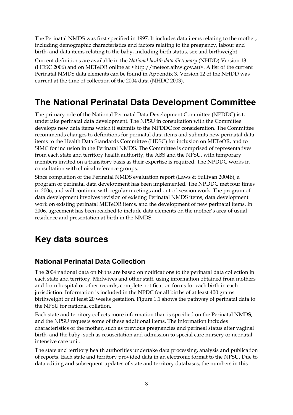The Perinatal NMDS was first specified in 1997. It includes data items relating to the mother, including demographic characteristics and factors relating to the pregnancy, labour and birth, and data items relating to the baby, including birth status, sex and birthweight.

Current definitions are available in the *National health data dictionary* (NHDD) Version 13 (HDSC 2006) and on METeOR online at <http://meteor.aihw.gov.au>. A list of the current Perinatal NMDS data elements can be found in Appendix 3. Version 12 of the NHDD was current at the time of collection of the 2004 data (NHDC 2003).

## **The National Perinatal Data Development Committee**

The primary role of the National Perinatal Data Development Committee (NPDDC) is to undertake perinatal data development. The NPSU in consultation with the Committee develops new data items which it submits to the NPDDC for consideration. The Committee recommends changes to definitions for perinatal data items and submits new perinatal data items to the Health Data Standards Committee (HDSC) for inclusion on METeOR, and to SIMC for inclusion in the Perinatal NMDS. The Committee is comprised of representatives from each state and territory health authority, the ABS and the NPSU, with temporary members invited on a transitory basis as their expertise is required. The NPDDC works in consultation with clinical reference groups.

Since completion of the Perinatal NMDS evaluation report (Laws & Sullivan 2004b), a program of perinatal data development has been implemented. The NPDDC met four times in 2006, and will continue with regular meetings and out-of-session work. The program of data development involves revision of existing Perinatal NMDS items, data development work on existing perinatal METeOR items, and the development of new perinatal items. In 2006, agreement has been reached to include data elements on the mother's area of usual residence and presentation at birth in the NMDS.

## **Key data sources**

### **National Perinatal Data Collection**

The 2004 national data on births are based on notifications to the perinatal data collection in each state and territory. Midwives and other staff, using information obtained from mothers and from hospital or other records, complete notification forms for each birth in each jurisdiction. Information is included in the NPDC for all births of at least 400 grams birthweight or at least 20 weeks gestation. Figure 1.1 shows the pathway of perinatal data to the NPSU for national collation.

Each state and territory collects more information than is specified on the Perinatal NMDS, and the NPSU requests some of these additional items. The information includes characteristics of the mother, such as previous pregnancies and perineal status after vaginal birth, and the baby, such as resuscitation and admission to special care nursery or neonatal intensive care unit.

The state and territory health authorities undertake data processing, analysis and publication of reports. Each state and territory provided data in an electronic format to the NPSU. Due to data editing and subsequent updates of state and territory databases, the numbers in this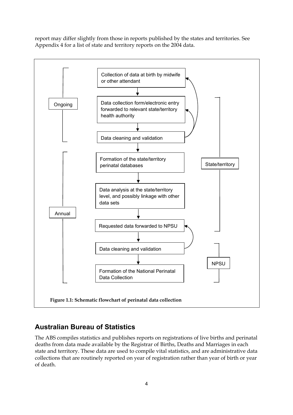report may differ slightly from those in reports published by the states and territories. See Appendix 4 for a list of state and territory reports on the 2004 data.



### **Australian Bureau of Statistics**

The ABS compiles statistics and publishes reports on registrations of live births and perinatal deaths from data made available by the Registrar of Births, Deaths and Marriages in each state and territory. These data are used to compile vital statistics, and are administrative data collections that are routinely reported on year of registration rather than year of birth or year of death.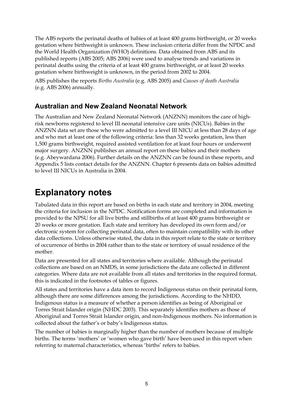The ABS reports the perinatal deaths of babies of at least 400 grams birthweight, or 20 weeks gestation where birthweight is unknown. These inclusion criteria differ from the NPDC and the World Health Organization (WHO) definitions. Data obtained from ABS and its published reports (ABS 2005; ABS 2006) were used to analyse trends and variations in perinatal deaths using the criteria of at least 400 grams birthweight, or at least 20 weeks gestation where birthweight is unknown, in the period from 2002 to 2004.

ABS publishes the reports *Births Australia* (e.g. ABS 2005) and *Causes of death Australia* (e.g. ABS 2006) annually.

#### **Australian and New Zealand Neonatal Network**

The Australian and New Zealand Neonatal Network (ANZNN) monitors the care of highrisk newborns registered to level III neonatal intensive care units (NICUs). Babies in the ANZNN data set are those who were admitted to a level III NICU at less than 28 days of age and who met at least one of the following criteria: less than 32 weeks gestation, less than 1,500 grams birthweight, required assisted ventilation for at least four hours or underwent major surgery. ANZNN publishes an annual report on these babies and their mothers (e.g. Abeywardana 2006). Further details on the ANZNN can be found in these reports, and Appendix 5 lists contact details for the ANZNN. Chapter 6 presents data on babies admitted to level III NICUs in Australia in 2004.

## **Explanatory notes**

Tabulated data in this report are based on births in each state and territory in 2004, meeting the criteria for inclusion in the NPDC. Notification forms are completed and information is provided to the NPSU for all live births and stillbirths of at least 400 grams birthweight or 20 weeks or more gestation. Each state and territory has developed its own form and/or electronic system for collecting perinatal data, often to maintain compatibility with its other data collections. Unless otherwise stated, the data in this report relate to the state or territory of occurrence of births in 2004 rather than to the state or territory of usual residence of the mother.

Data are presented for all states and territories where available. Although the perinatal collections are based on an NMDS, in some jurisdictions the data are collected in different categories. Where data are not available from all states and territories in the required format, this is indicated in the footnotes of tables or figures.

All states and territories have a data item to record Indigenous status on their perinatal form, although there are some differences among the jurisdictions. According to the NHDD, Indigenous status is a measure of whether a person identifies as being of Aboriginal or Torres Strait Islander origin (NHDC 2003). This separately identifies mothers as those of Aboriginal and Torres Strait Islander origin, and non-Indigenous mothers. No information is collected about the father's or baby's Indigenous status.

The number of babies is marginally higher than the number of mothers because of multiple births. The terms 'mothers' or 'women who gave birth' have been used in this report when referring to maternal characteristics, whereas 'births' refers to babies.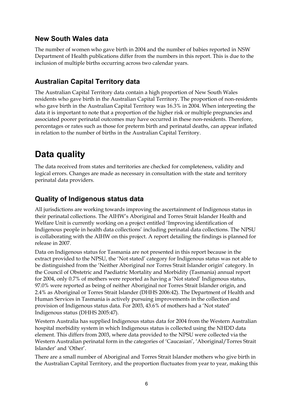#### **New South Wales data**

The number of women who gave birth in 2004 and the number of babies reported in NSW Department of Health publications differ from the numbers in this report. This is due to the inclusion of multiple births occurring across two calendar years.

### **Australian Capital Territory data**

The Australian Capital Territory data contain a high proportion of New South Wales residents who gave birth in the Australian Capital Territory. The proportion of non-residents who gave birth in the Australian Capital Territory was 16.3% in 2004. When interpreting the data it is important to note that a proportion of the higher risk or multiple pregnancies and associated poorer perinatal outcomes may have occurred in these non-residents. Therefore, percentages or rates such as those for preterm birth and perinatal deaths, can appear inflated in relation to the number of births in the Australian Capital Territory.

## **Data quality**

The data received from states and territories are checked for completeness, validity and logical errors. Changes are made as necessary in consultation with the state and territory perinatal data providers.

#### **Quality of Indigenous status data**

All jurisdictions are working towards improving the ascertainment of Indigenous status in their perinatal collections. The AIHW's Aboriginal and Torres Strait Islander Health and Welfare Unit is currently working on a project entitled 'Improving identification of Indigenous people in health data collections' including perinatal data collections. The NPSU is collaborating with the AIHW on this project. A report detailing the findings is planned for release in 2007.

Data on Indigenous status for Tasmania are not presented in this report because in the extract provided to the NPSU, the 'Not stated' category for Indigenous status was not able to be distinguished from the 'Neither Aboriginal nor Torres Strait Islander origin' category. In the Council of Obstetric and Paediatric Mortality and Morbidity (Tasmania) annual report for 2004, only 0.7% of mothers were reported as having a 'Not stated' Indigenous status, 97.0% were reported as being of neither Aboriginal nor Torres Strait Islander origin, and 2.4% as Aboriginal or Torres Strait Islander (DHHS 2006:42). The Department of Health and Human Services in Tasmania is actively pursuing improvements in the collection and provision of Indigenous status data. For 2003, 43.6% of mothers had a 'Not stated' Indigenous status (DHHS 2005:47).

Western Australia has supplied Indigenous status data for 2004 from the Western Australian hospital morbidity system in which Indigenous status is collected using the NHDD data element. This differs from 2003, where data provided to the NPSU were collected via the Western Australian perinatal form in the categories of 'Caucasian', 'Aboriginal/Torres Strait Islander' and 'Other'.

There are a small number of Aboriginal and Torres Strait Islander mothers who give birth in the Australian Capital Territory, and the proportion fluctuates from year to year, making this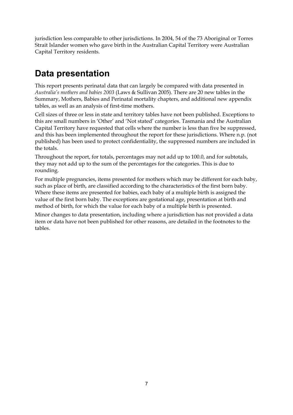jurisdiction less comparable to other jurisdictions. In 2004, 54 of the 73 Aboriginal or Torres Strait Islander women who gave birth in the Australian Capital Territory were Australian Capital Territory residents.

## **Data presentation**

This report presents perinatal data that can largely be compared with data presented in *Australia's mothers and babies 2003* (Laws & Sullivan 2005). There are 20 new tables in the Summary, Mothers, Babies and Perinatal mortality chapters, and additional new appendix tables, as well as an analysis of first-time mothers.

Cell sizes of three or less in state and territory tables have not been published. Exceptions to this are small numbers in 'Other' and 'Not stated' categories. Tasmania and the Australian Capital Territory have requested that cells where the number is less than five be suppressed, and this has been implemented throughout the report for these jurisdictions. Where n.p. (not published) has been used to protect confidentiality, the suppressed numbers are included in the totals.

Throughout the report, for totals, percentages may not add up to 100.0, and for subtotals, they may not add up to the sum of the percentages for the categories. This is due to rounding.

For multiple pregnancies, items presented for mothers which may be different for each baby, such as place of birth, are classified according to the characteristics of the first born baby. Where these items are presented for babies, each baby of a multiple birth is assigned the value of the first born baby. The exceptions are gestational age, presentation at birth and method of birth, for which the value for each baby of a multiple birth is presented.

Minor changes to data presentation, including where a jurisdiction has not provided a data item or data have not been published for other reasons, are detailed in the footnotes to the tables.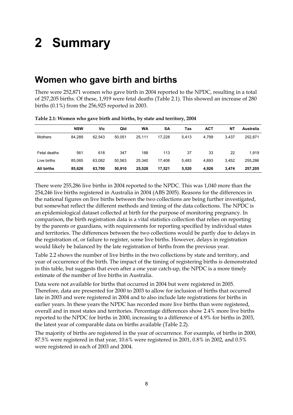## **2 Summary**

### **Women who gave birth and births**

There were 252,871 women who gave birth in 2004 reported to the NPDC, resulting in a total of 257,205 births. Of these, 1,919 were fetal deaths (Table 2.1). This showed an increase of 280 births (0.1%) from the 256,925 reported in 2003.

|                | <b>NSW</b> | Vic    | Qld    | WA     | <b>SA</b> | Tas   | <b>ACT</b> | ΝT    | Australia |
|----------------|------------|--------|--------|--------|-----------|-------|------------|-------|-----------|
| <b>Mothers</b> | 84,289     | 62,543 | 50.051 | 25,111 | 17,228    | 5.413 | 4,799      | 3,437 | 252,871   |
| Fetal deaths   | 561        | 618    | 347    | 188    | 113       | 37    | 33         | 22    | 1,919     |
| Live births    | 85.065     | 63,082 | 50,563 | 25,340 | 17,408    | 5,483 | 4,893      | 3,452 | 255,286   |
| All births     | 85,626     | 63,700 | 50,910 | 25,528 | 17,521    | 5,520 | 4,926      | 3,474 | 257,205   |

#### **Table 2.1: Women who gave birth and births, by state and territory, 2004**

There were 255,286 live births in 2004 reported to the NPDC. This was 1,040 more than the 254,246 live births registered in Australia in 2004 (ABS 2005). Reasons for the differences in the national figures on live births between the two collections are being further investigated, but somewhat reflect the different methods and timing of the data collections. The NPDC is an epidemiological dataset collected at birth for the purpose of monitoring pregnancy. In comparison, the birth registration data is a vital statistics collection that relies on reporting by the parents or guardians, with requirements for reporting specified by individual states and territories. The differences between the two collections would be partly due to delays in the registration of, or failure to register, some live births. However, delays in registration would likely be balanced by the late registration of births from the previous year.

Table 2.2 shows the number of live births in the two collections by state and territory, and year of occurrence of the birth. The impact of the timing of registering births is demonstrated in this table, but suggests that even after a one year catch-up, the NPDC is a more timely estimate of the number of live births in Australia.

Data were not available for births that occurred in 2004 but were registered in 2005. Therefore, data are presented for 2000 to 2003 to allow for inclusion of births that occurred late in 2003 and were registered in 2004 and to also include late registrations for births in earlier years. In these years the NPDC has recorded more live births than were registered, overall and in most states and territories. Percentage differences show 2.4% more live births reported to the NPDC for births in 2000, increasing to a difference of 4.9% for births in 2003, the latest year of comparable data on births available (Table 2.2).

The majority of births are registered in the year of occurrence. For example, of births in 2000, 87.5% were registered in that year, 10.6% were registered in 2001, 0.8% in 2002, and 0.5% were registered in each of 2003 and 2004.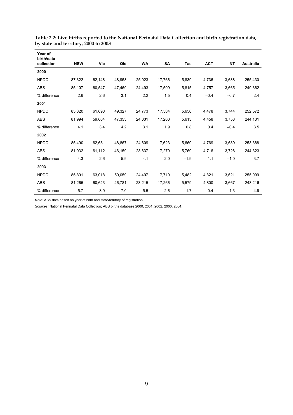| Year of<br>birth/data |            |        |        |        |           |        |            |           |                  |
|-----------------------|------------|--------|--------|--------|-----------|--------|------------|-----------|------------------|
| collection            | <b>NSW</b> | Vic    | Qld    | WA     | <b>SA</b> | Tas    | <b>ACT</b> | <b>NT</b> | <b>Australia</b> |
| 2000                  |            |        |        |        |           |        |            |           |                  |
| <b>NPDC</b>           | 87,322     | 62,148 | 48,958 | 25,023 | 17,766    | 5,839  | 4,736      | 3,638     | 255,430          |
| <b>ABS</b>            | 85,107     | 60,547 | 47,469 | 24,493 | 17,509    | 5,815  | 4,757      | 3,665     | 249,362          |
| % difference          | 2.6        | 2.6    | 3.1    | 2.2    | 1.5       | 0.4    | $-0.4$     | $-0.7$    | 2.4              |
| 2001                  |            |        |        |        |           |        |            |           |                  |
| <b>NPDC</b>           | 85,320     | 61,690 | 49,327 | 24,773 | 17,584    | 5,656  | 4,478      | 3,744     | 252,572          |
| ABS                   | 81,994     | 59,664 | 47,353 | 24,031 | 17,260    | 5,613  | 4,458      | 3,758     | 244,131          |
| % difference          | 4.1        | 3.4    | 4.2    | 3.1    | 1.9       | 0.8    | 0.4        | $-0.4$    | 3.5              |
| 2002                  |            |        |        |        |           |        |            |           |                  |
| <b>NPDC</b>           | 85,490     | 62,681 | 48,867 | 24,609 | 17,623    | 5,660  | 4,769      | 3,689     | 253,388          |
| <b>ABS</b>            | 81,932     | 61,112 | 46,159 | 23,637 | 17,270    | 5,769  | 4,716      | 3,728     | 244,323          |
| % difference          | 4.3        | 2.6    | 5.9    | 4.1    | 2.0       | $-1.9$ | 1.1        | $-1.0$    | 3.7              |
| 2003                  |            |        |        |        |           |        |            |           |                  |
| <b>NPDC</b>           | 85,891     | 63,018 | 50,059 | 24,497 | 17,710    | 5,482  | 4,821      | 3,621     | 255,099          |
| <b>ABS</b>            | 81,265     | 60,643 | 46,781 | 23,215 | 17,266    | 5,579  | 4,800      | 3,667     | 243,216          |
| % difference          | 5.7        | 3.9    | 7.0    | 5.5    | 2.6       | $-1.7$ | 0.4        | $-1.3$    | 4.9              |

**Table 2.2: Live births reported to the National Perinatal Data Collection and birth registration data, by state and territory, 2000 to 2003** 

*Note:* ABS data based on year of birth and state/territory of registration.

*Sources:* National Perinatal Data Collection; ABS births database 2000, 2001, 2002, 2003, 2004.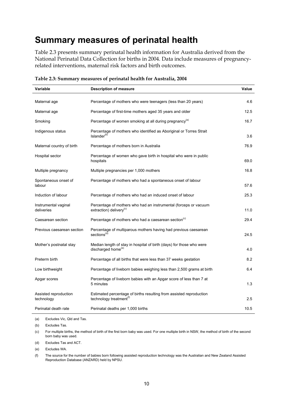## **Summary measures of perinatal health**

Table 2.3 presents summary perinatal health information for Australia derived from the National Perinatal Data Collection for births in 2004. Data include measures of pregnancyrelated interventions, maternal risk factors and birth outcomes.

| Variable                            | <b>Description of measure</b>                                                                              | Value |
|-------------------------------------|------------------------------------------------------------------------------------------------------------|-------|
| Maternal age                        | Percentage of mothers who were teenagers (less than 20 years)                                              | 4.6   |
| Maternal age                        | Percentage of first-time mothers aged 35 years and older                                                   | 12.5  |
| Smoking                             | Percentage of women smoking at all during pregnancy <sup>(a)</sup>                                         | 16.7  |
| Indigenous status                   | Percentage of mothers who identified as Aboriginal or Torres Strait<br>Islander <sup>(b)</sup>             | 3.6   |
| Maternal country of birth           | Percentage of mothers born in Australia                                                                    | 76.9  |
| Hospital sector                     | Percentage of women who gave birth in hospital who were in public<br>hospitals                             | 69.0  |
| Multiple pregnancy                  | Multiple pregnancies per 1,000 mothers                                                                     | 16.8  |
| Spontaneous onset of<br>labour      | Percentage of mothers who had a spontaneous onset of labour                                                | 57.6  |
| Induction of labour                 | Percentage of mothers who had an induced onset of labour                                                   | 25.3  |
| Instrumental vaginal<br>deliveries  | Percentage of mothers who had an instrumental (forceps or vacuum<br>extraction) delivery <sup>(c)</sup>    | 11.0  |
| Caesarean section                   | Percentage of mothers who had a caesarean section <sup>(c)</sup>                                           | 29.4  |
| Previous caesarean section          | Percentage of multiparous mothers having had previous caesarean<br>sections <sup>(d)</sup>                 | 24.5  |
| Mother's postnatal stay             | Median length of stay in hospital of birth (days) for those who were<br>discharged home <sup>(e)</sup>     | 4.0   |
| Preterm birth                       | Percentage of all births that were less than 37 weeks gestation                                            | 8.2   |
| Low birthweight                     | Percentage of liveborn babies weighing less than 2,500 grams at birth                                      | 6.4   |
| Apgar scores                        | Percentage of liveborn babies with an Apgar score of less than 7 at<br>5 minutes                           | 1.3   |
| Assisted reproduction<br>technology | Estimated percentage of births resulting from assisted reproduction<br>technology treatment <sup>(f)</sup> | 2.5   |
| Perinatal death rate                | Perinatal deaths per 1,000 births                                                                          | 10.5  |

**Table 2.3: Summary measures of perinatal health for Australia, 2004** 

(a) Excludes Vic, Qld and Tas.

(b) Excludes Tas.

(c) For multiple births, the method of birth of the first born baby was used. For one multiple birth in NSW, the method of birth of the second born baby was used.

(d) Excludes Tas and ACT.

(e) Excludes WA.

(f) The source for the number of babies born following assisted reproduction technology was the Australian and New Zealand Assisted Reproduction Database (ANZARD) held by NPSU.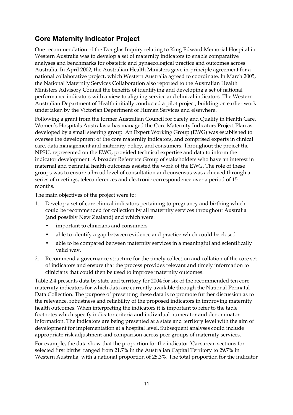### **Core Maternity Indicator Project**

One recommendation of the Douglas Inquiry relating to King Edward Memorial Hospital in Western Australia was to develop a set of maternity indicators to enable comparative analyses and benchmarks for obstetric and gynaecological practice and outcomes across Australia. In April 2002, the Australian Health Ministers gave in-principle agreement for a national collaborative project, which Western Australia agreed to coordinate. In March 2005, the National Maternity Services Collaboration also reported to the Australian Health Ministers Advisory Council the benefits of identifying and developing a set of national performance indicators with a view to aligning service and clinical indicators. The Western Australian Department of Health initially conducted a pilot project, building on earlier work undertaken by the Victorian Department of Human Services and elsewhere.

Following a grant from the former Australian Council for Safety and Quality in Health Care, Women's Hospitals Australasia has managed the Core Maternity Indicators Project Plan as developed by a small steering group. An Expert Working Group (EWG) was established to oversee the development of the core maternity indicators, and comprised experts in clinical care, data management and maternity policy, and consumers. Throughout the project the NPSU, represented on the EWG, provided technical expertise and data to inform the indicator development. A broader Reference Group of stakeholders who have an interest in maternal and perinatal health outcomes assisted the work of the EWG. The role of these groups was to ensure a broad level of consultation and consensus was achieved through a series of meetings, teleconferences and electronic correspondence over a period of 15 months.

The main objectives of the project were to:

- 1. Develop a set of core clinical indicators pertaining to pregnancy and birthing which could be recommended for collection by all maternity services throughout Australia (and possibly New Zealand) and which were:
	- important to clinicians and consumers
	- able to identify a gap between evidence and practice which could be closed
	- able to be compared between maternity services in a meaningful and scientifically valid way.
- 2. Recommend a governance structure for the timely collection and collation of the core set of indicators and ensure that the process provides relevant and timely information to clinicians that could then be used to improve maternity outcomes.

Table 2.4 presents data by state and territory for 2004 for six of the recommended ten core maternity indicators for which data are currently available through the National Perinatal Data Collection. The purpose of presenting these data is to promote further discussion as to the relevance, robustness and reliability of the proposed indicators in improving maternity health outcomes. When interpreting the indicators it is important to refer to the table footnotes which specify indicator criteria and individual numerator and denominator information. The indicators are being presented at a state and territory level with the aim of development for implementation at a hospital level. Subsequent analyses could include appropriate risk adjustment and comparison across peer groups of maternity services.

For example, the data show that the proportion for the indicator 'Caesarean sections for selected first births' ranged from 21.7% in the Australian Capital Territory to 29.7% in Western Australia, with a national proportion of 25.3%. The total proportion for the indicator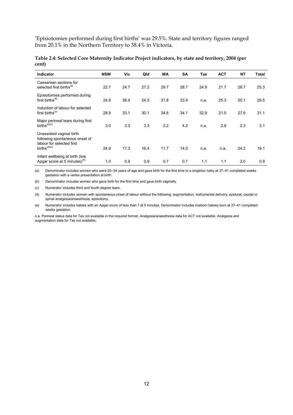'Episiotomies performed during first births' was 29.5%. State and territory figures ranged from 20.1% in the Northern Territory to 38.4% in Victoria.

| <b>Indicator</b>                                                                                                    | <b>NSW</b> | Vic  | Qld  | <b>WA</b> | <b>SA</b> | Tas  | <b>ACT</b> | <b>NT</b> | Total |
|---------------------------------------------------------------------------------------------------------------------|------------|------|------|-----------|-----------|------|------------|-----------|-------|
| Caesarean sections for<br>selected first births <sup>(a)</sup>                                                      | 22.7       | 24.7 | 27.2 | 29.7      | 28.7      | 24.9 | 21.7       | 28.7      | 25.3  |
| Episiotomies performed during<br>first births <sup>(b)</sup>                                                        | 24.8       | 38.4 | 24.5 | 31.8      | 33.9      | n.a. | 25.3       | 20.1      | 29.5  |
| Induction of labour for selected<br>first births <sup>(a)</sup>                                                     | 28.9       | 33.1 | 30.1 | 34.8      | 34.1      | 32.9 | 21.0       | 27.6      | 31.1  |
| Major perineal tears during first<br>$births^{(b)(c)}$                                                              | 3.0        | 3.3  | 3.3  | 2.2       | 4.2       | n.a. | 2.8        | 2.3       | 3.1   |
| Unassisted vaginal birth<br>following spontaneous onset of<br>labour for selected first<br>births <sup>(a)(d)</sup> | 24.9       | 17.3 | 16.4 | 11.7      | 14.0      | n.a. | n.a.       | 24.2      | 19.1  |
| Infant wellbeing at birth (low<br>Apgar score at 5 minutes) <sup>(e)</sup>                                          | 1.0        | 0.9  | 0.9  | 0.7       | 0.7       | 1.1  | 1.1        | 2.0       | 0.9   |

**Table 2.4: Selected Core Maternity Indicator Project indicators, by state and territory, 2004 (per cent)** 

(a) Denominator includes women who were 20–34 years of age and gave birth for the first time to a singleton baby at 37–41 completed weeks gestation with a vertex presentation at birth.

(b) Denominator includes women who gave birth for the first time and gave birth vaginally.

(c) Numerator includes third and fourth degree tears.

(d) Numerator includes women with spontaneous onset of labour without the following: augmentation, instrumental delivery, epidural, caudal or spinal analgesia/anaesthesia, episiotomy.

(e) Numerator includes babies with an Apgar score of less than 7 at 5 minutes. Denominator includes liveborn babies born at 37–41 completed weeks gestation.

n.a. Perineal status data for Tas not available in the required format. Analgesia/anaesthesia data for ACT not available. Analgesia and augmentation data for Tas not available.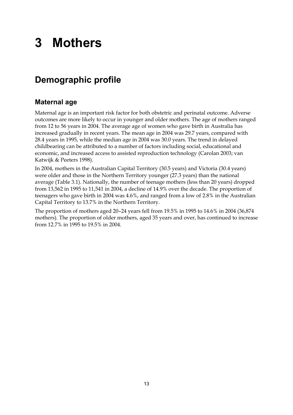## **3 Mothers**

## **Demographic profile**

### **Maternal age**

Maternal age is an important risk factor for both obstetric and perinatal outcome. Adverse outcomes are more likely to occur in younger and older mothers. The age of mothers ranged from 12 to 56 years in 2004. The average age of women who gave birth in Australia has increased gradually in recent years. The mean age in 2004 was 29.7 years, compared with 28.4 years in 1995, while the median age in 2004 was 30.0 years. The trend in delayed childbearing can be attributed to a number of factors including social, educational and economic, and increased access to assisted reproduction technology (Carolan 2003; van Katwijk & Peeters 1998).

In 2004, mothers in the Australian Capital Territory (30.5 years) and Victoria (30.4 years) were older and those in the Northern Territory younger (27.3 years) than the national average (Table 3.1). Nationally, the number of teenage mothers (less than 20 years) dropped from 13,562 in 1995 to 11,541 in 2004, a decline of 14.9% over the decade. The proportion of teenagers who gave birth in 2004 was 4.6%, and ranged from a low of 2.8% in the Australian Capital Territory to 13.7% in the Northern Territory.

The proportion of mothers aged 20–24 years fell from 19.5% in 1995 to 14.6% in 2004 (36,874 mothers). The proportion of older mothers, aged 35 years and over, has continued to increase from 12.7% in 1995 to 19.5% in 2004.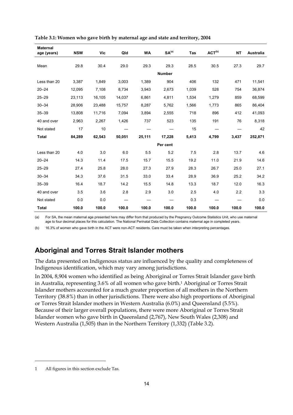| <b>Maternal</b><br>age (years) | <b>NSW</b> | Vic    | Qld    | <b>WA</b> | SA <sup>(a)</sup> | Tas   | ACT <sup>(b)</sup> | <b>NT</b> | Australia |
|--------------------------------|------------|--------|--------|-----------|-------------------|-------|--------------------|-----------|-----------|
|                                |            |        |        |           |                   |       |                    |           |           |
| Mean                           | 29.8       | 30.4   | 29.0   | 29.3      | 29.3              | 28.5  | 30.5               | 27.3      | 29.7      |
|                                |            |        |        |           | <b>Number</b>     |       |                    |           |           |
| Less than 20                   | 3,387      | 1,849  | 3,003  | 1,389     | 904               | 406   | 132                | 471       | 11,541    |
| $20 - 24$                      | 12,095     | 7,108  | 8,734  | 3,943     | 2,673             | 1,039 | 528                | 754       | 36,874    |
| $25 - 29$                      | 23,113     | 16,105 | 14,037 | 6,861     | 4,811             | 1,534 | 1,279              | 859       | 68,599    |
| $30 - 34$                      | 28,906     | 23,488 | 15,757 | 8,287     | 5,762             | 1,566 | 1,773              | 865       | 86,404    |
| $35 - 39$                      | 13,808     | 11,716 | 7,094  | 3,894     | 2,555             | 718   | 896                | 412       | 41,093    |
| 40 and over                    | 2,963      | 2,267  | 1,426  | 737       | 523               | 135   | 191                | 76        | 8,318     |
| Not stated                     | 17         | 10     |        |           |                   | 15    |                    |           | 42        |
| <b>Total</b>                   | 84,289     | 62,543 | 50,051 | 25,111    | 17,228            | 5,413 | 4,799              | 3,437     | 252,871   |
|                                |            |        |        |           | Per cent          |       |                    |           |           |
| Less than 20                   | 4.0        | 3.0    | 6.0    | 5.5       | 5.2               | 7.5   | 2.8                | 13.7      | 4.6       |
| $20 - 24$                      | 14.3       | 11.4   | 17.5   | 15.7      | 15.5              | 19.2  | 11.0               | 21.9      | 14.6      |
| $25 - 29$                      | 27.4       | 25.8   | 28.0   | 27.3      | 27.9              | 28.3  | 26.7               | 25.0      | 27.1      |
| $30 - 34$                      | 34.3       | 37.6   | 31.5   | 33.0      | 33.4              | 28.9  | 36.9               | 25.2      | 34.2      |
| $35 - 39$                      | 16.4       | 18.7   | 14.2   | 15.5      | 14.8              | 13.3  | 18.7               | 12.0      | 16.3      |
| 40 and over                    | 3.5        | 3.6    | 2.8    | 2.9       | 3.0               | 2.5   | 4.0                | 2.2       | 3.3       |
| Not stated                     | 0.0        | 0.0    |        |           |                   | 0.3   |                    |           | 0.0       |
| <b>Total</b>                   | 100.0      | 100.0  | 100.0  | 100.0     | 100.0             | 100.0 | 100.0              | 100.0     | 100.0     |

| Table 3.1: Women who gave birth by maternal age and state and territory, 2004 |  |  |  |
|-------------------------------------------------------------------------------|--|--|--|
|                                                                               |  |  |  |

(a) For SA, the mean maternal age presented here may differ from that produced by the Pregnancy Outcome Statistics Unit, who use maternal age to four decimal places for this calculation. The National Perinatal Data Collection contains maternal age in completed years.

(b) 16.3% of women who gave birth in the ACT were non-ACT residents. Care must be taken when interpreting percentages.

#### **Aboriginal and Torres Strait Islander mothers**

The data presented on Indigenous status are influenced by the quality and completeness of Indigenous identification, which may vary among jurisdictions.

In 2004, 8,904 women who identified as being Aboriginal or Torres Strait Islander gave birth in Australia, representing 3.6% of all women who gave birth.1 Aboriginal or Torres Strait Islander mothers accounted for a much greater proportion of all mothers in the Northern Territory (38.8%) than in other jurisdictions. There were also high proportions of Aboriginal or Torres Strait Islander mothers in Western Australia (6.0%) and Queensland (5.5%). Because of their larger overall populations, there were more Aboriginal or Torres Strait Islander women who gave birth in Queensland (2,767), New South Wales (2,308) and Western Australia (1,505) than in the Northern Territory (1,332) (Table 3.2).

 $\ddot{\phantom{a}}$ 

<sup>1</sup> All figures in this section exclude Tas.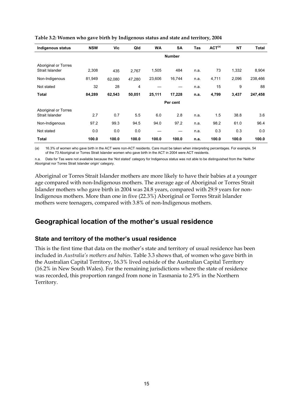| <b>Indigenous status</b>                | <b>NSW</b> | Vic    | Qld    | <b>WA</b> | <b>SA</b>     | <b>Tas</b> | ACT <sup>(a)</sup> | <b>NT</b> | <b>Total</b> |
|-----------------------------------------|------------|--------|--------|-----------|---------------|------------|--------------------|-----------|--------------|
|                                         |            |        |        |           | <b>Number</b> |            |                    |           |              |
| Aboriginal or Torres<br>Strait Islander | 2,308      | 435    | 2,767  | 1,505     | 484           | n.a.       | 73                 | 1,332     | 8,904        |
| Non-Indigenous                          | 81,949     | 62,080 | 47,280 | 23,606    | 16,744        | n.a.       | 4,711              | 2,096     | 238,466      |
| Not stated                              | 32         | 28     | 4      |           |               | n.a.       | 15                 | 9         | 88           |
| <b>Total</b>                            | 84,289     | 62,543 | 50,051 | 25,111    | 17,228        | n.a.       | 4,799              | 3,437     | 247,458      |
|                                         |            |        |        |           | Per cent      |            |                    |           |              |
| Aboriginal or Torres<br>Strait Islander | 2.7        | 0.7    | 5.5    | 6.0       | 2.8           | n.a.       | 1.5                | 38.8      | 3.6          |
| Non-Indigenous                          | 97.2       | 99.3   | 94.5   | 94.0      | 97.2          | n.a.       | 98.2               | 61.0      | 96.4         |
| Not stated                              | 0.0        | 0.0    | 0.0    |           |               | n.a.       | 0.3                | 0.3       | 0.0          |
| <b>Total</b>                            | 100.0      | 100.0  | 100.0  | 100.0     | 100.0         | n.a.       | 100.0              | 100.0     | 100.0        |

**Table 3.2: Women who gave birth by Indigenous status and state and territory, 2004** 

(a) 16.3% of women who gave birth in the ACT were non-ACT residents. Care must be taken when interpreting percentages. For example, 54 of the 73 Aboriginal or Torres Strait Islander women who gave birth in the ACT in 2004 were ACT residents.

n.a. Data for Tas were not available because the 'Not stated' category for Indigenous status was not able to be distinguished from the 'Neither Aboriginal nor Torres Strait Islander origin' category.

Aboriginal or Torres Strait Islander mothers are more likely to have their babies at a younger age compared with non-Indigenous mothers. The average age of Aboriginal or Torres Strait Islander mothers who gave birth in 2004 was 24.8 years, compared with 29.9 years for non-Indigenous mothers. More than one in five (22.3%) Aboriginal or Torres Strait Islander mothers were teenagers, compared with 3.8% of non-Indigenous mothers.

#### **Geographical location of the mother's usual residence**

#### **State and territory of the mother's usual residence**

This is the first time that data on the mother's state and territory of usual residence has been included in *Australia's mothers and babies*. Table 3.3 shows that, of women who gave birth in the Australian Capital Territory, 16.3% lived outside of the Australian Capital Territory (16.2% in New South Wales). For the remaining jurisdictions where the state of residence was recorded, this proportion ranged from none in Tasmania to 2.9% in the Northern Territory.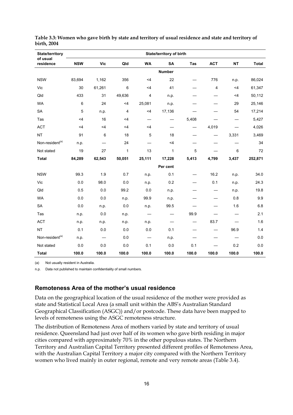| <b>State/territory</b>      |            |                          |              |           | <b>State/territory of birth</b> |                          |                |                          |              |
|-----------------------------|------------|--------------------------|--------------|-----------|---------------------------------|--------------------------|----------------|--------------------------|--------------|
| of usual<br>residence       | <b>NSW</b> | <b>Vic</b>               | Qld          | <b>WA</b> | <b>SA</b>                       | <b>Tas</b>               | <b>ACT</b>     | <b>NT</b>                | <b>Total</b> |
|                             |            |                          |              |           | <b>Number</b>                   |                          |                |                          |              |
| <b>NSW</b>                  | 83,694     | 1,162                    | 356          | $<$ 4     | 22                              |                          | 776            | n.p.                     | 86,024       |
| Vic                         | 30         | 61,261                   | 6            | $<$ 4     | 41                              |                          | $\overline{4}$ | $<$ 4                    | 61,347       |
| Qld                         | 433        | 31                       | 49,636       | 4         | n.p.                            |                          |                | $<$ 4                    | 50,112       |
| <b>WA</b>                   | 6          | 24                       | $<$ 4        | 25,081    | n.p.                            |                          |                | 29                       | 25,146       |
| <b>SA</b>                   | 5          | n.p.                     | 4            | $<$ 4     | 17,136                          |                          |                | 54                       | 17,214       |
| Tas                         | $<$ 4      | 16                       | $<$ 4        |           | $\overline{\phantom{0}}$        | 5,408                    |                |                          | 5,427        |
| <b>ACT</b>                  | $<$ 4      | $<$ 4                    | $<$ 4        | $<$ 4     | —                               | —                        | 4,019          | —                        | 4,026        |
| <b>NT</b>                   | 91         | 6                        | 18           | 5         | 18                              | $\overline{\phantom{0}}$ |                | 3,331                    | 3,469        |
| Non-resident <sup>(a)</sup> | n.p.       |                          | 24           |           | $<$ 4                           |                          |                |                          | 34           |
| Not stated                  | 19         | 27                       | $\mathbf{1}$ | 13        | 1                               | 5                        |                | 6                        | 72           |
| <b>Total</b>                | 84,289     | 62,543                   | 50,051       | 25,111    | 17,228                          | 5,413                    | 4,799          | 3,437                    | 252,871      |
|                             |            |                          |              |           | Per cent                        |                          |                |                          |              |
| <b>NSW</b>                  | 99.3       | 1.9                      | 0.7          | n.p.      | 0.1                             |                          | 16.2           | n.p.                     | 34.0         |
| Vic                         | 0.0        | 98.0                     | 0.0          | n.p.      | 0.2                             | $\overline{\phantom{0}}$ | 0.1            | n.p.                     | 24.3         |
| Qld                         | 0.5        | 0.0                      | 99.2         | 0.0       | n.p.                            |                          | —              | n.p.                     | 19.8         |
| <b>WA</b>                   | 0.0        | 0.0                      | n.p.         | 99.9      | n.p.                            |                          |                | 0.8                      | 9.9          |
| <b>SA</b>                   | 0.0        | n.p.                     | 0.0          | n.p.      | 99.5                            |                          |                | 1.6                      | 6.8          |
| Tas                         | n.p.       | 0.0                      | n.p.         |           | —                               | 99.9                     |                | $\overline{\phantom{m}}$ | 2.1          |
| <b>ACT</b>                  | n.p.       | n.p.                     | n.p.         | n.p.      | —                               |                          | 83.7           |                          | 1.6          |
| <b>NT</b>                   | 0.1        | 0.0                      | 0.0          | 0.0       | 0.1                             |                          |                | 96.9                     | 1.4          |
| Non-resident <sup>(a)</sup> | n.p.       | $\overline{\phantom{0}}$ | 0.0          |           | n.p.                            |                          |                |                          | 0.0          |
| Not stated                  | 0.0        | 0.0                      | 0.0          | 0.1       | 0.0                             | 0.1                      |                | 0.2                      | 0.0          |
| <b>Total</b>                | 100.0      | 100.0                    | 100.0        | 100.0     | 100.0                           | 100.0                    | 100.0          | 100.0                    | 100.0        |

**Table 3.3: Women who gave birth by state and territory of usual residence and state and territory of birth, 2004** 

(a) Not usually resident in Australia.

n.p. Data not published to maintain confidentiality of small numbers.

#### **Remoteness Area of the mother's usual residence**

Data on the geographical location of the usual residence of the mother were provided as state and Statistical Local Area (a small unit within the ABS's Australian Standard Geographical Classification (ASGC)) and/or postcode. These data have been mapped to levels of remoteness using the ASGC remoteness structure.

The distribution of Remoteness Area of mothers varied by state and territory of usual residence. Queensland had just over half of its women who gave birth residing in major cities compared with approximately 70% in the other populous states. The Northern Territory and Australian Capital Territory presented different profiles of Remoteness Area, with the Australian Capital Territory a major city compared with the Northern Territory women who lived mainly in outer regional, remote and very remote areas (Table 3.4).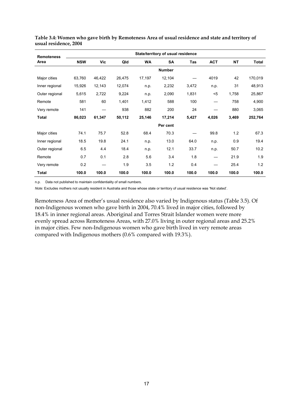| <b>Remoteness</b> |            |        |        |        | State/territory of usual residence |       |            |           |              |
|-------------------|------------|--------|--------|--------|------------------------------------|-------|------------|-----------|--------------|
| Area              | <b>NSW</b> | Vic    | Qld    | WA     | SA                                 | Tas   | <b>ACT</b> | <b>NT</b> | <b>Total</b> |
|                   |            |        |        |        | <b>Number</b>                      |       |            |           |              |
| Major cities      | 63,760     | 46,422 | 26,475 | 17,197 | 12,104                             |       | 4019       | 42        | 170,019      |
| Inner regional    | 15,926     | 12,143 | 12,074 | n.p.   | 2,232                              | 3,472 | n.p.       | 31        | 48,913       |
| Outer regional    | 5,615      | 2,722  | 9,224  | n.p.   | 2,090                              | 1,831 | $5$        | 1,758     | 25,867       |
| Remote            | 581        | 60     | 1,401  | 1,412  | 588                                | 100   |            | 758       | 4,900        |
| Very remote       | 141        |        | 938    | 882    | 200                                | 24    |            | 880       | 3,065        |
| Total             | 86,023     | 61,347 | 50,112 | 25,146 | 17,214                             | 5,427 | 4,026      | 3,469     | 252,764      |
|                   |            |        |        |        | Per cent                           |       |            |           |              |
| Major cities      | 74.1       | 75.7   | 52.8   | 68.4   | 70.3                               |       | 99.8       | 1.2       | 67.3         |
| Inner regional    | 18.5       | 19.8   | 24.1   | n.p.   | 13.0                               | 64.0  | n.p.       | 0.9       | 19.4         |
| Outer regional    | 6.5        | 4.4    | 18.4   | n.p.   | 12.1                               | 33.7  | n.p.       | 50.7      | 10.2         |
| Remote            | 0.7        | 0.1    | 2.8    | 5.6    | 3.4                                | 1.8   |            | 21.9      | 1.9          |
| Very remote       | 0.2        |        | 1.9    | 3.5    | 1.2                                | 0.4   |            | 25.4      | 1.2          |
| Total             | 100.0      | 100.0  | 100.0  | 100.0  | 100.0                              | 100.0 | 100.0      | 100.0     | 100.0        |

**Table 3.4: Women who gave birth by Remoteness Area of usual residence and state and territory of usual residence, 2004** 

n.p. Data not published to maintain confidentiality of small numbers.

*Note:* Excludes mothers not usually resident in Australia and those whose state or territory of usual residence was 'Not stated'.

Remoteness Area of mother's usual residence also varied by Indigenous status (Table 3.5). Of non-Indigenous women who gave birth in 2004, 70.4% lived in major cities, followed by 18.4% in inner regional areas. Aboriginal and Torres Strait Islander women were more evenly spread across Remoteness Areas, with 27.0% living in outer regional areas and 25.2% in major cities. Few non-Indigenous women who gave birth lived in very remote areas compared with Indigenous mothers (0.6% compared with 19.3%).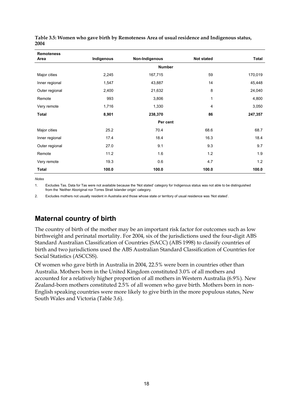| <b>Remoteness</b><br>Area | Indigenous | Non-Indigenous | <b>Not stated</b> | <b>Total</b> |
|---------------------------|------------|----------------|-------------------|--------------|
|                           |            | <b>Number</b>  |                   |              |
|                           |            |                |                   |              |
| Major cities              | 2,245      | 167,715        | 59                | 170,019      |
| Inner regional            | 1,547      | 43,887         | 14                | 45,448       |
| Outer regional            | 2,400      | 21,632         | 8                 | 24,040       |
| Remote                    | 993        | 3,806          | 1                 | 4,800        |
| Very remote               | 1,716      | 1,330          | 4                 | 3,050        |
| <b>Total</b>              | 8,901      | 238,370        | 86                | 247,357      |
|                           |            | Per cent       |                   |              |
| Major cities              | 25.2       | 70.4           | 68.6              | 68.7         |
| Inner regional            | 17.4       | 18.4           | 16.3              | 18.4         |
| Outer regional            | 27.0       | 9.1            | 9.3               | 9.7          |
| Remote                    | 11.2       | 1.6            | 1.2               | 1.9          |
| Very remote               | 19.3       | 0.6            | 4.7               | 1.2          |
| <b>Total</b>              | 100.0      | 100.0          | 100.0             | 100.0        |

**Table 3.5: Women who gave birth by Remoteness Area of usual residence and Indigenous status, 2004** 

*Notes* 

1. Excludes Tas. Data for Tas were not available because the 'Not stated' category for Indigenous status was not able to be distinguished from the 'Neither Aboriginal nor Torres Strait Islander origin' category.

2. Excludes mothers not usually resident in Australia and those whose state or territory of usual residence was 'Not stated'.

### **Maternal country of birth**

The country of birth of the mother may be an important risk factor for outcomes such as low birthweight and perinatal mortality. For 2004, six of the jurisdictions used the four-digit ABS Standard Australian Classification of Countries (SACC) (ABS 1998) to classify countries of birth and two jurisdictions used the ABS Australian Standard Classification of Countries for Social Statistics (ASCCSS).

Of women who gave birth in Australia in 2004, 22.5% were born in countries other than Australia. Mothers born in the United Kingdom constituted 3.0% of all mothers and accounted for a relatively higher proportion of all mothers in Western Australia (6.9%). New Zealand-born mothers constituted 2.5% of all women who gave birth. Mothers born in non-English speaking countries were more likely to give birth in the more populous states, New South Wales and Victoria (Table 3.6).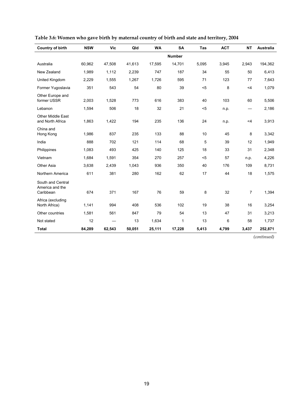| <b>Country of birth</b>                           | <b>NSW</b> | <b>Vic</b> | Qld    | <b>WA</b> | SA            | Tas   | <b>ACT</b> | <b>NT</b>      | Australia |
|---------------------------------------------------|------------|------------|--------|-----------|---------------|-------|------------|----------------|-----------|
|                                                   |            |            |        |           | <b>Number</b> |       |            |                |           |
| Australia                                         | 60,962     | 47,508     | 41,613 | 17,595    | 14,701        | 5,095 | 3.945      | 2,943          | 194,362   |
| New Zealand                                       | 1,989      | 1,112      | 2,239  | 747       | 187           | 34    | 55         | 50             | 6,413     |
| United Kingdom                                    | 2,229      | 1,555      | 1,267  | 1,726     | 595           | 71    | 123        | 77             | 7,643     |
| Former Yugoslavia                                 | 351        | 543        | 54     | 80        | 39            | $5$   | 8          | $<$ 4          | 1,079     |
| Other Europe and<br>former USSR                   | 2,003      | 1,528      | 773    | 616       | 383           | 40    | 103        | 60             | 5,506     |
| Lebanon                                           | 1,594      | 506        | 18     | 32        | 21            | $5$   | n.p.       |                | 2,186     |
| <b>Other Middle East</b><br>and North Africa      | 1,863      | 1,422      | 194    | 235       | 136           | 24    | n.p.       | $<$ 4          | 3,913     |
| China and<br>Hong Kong                            | 1,986      | 837        | 235    | 133       | 88            | 10    | 45         | 8              | 3,342     |
| India                                             | 888        | 702        | 121    | 114       | 68            | 5     | 39         | 12             | 1,949     |
| Philippines                                       | 1,083      | 493        | 425    | 140       | 125           | 18    | 33         | 31             | 2,348     |
| Vietnam                                           | 1,684      | 1,591      | 354    | 270       | 257           | $5$   | 57         | n.p.           | 4,226     |
| Other Asia                                        | 3,638      | 2,439      | 1,043  | 936       | 350           | 40    | 176        | 109            | 8,731     |
| Northern America                                  | 611        | 381        | 280    | 162       | 62            | 17    | 44         | 18             | 1,575     |
| South and Central<br>America and the<br>Caribbean | 674        | 371        | 167    | 76        | 59            | 8     | 32         | $\overline{7}$ | 1,394     |
| Africa (excluding<br>North Africa)                | 1,141      | 994        | 408    | 536       | 102           | 19    | 38         | 16             | 3,254     |
| Other countries                                   | 1,581      | 561        | 847    | 79        | 54            | 13    | 47         | 31             | 3,213     |
| Not stated                                        | 12         |            | 13     | 1,634     | 1             | 13    | 6          | 58             | 1,737     |
| <b>Total</b>                                      | 84,289     | 62,543     | 50,051 | 25,111    | 17,228        | 5,413 | 4,799      | 3,437          | 252,871   |
|                                                   |            |            |        |           |               |       |            |                |           |

| Table 3.6: Women who gave birth by maternal country of birth and state and territory, 2004 |  |  |  |
|--------------------------------------------------------------------------------------------|--|--|--|
|--------------------------------------------------------------------------------------------|--|--|--|

*(continued)*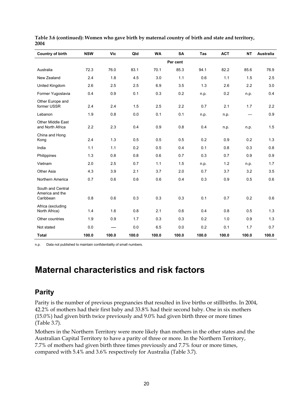| <b>Country of birth</b>                           | <b>NSW</b> | <b>Vic</b> | Qld   | <b>WA</b> | <b>SA</b> | Tas   | <b>ACT</b> | <b>NT</b> | Australia |
|---------------------------------------------------|------------|------------|-------|-----------|-----------|-------|------------|-----------|-----------|
|                                                   |            |            |       |           | Per cent  |       |            |           |           |
| Australia                                         | 72.3       | 76.0       | 83.1  | 70.1      | 85.3      | 94.1  | 82.2       | 85.6      | 76.9      |
| New Zealand                                       | 2.4        | 1.8        | 4.5   | 3.0       | 1.1       | 0.6   | 1.1        | 1.5       | 2.5       |
| United Kingdom                                    | 2.6        | 2.5        | 2.5   | 6.9       | 3.5       | 1.3   | 2.6        | 2.2       | 3.0       |
| Former Yugoslavia                                 | 0.4        | 0.9        | 0.1   | 0.3       | 0.2       | n.p.  | 0.2        | n.p.      | 0.4       |
| Other Europe and<br>former USSR                   | 2.4        | 2.4        | 1.5   | 2.5       | 2.2       | 0.7   | 2.1        | 1.7       | 2.2       |
| Lebanon                                           | 1.9        | 0.8        | 0.0   | 0.1       | 0.1       | n.p.  | n.p.       |           | 0.9       |
| <b>Other Middle East</b><br>and North Africa      | 2.2        | 2.3        | 0.4   | 0.9       | 0.8       | 0.4   | n.p.       | n.p.      | 1.5       |
| China and Hong<br>Kong                            | 2.4        | 1.3        | 0.5   | 0.5       | 0.5       | 0.2   | 0.9        | 0.2       | 1.3       |
| India                                             | 1.1        | 1.1        | 0.2   | 0.5       | 0.4       | 0.1   | 0.8        | 0.3       | 0.8       |
| Philippines                                       | 1.3        | 0.8        | 0.8   | 0.6       | 0.7       | 0.3   | 0.7        | 0.9       | 0.9       |
| Vietnam                                           | 2.0        | 2.5        | 0.7   | 1.1       | 1.5       | n.p.  | 1.2        | n.p.      | 1.7       |
| Other Asia                                        | 4.3        | 3.9        | 2.1   | 3.7       | 2.0       | 0.7   | 3.7        | 3.2       | 3.5       |
| Northern America                                  | 0.7        | 0.6        | 0.6   | 0.6       | 0.4       | 0.3   | 0.9        | 0.5       | 0.6       |
| South and Central<br>America and the<br>Caribbean | 0.8        | 0.6        | 0.3   | 0.3       | 0.3       | 0.1   | 0.7        | 0.2       | 0.6       |
| Africa (excluding                                 |            |            |       |           |           |       |            |           |           |
| North Africa)                                     | 1.4        | 1.6        | 0.8   | 2.1       | 0.6       | 0.4   | 0.8        | 0.5       | 1.3       |
| Other countries                                   | 1.9        | 0.9        | 1.7   | 0.3       | 0.3       | 0.2   | 1.0        | 0.9       | 1.3       |
| Not stated                                        | 0.0        |            | 0.0   | 6.5       | 0.0       | 0.2   | 0.1        | 1.7       | 0.7       |
| <b>Total</b>                                      | 100.0      | 100.0      | 100.0 | 100.0     | 100.0     | 100.0 | 100.0      | 100.0     | 100.0     |

**Table 3.6 (continued): Women who gave birth by maternal country of birth and state and territory, 2004** 

n.p. Data not published to maintain confidentiality of small numbers.

## **Maternal characteristics and risk factors**

#### **Parity**

Parity is the number of previous pregnancies that resulted in live births or stillbirths. In 2004, 42.2% of mothers had their first baby and 33.8% had their second baby. One in six mothers (15.0%) had given birth twice previously and 9.0% had given birth three or more times (Table 3.7).

Mothers in the Northern Territory were more likely than mothers in the other states and the Australian Capital Territory to have a parity of three or more. In the Northern Territory, 7.7% of mothers had given birth three times previously and 7.7% four or more times, compared with 5.4% and 3.6% respectively for Australia (Table 3.7).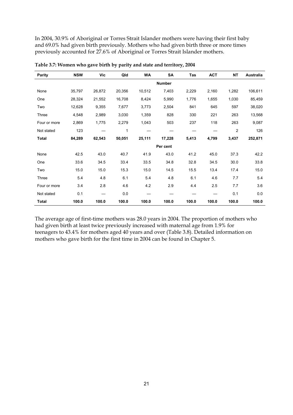In 2004, 30.9% of Aboriginal or Torres Strait Islander mothers were having their first baby and 69.0% had given birth previously. Mothers who had given birth three or more times previously accounted for 27.6% of Aboriginal or Torres Strait Islander mothers.

| Parity       | <b>NSW</b> | Vic    | Qld    | WA     | SA            | Tas   | <b>ACT</b> | <b>NT</b>               | Australia |
|--------------|------------|--------|--------|--------|---------------|-------|------------|-------------------------|-----------|
|              |            |        |        |        | <b>Number</b> |       |            |                         |           |
| None         | 35,797     | 26,872 | 20,356 | 10,512 | 7,403         | 2,229 | 2,160      | 1,282                   | 106,611   |
| One          | 28,324     | 21,552 | 16,708 | 8,424  | 5,990         | 1,776 | 1,655      | 1,030                   | 85,459    |
| Two          | 12,628     | 9,355  | 7,677  | 3,773  | 2,504         | 841   | 645        | 597                     | 38,020    |
| Three        | 4,548      | 2,989  | 3,030  | 1,359  | 828           | 330   | 221        | 263                     | 13,568    |
| Four or more | 2,869      | 1,775  | 2,279  | 1,043  | 503           | 237   | 118        | 263                     | 9,087     |
| Not stated   | 123        |        | 1      |        |               |       |            | $\overline{\mathbf{c}}$ | 126       |
| <b>Total</b> | 84,289     | 62,543 | 50,051 | 25,111 | 17,228        | 5,413 | 4,799      | 3,437                   | 252,871   |
|              |            |        |        |        | Per cent      |       |            |                         |           |
| None         | 42.5       | 43.0   | 40.7   | 41.9   | 43.0          | 41.2  | 45.0       | 37.3                    | 42.2      |
| One          | 33.6       | 34.5   | 33.4   | 33.5   | 34.8          | 32.8  | 34.5       | 30.0                    | 33.8      |
| Two          | 15.0       | 15.0   | 15.3   | 15.0   | 14.5          | 15.5  | 13.4       | 17.4                    | 15.0      |
| Three        | 5.4        | 4.8    | 6.1    | 5.4    | 4.8           | 6.1   | 4.6        | 7.7                     | 5.4       |
| Four or more | 3.4        | 2.8    | 4.6    | 4.2    | 2.9           | 4.4   | 2.5        | 7.7                     | 3.6       |
| Not stated   | 0.1        | —      | 0.0    |        |               |       |            | 0.1                     | 0.0       |
| <b>Total</b> | 100.0      | 100.0  | 100.0  | 100.0  | 100.0         | 100.0 | 100.0      | 100.0                   | 100.0     |

**Table 3.7: Women who gave birth by parity and state and territory, 2004** 

The average age of first-time mothers was 28.0 years in 2004. The proportion of mothers who had given birth at least twice previously increased with maternal age from 1.9% for teenagers to 43.4% for mothers aged 40 years and over (Table 3.8). Detailed information on mothers who gave birth for the first time in 2004 can be found in Chapter 5.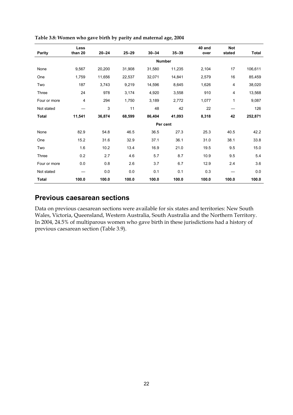|               | Less    |           |           |           |               | 40 and | <b>Not</b> |              |
|---------------|---------|-----------|-----------|-----------|---------------|--------|------------|--------------|
| <b>Parity</b> | than 20 | $20 - 24$ | $25 - 29$ | $30 - 34$ | $35 - 39$     | over   | stated     | <b>Total</b> |
|               |         |           |           |           | <b>Number</b> |        |            |              |
| None          | 9,567   | 20,200    | 31,908    | 31,580    | 11,235        | 2,104  | 17         | 106,611      |
| One           | 1,759   | 11,656    | 22,537    | 32,071    | 14,841        | 2,579  | 16         | 85,459       |
| Two           | 187     | 3,743     | 9,219     | 14,596    | 8,645         | 1,626  | 4          | 38,020       |
| Three         | 24      | 978       | 3,174     | 4,920     | 3,558         | 910    | 4          | 13,568       |
| Four or more  | 4       | 294       | 1,750     | 3,189     | 2,772         | 1,077  | 1          | 9,087        |
| Not stated    |         | 3         | 11        | 48        | 42            | 22     |            | 126          |
| <b>Total</b>  | 11,541  | 36,874    | 68,599    | 86,404    | 41,093        | 8,318  | 42         | 252,871      |
|               |         |           |           |           | Per cent      |        |            |              |
| None          | 82.9    | 54.8      | 46.5      | 36.5      | 27.3          | 25.3   | 40.5       | 42.2         |
| One           | 15.2    | 31.6      | 32.9      | 37.1      | 36.1          | 31.0   | 38.1       | 33.8         |
| Two           | 1.6     | 10.2      | 13.4      | 16.9      | 21.0          | 19.5   | 9.5        | 15.0         |
| Three         | 0.2     | 2.7       | 4.6       | 5.7       | 8.7           | 10.9   | 9.5        | 5.4          |
| Four or more  | 0.0     | 0.8       | 2.6       | 3.7       | 6.7           | 12.9   | 2.4        | 3.6          |
| Not stated    |         | 0.0       | 0.0       | 0.1       | 0.1           | 0.3    |            | 0.0          |
| <b>Total</b>  | 100.0   | 100.0     | 100.0     | 100.0     | 100.0         | 100.0  | 100.0      | 100.0        |

**Table 3.8: Women who gave birth by parity and maternal age, 2004** 

#### **Previous caesarean sections**

Data on previous caesarean sections were available for six states and territories: New South Wales, Victoria, Queensland, Western Australia, South Australia and the Northern Territory. In 2004, 24.5% of multiparous women who gave birth in these jurisdictions had a history of previous caesarean section (Table 3.9).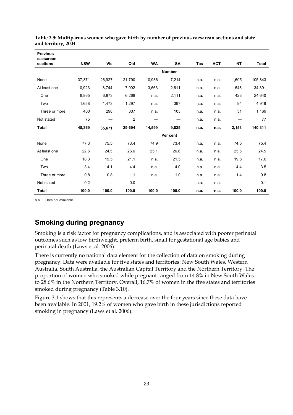| <b>Previous</b><br>caesarean |            |        |                |           |               |      |            |                                 |         |
|------------------------------|------------|--------|----------------|-----------|---------------|------|------------|---------------------------------|---------|
| sections                     | <b>NSW</b> | Vic    | Qld            | <b>WA</b> | <b>SA</b>     | Tas  | <b>ACT</b> | <b>NT</b>                       | Total   |
|                              |            |        |                |           | <b>Number</b> |      |            |                                 |         |
| None                         | 37,371     | 26,927 | 21,790         | 10,936    | 7,214         | n.a. | n.a.       | 1,605                           | 105,843 |
| At least one                 | 10,923     | 8,744  | 7,902          | 3,663     | 2,611         | n.a. | n.a.       | 548                             | 34,391  |
| One                          | 8,865      | 6,973  | 6,268          | n.a.      | 2,111         | n.a. | n.a.       | 423                             | 24,640  |
| Two                          | 1,658      | 1,473  | 1,297          | n.a.      | 397           | n.a. | n.a.       | 94                              | 4,919   |
| Three or more                | 400        | 298    | 337            | n.a.      | 103           | n.a. | n.a.       | 31                              | 1,169   |
| Not stated                   | 75         |        | $\overline{2}$ |           |               | n.a. | n.a.       | $\hspace{0.1mm}-\hspace{0.1mm}$ | 77      |
| <b>Total</b>                 | 48,369     | 35,671 | 29,694         | 14,599    | 9,825         | n.a. | n.a.       | 2,153                           | 140,311 |
|                              |            |        |                |           | Per cent      |      |            |                                 |         |
| None                         | 77.3       | 75.5   | 73.4           | 74.9      | 73.4          | n.a. | n.a.       | 74.5                            | 75.4    |
| At least one                 | 22.6       | 24.5   | 26.6           | 25.1      | 26.6          | n.a. | n.a.       | 25.5                            | 24.5    |
| One                          | 18.3       | 19.5   | 21.1           | n.a.      | 21.5          | n.a. | n.a.       | 19.6                            | 17.6    |
| Two                          | 3.4        | 4.1    | 4.4            | n.a.      | 4.0           | n.a. | n.a.       | 4.4                             | 3.5     |
| Three or more                | 0.8        | 0.8    | 1.1            | n.a.      | 1.0           | n.a. | n.a.       | 1.4                             | 0.8     |
| Not stated                   | 0.2        | —      | 0.0            |           |               | n.a. | n.a.       |                                 | 0.1     |
| <b>Total</b>                 | 100.0      | 100.0  | 100.0          | 100.0     | 100.0         | n.a. | n.a.       | 100.0                           | 100.0   |

**Table 3.9: Multiparous women who gave birth by number of previous caesarean sections and state and territory, 2004** 

n.a. Data not available.

#### **Smoking during pregnancy**

Smoking is a risk factor for pregnancy complications, and is associated with poorer perinatal outcomes such as low birthweight, preterm birth, small for gestational age babies and perinatal death (Laws et al. 2006).

There is currently no national data element for the collection of data on smoking during pregnancy. Data were available for five states and territories: New South Wales, Western Australia, South Australia, the Australian Capital Territory and the Northern Territory. The proportion of women who smoked while pregnant ranged from 14.8% in New South Wales to 28.6% in the Northern Territory. Overall, 16.7% of women in the five states and territories smoked during pregnancy (Table 3.10).

Figure 3.1 shows that this represents a decrease over the four years since these data have been available. In 2001, 19.2% of women who gave birth in these jurisdictions reported smoking in pregnancy (Laws et al. 2006).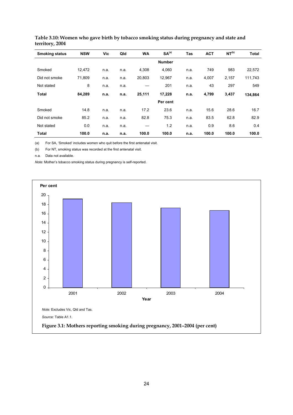| <b>Smoking status</b> | <b>NSW</b> | Vic  | Qld  | <b>WA</b> | SA <sup>(a)</sup> | <b>Tas</b> | <b>ACT</b> | NT <sup>(b)</sup> | Total   |
|-----------------------|------------|------|------|-----------|-------------------|------------|------------|-------------------|---------|
|                       |            |      |      |           | <b>Number</b>     |            |            |                   |         |
| Smoked                | 12,472     | n.a. | n.a. | 4,308     | 4,060             | n.a.       | 749        | 983               | 22,572  |
| Did not smoke         | 71,809     | n.a. | n.a. | 20,803    | 12,967            | n.a.       | 4,007      | 2,157             | 111,743 |
| Not stated            | 8          | n.a. | n.a. |           | 201               | n.a.       | 43         | 297               | 549     |
| <b>Total</b>          | 84,289     | n.a. | n.a. | 25,111    | 17,228            | n.a.       | 4,799      | 3,437             | 134,864 |
|                       |            |      |      |           | Per cent          |            |            |                   |         |
| Smoked                | 14.8       | n.a. | n.a. | 17.2      | 23.6              | n.a.       | 15.6       | 28.6              | 16.7    |
| Did not smoke         | 85.2       | n.a. | n.a. | 82.8      | 75.3              | n.a.       | 83.5       | 62.8              | 82.9    |
| Not stated            | 0.0        | n.a. | n.a. |           | 1.2               | n.a.       | 0.9        | 8.6               | 0.4     |
| <b>Total</b>          | 100.0      | n.a. | n.a. | 100.0     | 100.0             | n.a.       | 100.0      | 100.0             | 100.0   |

**Table 3.10: Women who gave birth by tobacco smoking status during pregnancy and state and territory, 2004** 

(a) For SA, 'Smoked' includes women who quit before the first antenatal visit.

(b) For NT, smoking status was recorded at the first antenatal visit.

n.a. Data not available.

*Note:* Mother's tobacco smoking status during pregnancy is self-reported.

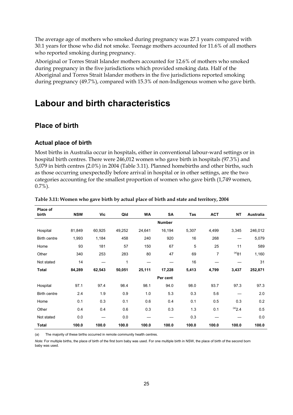The average age of mothers who smoked during pregnancy was 27.1 years compared with 30.1 years for those who did not smoke. Teenage mothers accounted for 11.6% of all mothers who reported smoking during pregnancy.

Aboriginal or Torres Strait Islander mothers accounted for 12.6% of mothers who smoked during pregnancy in the five jurisdictions which provided smoking data. Half of the Aboriginal and Torres Strait Islander mothers in the five jurisdictions reported smoking during pregnancy (49.7%), compared with 15.3% of non-Indigenous women who gave birth.

# **Labour and birth characteristics**

## **Place of birth**

#### **Actual place of birth**

Most births in Australia occur in hospitals, either in conventional labour-ward settings or in hospital birth centres. There were 246,012 women who gave birth in hospitals (97.3%) and 5,079 in birth centres (2.0%) in 2004 (Table 3.11). Planned homebirths and other births, such as those occurring unexpectedly before arrival in hospital or in other settings, are the two categories accounting for the smallest proportion of women who gave birth (1,749 women, 0.7%).

| Place of     |            |        |        |        |               |       |            |            |           |
|--------------|------------|--------|--------|--------|---------------|-------|------------|------------|-----------|
| birth        | <b>NSW</b> | Vic    | Qld    | WA     | <b>SA</b>     | Tas   | <b>ACT</b> | <b>NT</b>  | Australia |
|              |            |        |        |        | <b>Number</b> |       |            |            |           |
| Hospital     | 81,849     | 60,925 | 49,252 | 24,641 | 16,194        | 5,307 | 4,499      | 3,345      | 246,012   |
| Birth centre | 1,993      | 1,184  | 458    | 240    | 920           | 16    | 268        |            | 5,079     |
| Home         | 93         | 181    | 57     | 150    | 67            | 5     | 25         | 11         | 589       |
| Other        | 340        | 253    | 283    | 80     | 47            | 69    | 7          | $^{(a)}81$ | 1,160     |
| Not stated   | 14         |        | 1      |        |               | 16    |            |            | 31        |
| <b>Total</b> | 84,289     | 62,543 | 50,051 | 25,111 | 17,228        | 5,413 | 4,799      | 3,437      | 252,871   |
|              |            |        |        |        | Per cent      |       |            |            |           |
| Hospital     | 97.1       | 97.4   | 98.4   | 98.1   | 94.0          | 98.0  | 93.7       | 97.3       | 97.3      |
| Birth centre | 2.4        | 1.9    | 0.9    | 1.0    | 5.3           | 0.3   | 5.6        |            | 2.0       |
| Home         | 0.1        | 0.3    | 0.1    | 0.6    | 0.4           | 0.1   | 0.5        | 0.3        | 0.2       |
| Other        | 0.4        | 0.4    | 0.6    | 0.3    | 0.3           | 1.3   | 0.1        | (a)2.4     | 0.5       |
| Not stated   | 0.0        |        | 0.0    |        |               | 0.3   |            |            | 0.0       |
| <b>Total</b> | 100.0      | 100.0  | 100.0  | 100.0  | 100.0         | 100.0 | 100.0      | 100.0      | 100.0     |

#### **Table 3.11: Women who gave birth by actual place of birth and state and territory, 2004**

(a) The majority of these births occurred in remote community health centres.

*Note:* For multiple births, the place of birth of the first born baby was used. For one multiple birth in NSW, the place of birth of the second born baby was used.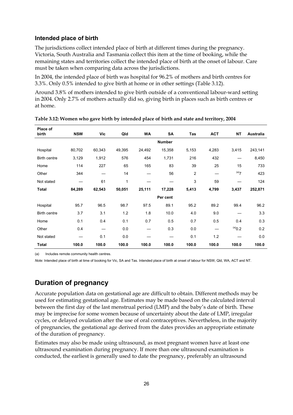#### **Intended place of birth**

The jurisdictions collect intended place of birth at different times during the pregnancy. Victoria, South Australia and Tasmania collect this item at the time of booking, while the remaining states and territories collect the intended place of birth at the onset of labour. Care must be taken when comparing data across the jurisdictions.

In 2004, the intended place of birth was hospital for 96.2% of mothers and birth centres for 3.3%. Only 0.5% intended to give birth at home or in other settings (Table 3.12).

Around 3.8% of mothers intended to give birth outside of a conventional labour-ward setting in 2004. Only 2.7% of mothers actually did so, giving birth in places such as birth centres or at home.

| Place of<br>birth | <b>NSW</b> | Vic    | Qld    | <b>WA</b> | SA            | Tas            | <b>ACT</b> | <b>NT</b>          | Australia |
|-------------------|------------|--------|--------|-----------|---------------|----------------|------------|--------------------|-----------|
|                   |            |        |        |           | <b>Number</b> |                |            |                    |           |
| Hospital          | 80,702     | 60,343 | 49,395 | 24,492    | 15,358        | 5,153          | 4,283      | 3,415              | 243,141   |
| Birth centre      | 3,129      | 1,912  | 576    | 454       | 1,731         | 216            | 432        |                    | 8,450     |
| Home              | 114        | 227    | 65     | 165       | 83            | 39             | 25         | 15                 | 733       |
| Other             | 344        |        | 14     |           | 56            | $\overline{2}$ |            | $(a)$ <sub>7</sub> | 423       |
| Not stated        |            | 61     | 1      |           |               | 3              | 59         |                    | 124       |
| <b>Total</b>      | 84,289     | 62,543 | 50,051 | 25,111    | 17,228        | 5,413          | 4,799      | 3,437              | 252,871   |
|                   |            |        |        |           | Per cent      |                |            |                    |           |
| Hospital          | 95.7       | 96.5   | 98.7   | 97.5      | 89.1          | 95.2           | 89.2       | 99.4               | 96.2      |
| Birth centre      | 3.7        | 3.1    | 1.2    | 1.8       | 10.0          | 4.0            | 9.0        |                    | 3.3       |
| Home              | 0.1        | 0.4    | 0.1    | 0.7       | 0.5           | 0.7            | 0.5        | 0.4                | 0.3       |
| Other             | 0.4        |        | 0.0    |           | 0.3           | 0.0            |            | $^{(a)}0.2$        | 0.2       |
| Not stated        |            | 0.1    | 0.0    |           |               | 0.1            | 1.2        |                    | 0.0       |
| <b>Total</b>      | 100.0      | 100.0  | 100.0  | 100.0     | 100.0         | 100.0          | 100.0      | 100.0              | 100.0     |

| Table 3.12: Women who gave birth by intended place of birth and state and territory, 2004 |  |  |  |
|-------------------------------------------------------------------------------------------|--|--|--|
|                                                                                           |  |  |  |

(a) Includes remote community health centres.

*Note:* Intended place of birth at time of booking for Vic, SA and Tas. Intended place of birth at onset of labour for NSW, Qld, WA, ACT and NT.

# **Duration of pregnancy**

Accurate population data on gestational age are difficult to obtain. Different methods may be used for estimating gestational age. Estimates may be made based on the calculated interval between the first day of the last menstrual period (LMP) and the baby's date of birth. These may be imprecise for some women because of uncertainty about the date of LMP, irregular cycles, or delayed ovulation after the use of oral contraceptives. Nevertheless, in the majority of pregnancies, the gestational age derived from the dates provides an appropriate estimate of the duration of pregnancy.

Estimates may also be made using ultrasound, as most pregnant women have at least one ultrasound examination during pregnancy. If more than one ultrasound examination is conducted, the earliest is generally used to date the pregnancy, preferably an ultrasound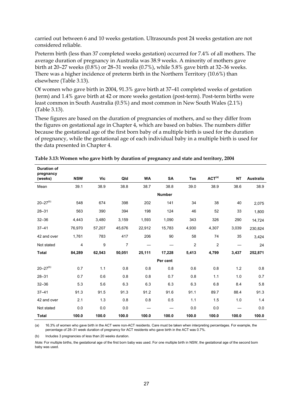carried out between 6 and 10 weeks gestation. Ultrasounds post 24 weeks gestation are not considered reliable.

Preterm birth (less than 37 completed weeks gestation) occurred for 7.4% of all mothers. The average duration of pregnancy in Australia was 38.9 weeks. A minority of mothers gave birth at 20–27 weeks (0.8%) or 28–31 weeks (0.7%), while 5.8% gave birth at 32–36 weeks. There was a higher incidence of preterm birth in the Northern Territory (10.6%) than elsewhere (Table 3.13).

Of women who gave birth in 2004, 91.3% gave birth at 37–41 completed weeks of gestation (term) and 1.4% gave birth at 42 or more weeks gestation (post-term). Post-term births were least common in South Australia (0.5%) and most common in New South Wales (2.1%) (Table 3.13).

These figures are based on the duration of pregnancies of mothers, and so they differ from the figures on gestational age in Chapter 4, which are based on babies. The numbers differ because the gestational age of the first born baby of a multiple birth is used for the duration of pregnancy, while the gestational age of each individual baby in a multiple birth is used for the data presented in Chapter 4.

| <b>Duration of</b><br>pregnancy |            | Vic    | Qld    | <b>WA</b> | <b>SA</b>     | Tas            | ACT <sup>(a)</sup> | <b>NT</b> | <b>Australia</b> |
|---------------------------------|------------|--------|--------|-----------|---------------|----------------|--------------------|-----------|------------------|
| (weeks)                         | <b>NSW</b> |        |        |           |               |                |                    |           |                  |
| Mean                            | 39.1       | 38.9   | 38.8   | 38.7      | 38.8          | 39.0           | 38.9               | 38.6      | 38.9             |
|                                 |            |        |        |           | <b>Number</b> |                |                    |           |                  |
| $20 - 27(b)$                    | 548        | 674    | 398    | 202       | 141           | 34             | 38                 | 40        | 2,075            |
| $28 - 31$                       | 563        | 390    | 394    | 198       | 124           | 46             | 52                 | 33        | 1,800            |
| $32 - 36$                       | 4,443      | 3,480  | 3,159  | 1,593     | 1,090         | 343            | 326                | 290       | 14,724           |
| $37 - 41$                       | 76,970     | 57,207 | 45,676 | 22,912    | 15,783        | 4,930          | 4,307              | 3,039     | 230,824          |
| 42 and over                     | 1,761      | 783    | 417    | 206       | 90            | 58             | 74                 | 35        | 3,424            |
| Not stated                      | 4          | 9      | 7      |           |               | $\overline{2}$ | 2                  |           | 24               |
| <b>Total</b>                    | 84,289     | 62,543 | 50,051 | 25,111    | 17,228        | 5,413          | 4,799              | 3,437     | 252,871          |
|                                 |            |        |        |           | Per cent      |                |                    |           |                  |
| $20 - 27(b)$                    | 0.7        | 1.1    | 0.8    | 0.8       | 0.8           | 0.6            | 0.8                | 1.2       | 0.8              |
| $28 - 31$                       | 0.7        | 0.6    | 0.8    | 0.8       | 0.7           | 0.8            | 1.1                | 1.0       | 0.7              |
| $32 - 36$                       | 5.3        | 5.6    | 6.3    | 6.3       | 6.3           | 6.3            | 6.8                | 8.4       | 5.8              |
| $37 - 41$                       | 91.3       | 91.5   | 91.3   | 91.2      | 91.6          | 91.1           | 89.7               | 88.4      | 91.3             |
| 42 and over                     | 2.1        | 1.3    | 0.8    | 0.8       | 0.5           | 1.1            | 1.5                | 1.0       | 1.4              |
| Not stated                      | 0.0        | 0.0    | 0.0    |           |               | 0.0            | 0.0                |           | 0.0              |
| <b>Total</b>                    | 100.0      | 100.0  | 100.0  | 100.0     | 100.0         | 100.0          | 100.0              | 100.0     | 100.0            |

**Table 3.13: Women who gave birth by duration of pregnancy and state and territory, 2004** 

(a) 16.3% of women who gave birth in the ACT were non-ACT residents. Care must be taken when interpreting percentages. For example, the percentage of 28–31 week duration of pregnancy for ACT residents who gave birth in the ACT was 0.7%.

(b) Includes 3 pregnancies of less than 20 weeks duration.

*Note:* For multiple births, the gestational age of the first born baby was used. For one multiple birth in NSW, the gestational age of the second born baby was used.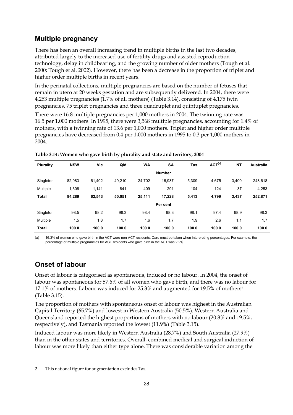# **Multiple pregnancy**

There has been an overall increasing trend in multiple births in the last two decades, attributed largely to the increased use of fertility drugs and assisted reproduction technology, delay in childbearing, and the growing number of older mothers (Tough et al. 2000; Tough et al. 2002). However, there has been a decrease in the proportion of triplet and higher order multiple births in recent years.

In the perinatal collections, multiple pregnancies are based on the number of fetuses that remain in utero at 20 weeks gestation and are subsequently delivered. In 2004, there were 4,253 multiple pregnancies (1.7% of all mothers) (Table 3.14), consisting of 4,175 twin pregnancies, 75 triplet pregnancies and three quadruplet and quintuplet pregnancies.

There were 16.8 multiple pregnancies per 1,000 mothers in 2004. The twinning rate was 16.5 per 1,000 mothers. In 1995, there were 3,568 multiple pregnancies, accounting for 1.4% of mothers, with a twinning rate of 13.6 per 1,000 mothers. Triplet and higher order multiple pregnancies have decreased from 0.4 per 1,000 mothers in 1995 to 0.3 per 1,000 mothers in 2004.

| <b>Plurality</b> | <b>NSW</b> | Vic    | Qld    | <b>WA</b> | <b>SA</b>     | Tas   | ACT <sup>(a)</sup> | <b>NT</b> | Australia |
|------------------|------------|--------|--------|-----------|---------------|-------|--------------------|-----------|-----------|
|                  |            |        |        |           | <b>Number</b> |       |                    |           |           |
| Singleton        | 82,983     | 61,402 | 49.210 | 24.702    | 16,937        | 5,309 | 4.675              | 3,400     | 248,618   |
| Multiple         | 1,306      | 1,141  | 841    | 409       | 291           | 104   | 124                | 37        | 4,253     |
| <b>Total</b>     | 84,289     | 62,543 | 50,051 | 25,111    | 17,228        | 5,413 | 4,799              | 3,437     | 252,871   |
|                  |            |        |        |           | Per cent      |       |                    |           |           |
| Singleton        | 98.5       | 98.2   | 98.3   | 98.4      | 98.3          | 98.1  | 97.4               | 98.9      | 98.3      |
| Multiple         | 1.5        | 1.8    | 1.7    | 1.6       | 1.7           | 1.9   | 2.6                | 1.1       | 1.7       |
| <b>Total</b>     | 100.0      | 100.0  | 100.0  | 100.0     | 100.0         | 100.0 | 100.0              | 100.0     | 100.0     |

#### **Table 3.14: Women who gave birth by plurality and state and territory, 2004**

(a) 16.3% of women who gave birth in the ACT were non-ACT residents. Care must be taken when interpreting percentages. For example, the percentage of multiple pregnancies for ACT residents who gave birth in the ACT was 2.2%.

# **Onset of labour**

 $\ddot{\phantom{a}}$ 

Onset of labour is categorised as spontaneous, induced or no labour. In 2004, the onset of labour was spontaneous for 57.6% of all women who gave birth, and there was no labour for 17.1% of mothers. Labour was induced for 25.3% and augmented for 19.5% of mothers2 (Table 3.15).

The proportion of mothers with spontaneous onset of labour was highest in the Australian Capital Territory (65.7%) and lowest in Western Australia (50.5%). Western Australia and Queensland reported the highest proportions of mothers with no labour (20.8% and 19.5%, respectively), and Tasmania reported the lowest (11.9%) (Table 3.15).

Induced labour was more likely in Western Australia (28.7%) and South Australia (27.9%) than in the other states and territories. Overall, combined medical and surgical induction of labour was more likely than either type alone. There was considerable variation among the

<sup>2</sup> This national figure for augmentation excludes Tas.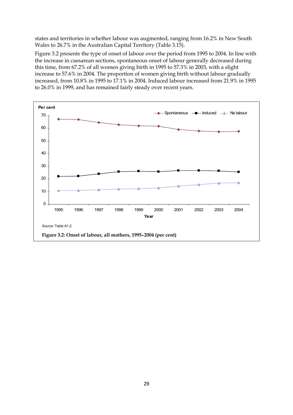states and territories in whether labour was augmented, ranging from 16.2% in New South Wales to 26.7% in the Australian Capital Territory (Table 3.15).

Figure 3.2 presents the type of onset of labour over the period from 1995 to 2004. In line with the increase in caesarean sections, spontaneous onset of labour generally decreased during this time, from 67.2% of all women giving birth in 1995 to 57.3% in 2003, with a slight increase to 57.6% in 2004. The proportion of women giving birth without labour gradually increased, from 10.8% in 1995 to 17.1% in 2004. Induced labour increased from 21.9% in 1995 to 26.0% in 1999, and has remained fairly steady over recent years.

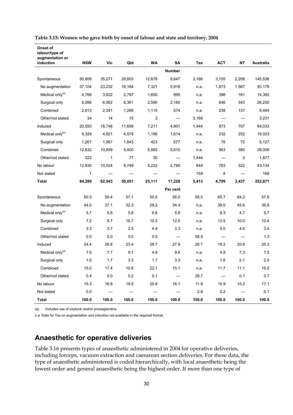| Onset of<br>labour/type of<br>augmentation or |             |            |        |                |                                   |       |            |           |           |
|-----------------------------------------------|-------------|------------|--------|----------------|-----------------------------------|-------|------------|-----------|-----------|
| induction                                     | <b>NSW</b>  | <b>Vic</b> | Qld    | <b>WA</b>      | <b>SA</b>                         | Tas   | <b>ACT</b> | <b>NT</b> | Australia |
|                                               |             |            |        |                | <b>Number</b>                     |       |            |           |           |
| Spontaneous                                   | 50,808      | 35,271     | 28,603 | 12,678         | 9,647                             | 3,166 | 3,155      | 2,208     | 145,536   |
| No augmentation                               | 37,104      | 23,232     | 16,164 | 7,321          | 5,918                             | n.a.  | 1,873      | 1,567     | 93,179    |
| Medical only <sup>(a)</sup>                   | 4,769       | 3,622      | 2,797  | 1,650          | 995                               | n.a.  | 398        | 161       | 14,392    |
| Surgical only                                 | 6,088       | 6,062      | 8,361  | 2,590          | 2,160                             | n.a.  | 646        | 343       | 26,250    |
| Combined                                      | 2,813       | 2,341      | 1,266  | 1,115          | 574                               | n.a.  | 238        | 137       | 8,484     |
| Other/not stated                              | 34          | 14         | 15     | $\overline{2}$ |                                   | 3,166 |            |           | 3,231     |
| Induced                                       | 20,550      | 16,748     | 11,699 | 7,211          | 4,801                             | 1,444 | 873        | 707       | 64,033    |
| Medical only <sup>(a)</sup>                   | 6,329       | 4,821      | 4,579  | 1,196          | 1,614                             | n.a.  | 232        | 252       | 19,023    |
| Surgical only                                 | 1,267       | 1,067      | 1,643  | 423            | 577                               | n.a.  | 78         | 72        | 5,127     |
| Combined                                      | 12,632      | 10,859     | 5,400  | 5,562          | 2,610                             | n.a.  | 563        | 380       | 38,006    |
| Other/not stated                              | 322         | 1          | 77     | 30             |                                   | 1,444 |            | 3         | 1,877     |
| No labour                                     | 12,930      | 10,524     | 9,749  | 5,222          | 2,780                             | 644   | 763        | 522       | 43,134    |
| Not stated                                    | $\mathbf 1$ |            |        |                |                                   | 159   | 8          |           | 168       |
| Total                                         | 84,289      | 62,543     | 50,051 | 25,111         | 17,228                            | 5,413 | 4,799      | 3,437     | 252,871   |
|                                               |             |            |        |                | Per cent                          |       |            |           |           |
| Spontaneous                                   | 60.3        | 56.4       | 57.1   | 50.5           | 56.0                              | 58.5  | 65.7       | 64.2      | 57.6      |
| No augmentation                               | 44.0        | 37.1       | 32.3   | 29.2           | 34.4                              | n.a.  | 39.0       | 45.6      | 36.8      |
| Medical only <sup>(a)</sup>                   | 5.7         | 5.8        | 5.6    | 6.6            | 5.8                               | n.a.  | 8.3        | 4.7       | 5.7       |
| Surgical only                                 | 7.2         | 9.7        | 16.7   | 10.3           | 12.5                              | n.a.  | 13.5       | 10.0      | 10.4      |
| Combined                                      | 3.3         | 3.7        | 2.5    | 4.4            | 3.3                               | n.a.  | 5.0        | 4.0       | 3.4       |
| Other/not stated                              | 0.0         | 0.0        | 0.0    | 0.0            | $\overbrace{\phantom{123221111}}$ | 58.5  |            |           | 1.3       |
| Induced                                       | 24.4        | 26.8       | 23.4   | 28.7           | 27.9                              | 26.7  | 18.2       | 20.6      | 25.3      |
| Medical only <sup>(a)</sup>                   | 7.5         | 7.7        | 9.1    | 4.8            | 9.4                               | n.a.  | 4.8        | 7.3       | 7.5       |
| Surgical only                                 | 1.5         | 1.7        | 3.3    | 1.7            | 3.3                               | n.a.  | 1.6        | 2.1       | 2.0       |
| Combined                                      | 15.0        | 17.4       | 10.8   | 22.1           | 15.1                              | n.a.  | 11.7       | 11.1      | 15.0      |
| Other/not stated                              | 0.4         | 0.0        | 0.2    | 0.1            |                                   | 26.7  |            | 0.1       | 0.7       |
| No labour                                     | 15.3        | 16.8       | 19.5   | 20.8           | 16.1                              | 11.9  | 15.9       | 15.2      | 17.1      |
| Not stated                                    | 0.0         |            |        |                |                                   | 2.9   | 0.2        |           | 0.1       |
| Total                                         | 100.0       | 100.0      | 100.0  | 100.0          | 100.0                             | 100.0 | 100.0      | 100.0     | 100.0     |

#### **Table 3.15: Women who gave birth by onset of labour and state and territory, 2004**

(a) Includes use of oxytocin and/or prostaglandins.

n.a. Data for Tas on augmentation and induction not available in the required format.

## **Anaesthetic for operative deliveries**

Table 3.16 presents types of anaesthetic administered in 2004 for operative deliveries, including forceps, vacuum extraction and caesarean section deliveries. For these data, the type of anaesthetic administered is coded hierarchically, with local anaesthetic being the lowest order and general anaesthetic being the highest order. If more than one type of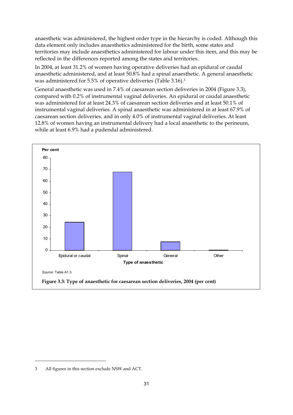anaesthetic was administered, the highest order type in the hierarchy is coded. Although this data element only includes anaesthetics administered for the birth, some states and territories may include anaesthetics administered for labour under this item, and this may be reflected in the differences reported among the states and territories.

In 2004, at least 31.2% of women having operative deliveries had an epidural or caudal anaesthetic administered, and at least 50.8% had a spinal anaesthetic. A general anaesthetic was administered for 5.5% of operative deliveries (Table 3.16).<sup>3</sup>

General anaesthetic was used in 7.4% of caesarean section deliveries in 2004 (Figure 3.3), compared with 0.2% of instrumental vaginal deliveries. An epidural or caudal anaesthetic was administered for at least 24.3% of caesarean section deliveries and at least 50.1% of instrumental vaginal deliveries. A spinal anaesthetic was administered in at least 67.9% of caesarean section deliveries, and in only 4.0% of instrumental vaginal deliveries.At least 12.8% of women having an instrumental delivery had a local anaesthetic to the perineum, while at least 6.9% had a pudendal administered.



 $\ddot{\phantom{a}}$ 

<sup>3</sup> All figures in this section exclude NSW and ACT.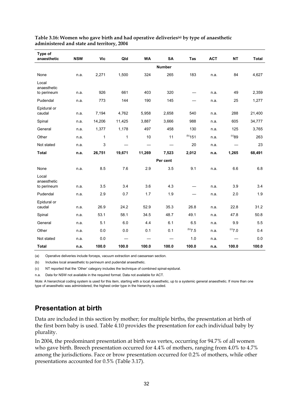| Type of<br>anaesthetic              | <b>NSW</b>   | <b>Vic</b>   | Qld          | <b>WA</b> | <b>SA</b>                | Tas          | <b>ACT</b> | <b>NT</b>   | <b>Total</b> |
|-------------------------------------|--------------|--------------|--------------|-----------|--------------------------|--------------|------------|-------------|--------------|
|                                     |              |              |              |           | <b>Number</b>            |              |            |             |              |
| None                                | n.a.         | 2,271        | 1,500        | 324       | 265                      | 183          | n.a.       | 84          | 4,627        |
| Local<br>anaesthetic<br>to perineum | n.a.         | 926          | 661          | 403       | 320                      |              | n.a.       | 49          | 2,359        |
| Pudendal                            | n.a.         | 773          | 144          | 190       | 145                      |              | n.a.       | 25          | 1,277        |
| Epidural or<br>caudal               | n.a.         | 7,194        | 4,762        | 5,958     | 2,658                    | 540          | n.a.       | 288         | 21,400       |
| Spinal                              | n.a.         | 14,206       | 11,425       | 3,887     | 3,666                    | 988          | n.a.       | 605         | 34,777       |
| General                             | n.a.         | 1,377        | 1,178        | 497       | 458                      | 130          | n.a.       | 125         | 3,765        |
| Other                               | n.a.         | $\mathbf{1}$ | $\mathbf{1}$ | 10        | 11                       | $^{(b)}$ 151 | n.a.       | $^{(c)}89$  | 263          |
| Not stated                          | n.a.         | 3            |              |           | $\overline{\phantom{0}}$ | 20           | n.a.       | —           | 23           |
| <b>Total</b>                        | n.a.         | 26,751       | 19,671       | 11,269    | 7,523                    | 2,012        | n.a.       | 1,265       | 68,491       |
|                                     |              |              |              |           | Per cent                 |              |            |             |              |
| None                                | n.a.         | 8.5          | 7.6          | 2.9       | 3.5                      | 9.1          | n.a.       | 6.6         | 6.8          |
| Local<br>anaesthetic                |              | 3.5          | 3.4          | 3.6       | 4.3                      |              |            | 3.9         | 3.4          |
| to perineum<br>Pudendal             | n.a.<br>n.a. | 2.9          | 0.7          | 1.7       | 1.9                      |              | n.a.       | 2.0         | 1.9          |
| Epidural or                         |              |              |              |           |                          |              | n.a.       |             |              |
| caudal                              | n.a.         | 26.9         | 24.2         | 52.9      | 35.3                     | 26.8         | n.a.       | 22.8        | 31.2         |
| Spinal                              | n.a.         | 53.1         | 58.1         | 34.5      | 48.7                     | 49.1         | n.a.       | 47.8        | 50.8         |
| General                             | n.a.         | 5.1          | 6.0          | 4.4       | 6.1                      | 6.5          | n.a.       | 9.9         | 5.5          |
| Other                               | n.a.         | 0.0          | 0.0          | 0.1       | 0.1                      | (b)7.5       | n.a.       | $^{(c)}7.0$ | 0.4          |
| Not stated                          | n.a.         | 0.0          |              |           |                          | 1.0          | n.a.       |             | 0.0          |
| <b>Total</b>                        | n.a.         | 100.0        | 100.0        | 100.0     | 100.0                    | 100.0        | n.a.       | 100.0       | 100.0        |

#### **Table 3.16: Women who gave birth and had operative deliveries(a) by type of anaesthetic administered and state and territory, 2004**

(a) Operative deliveries include forceps, vacuum extraction and caesarean section.

(b) Includes local anaesthetic to perineum and pudendal anaesthetic.

(c) NT reported that the 'Other' category includes the technique of combined spinal-epidural.

n.a.Data for NSW not available in the required format. Data not available for ACT.

*Note:* A hierarchical coding system is used for this item, starting with a local anaesthetic, up to a systemic general anaesthetic. If more than one type of anaesthetic was administered, the highest order type in the hierarchy is coded.

## **Presentation at birth**

Data are included in this section by mother; for multiple births, the presentation at birth of the first born baby is used. Table 4.10 provides the presentation for each individual baby by plurality.

In 2004, the predominant presentation at birth was vertex, occurring for 94.7% of all women who gave birth. Breech presentation occurred for 4.4% of mothers, ranging from 4.0% to 4.7% among the jurisdictions. Face or brow presentation occurred for 0.2% of mothers, while other presentations accounted for 0.5% (Table 3.17).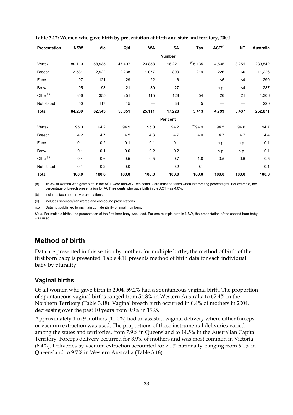| Presentation         | <b>NSW</b> | Vic    | Qld    | <b>WA</b> | <b>SA</b>     | Tas            | ACT <sup>(a)</sup> | <b>NT</b> | <b>Australia</b> |
|----------------------|------------|--------|--------|-----------|---------------|----------------|--------------------|-----------|------------------|
|                      |            |        |        |           | <b>Number</b> |                |                    |           |                  |
| Vertex               | 80,110     | 58,935 | 47,497 | 23,858    | 16,221        | $^{(b)}$ 5,135 | 4,535              | 3,251     | 239,542          |
| <b>Breech</b>        | 3,581      | 2,922  | 2,238  | 1,077     | 803           | 219            | 226                | 160       | 11,226           |
| Face                 | 97         | 121    | 29     | 22        | 16            |                | $5$                | $<$ 4     | 290              |
| <b>Brow</b>          | 95         | 93     | 21     | 39        | 27            |                | n.p.               | $<$ 4     | 287              |
| Other <sup>(c)</sup> | 356        | 355    | 251    | 115       | 128           | 54             | 26                 | 21        | 1,306            |
| Not stated           | 50         | 117    | 15     |           | 33            | 5              |                    |           | 220              |
| <b>Total</b>         | 84,289     | 62,543 | 50,051 | 25,111    | 17,228        | 5,413          | 4,799              | 3,437     | 252,871          |
|                      |            |        |        |           | Per cent      |                |                    |           |                  |
| Vertex               | 95.0       | 94.2   | 94.9   | 95.0      | 94.2          | $^{(b)}94.9$   | 94.5               | 94.6      | 94.7             |
| <b>Breech</b>        | 4.2        | 4.7    | 4.5    | 4.3       | 4.7           | 4.0            | 4.7                | 4.7       | 4.4              |
| Face                 | 0.1        | 0.2    | 0.1    | 0.1       | 0.1           |                | n.p.               | n.p.      | 0.1              |
| <b>Brow</b>          | 0.1        | 0.1    | 0.0    | 0.2       | 0.2           |                | n.p.               | n.p.      | 0.1              |
| Other <sup>(c)</sup> | 0.4        | 0.6    | 0.5    | 0.5       | 0.7           | 1.0            | 0.5                | 0.6       | 0.5              |
| Not stated           | 0.1        | 0.2    | 0.0    |           | 0.2           | 0.1            |                    |           | 0.1              |
| <b>Total</b>         | 100.0      | 100.0  | 100.0  | 100.0     | 100.0         | 100.0          | 100.0              | 100.0     | 100.0            |

#### **Table 3.17: Women who gave birth by presentation at birth and state and territory, 2004**

(a) 16.3% of women who gave birth in the ACT were non-ACT residents. Care must be taken when interpreting percentages. For example, the percentage of breech presentation for ACT residents who gave birth in the ACT was 4.0%.

(b) Includes face and brow presentations.

(c) Includes shoulder/transverse and compound presentations.

n.p. Data not published to maintain confidentiality of small numbers.

*Note:* For multiple births, the presentation of the first born baby was used. For one multiple birth in NSW, the presentation of the second born baby was used.

# **Method of birth**

Data are presented in this section by mother; for multiple births, the method of birth of the first born baby is presented. Table 4.11 presents method of birth data for each individual baby by plurality.

#### **Vaginal births**

Of all women who gave birth in 2004, 59.2% had a spontaneous vaginal birth. The proportion of spontaneous vaginal births ranged from 54.8% in Western Australia to 62.4% in the Northern Territory (Table 3.18). Vaginal breech birth occurred in 0.4% of mothers in 2004, decreasing over the past 10 years from 0.9% in 1995.

Approximately 1 in 9 mothers (11.0%) had an assisted vaginal delivery where either forceps or vacuum extraction was used. The proportions of these instrumental deliveries varied among the states and territories, from 7.9% in Queensland to 14.5% in the Australian Capital Territory. Forceps delivery occurred for 3.9% of mothers and was most common in Victoria (6.4%). Deliveries by vacuum extraction accounted for 7.1% nationally, ranging from 6.1% in Queensland to 9.7% in Western Australia (Table 3.18).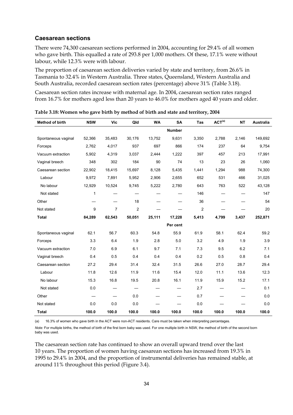#### **Caesarean sections**

There were 74,300 caesarean sections performed in 2004, accounting for 29.4% of all women who gave birth. This equalled a rate of 293.8 per 1,000 mothers. Of these, 17.1% were without labour, while 12.3% were with labour.

The proportion of caesarean section deliveries varied by state and territory, from 26.6% in Tasmania to 32.4% in Western Australia. Three states, Queensland, Western Australia and South Australia, recorded caesarean section rates (percentage) above 31% (Table 3.18).

Caesarean section rates increase with maternal age. In 2004, caesarean section rates ranged from 16.7% for mothers aged less than 20 years to 46.0% for mothers aged 40 years and older.

| <b>Method of birth</b> | <b>NSW</b>   | <b>Vic</b> | Qld            | <b>WA</b> | <b>SA</b>     | Tas   | ACT <sup>(a)</sup> | <b>NT</b> | Australia |
|------------------------|--------------|------------|----------------|-----------|---------------|-------|--------------------|-----------|-----------|
|                        |              |            |                |           | <b>Number</b> |       |                    |           |           |
| Spontaneous vaginal    | 52,366       | 35,483     | 30,176         | 13,752    | 9,631         | 3,350 | 2,788              | 2,146     | 149,692   |
| Forceps                | 2,762        | 4,017      | 937            | 697       | 866           | 174   | 237                | 64        | 9,754     |
| Vacuum extraction      | 5,902        | 4,319      | 3,037          | 2,444     | 1,222         | 397   | 457                | 213       | 17,991    |
| Vaginal breech         | 348          | 302        | 184            | 90        | 74            | 13    | 23                 | 26        | 1,060     |
| Caesarean section      | 22,902       | 18,415     | 15,697         | 8,128     | 5,435         | 1,441 | 1,294              | 988       | 74,300    |
| Labour                 | 9,972        | 7,891      | 5,952          | 2,906     | 2,655         | 652   | 531                | 466       | 31,025    |
| No labour              | 12,929       | 10,524     | 9,745          | 5,222     | 2,780         | 643   | 763                | 522       | 43,128    |
| Not stated             | $\mathbf{1}$ |            |                |           |               | 146   |                    |           | 147       |
| Other                  |              |            | 18             |           |               | 36    |                    |           | 54        |
| Not stated             | 9            | 7          | $\overline{2}$ |           |               | 2     |                    |           | 20        |
| <b>Total</b>           | 84,289       | 62,543     | 50,051         | 25,111    | 17,228        | 5,413 | 4,799              | 3,437     | 252,871   |
|                        |              |            |                |           | Per cent      |       |                    |           |           |
| Spontaneous vaginal    | 62.1         | 56.7       | 60.3           | 54.8      | 55.9          | 61.9  | 58.1               | 62.4      | 59.2      |
| Forceps                | 3.3          | 6.4        | 1.9            | 2.8       | 5.0           | 3.2   | 4.9                | 1.9       | 3.9       |
| Vacuum extraction      | 7.0          | 6.9        | 6.1            | 9.7       | 7.1           | 7.3   | 9.5                | 6.2       | 7.1       |
| Vaginal breech         | 0.4          | 0.5        | 0.4            | 0.4       | 0.4           | 0.2   | 0.5                | 0.8       | 0.4       |
| Caesarean section      | 27.2         | 29.4       | 31.4           | 32.4      | 31.5          | 26.6  | 27.0               | 28.7      | 29.4      |
| Labour                 | 11.8         | 12.6       | 11.9           | 11.6      | 15.4          | 12.0  | 11.1               | 13.6      | 12.3      |
| No labour              | 15.3         | 16.8       | 19.5           | 20.8      | 16.1          | 11.9  | 15.9               | 15.2      | 17.1      |
| Not stated             | 0.0          |            |                |           |               | 2.7   |                    |           | 0.1       |
| Other                  |              |            | 0.0            |           |               | 0.7   |                    |           | 0.0       |
| Not stated             | 0.0          | 0.0        | 0.0            |           |               | 0.0   |                    |           | 0.0       |
| <b>Total</b>           | 100.0        | 100.0      | 100.0          | 100.0     | 100.0         | 100.0 | 100.0              | 100.0     | 100.0     |

**Table 3.18: Women who gave birth by method of birth and state and territory, 2004** 

(a) 16.3% of women who gave birth in the ACT were non-ACT residents. Care must be taken when interpreting percentages.

*Note:* For multiple births, the method of birth of the first born baby was used. For one multiple birth in NSW, the method of birth of the second born baby was used.

The caesarean section rate has continued to show an overall upward trend over the last 10 years. The proportion of women having caesarean sections has increased from 19.3% in 1995 to 29.4% in 2004, and the proportion of instrumental deliveries has remained stable, at around 11% throughout this period (Figure 3.4).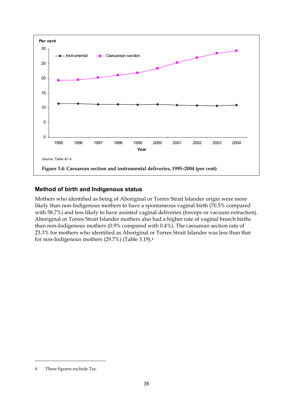

#### **Method of birth and Indigenous status**

Mothers who identified as being of Aboriginal or Torres Strait Islander origin were more likely than non-Indigenous mothers to have a spontaneous vaginal birth (70.5% compared with 58.7%) and less likely to have assisted vaginal deliveries (forceps or vacuum extraction). Aboriginal or Torres Strait Islander mothers also had a higher rate of vaginal breech births than non-Indigenous mothers (0.9% compared with 0.4%). The caesarean section rate of 23.3% for mothers who identified as Aboriginal or Torres Strait Islander was less than that for non-Indigenous mothers (29.7%) (Table 3.19).4

 $\ddot{\phantom{a}}$ 

<sup>4</sup> These figures exclude Tas.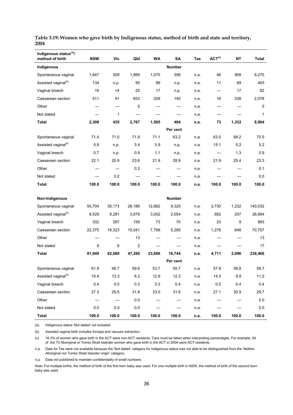| Indigenous status <sup>(a)</sup> /<br>method of birth | <b>NSW</b> | <b>Vic</b> | Qld            | <b>WA</b> | SA            | Tas  | ACT <sup>(c)</sup> | <b>NT</b> | Total        |
|-------------------------------------------------------|------------|------------|----------------|-----------|---------------|------|--------------------|-----------|--------------|
| Indigenous                                            |            |            |                |           | <b>Number</b> |      |                    |           |              |
| Spontaneous vaginal                                   | 1,647      | 309        | 1,989          | 1,070     | 306           | n.a. | 46                 | 908       | 6,275        |
| Assisted vaginal <sup>(b)</sup>                       | 134        | n.p.       | 95             | 89        | n.p.          | n.a. | 11                 | 69        | 463          |
| Vaginal breech                                        | 16         | <4         | 25             | 17        | n.p.          | n.a. |                    | 17        | 82           |
| Caesarean section                                     | 511        | 91         | 653            | 329       | 140           | n.a. | 16                 | 338       | 2,078        |
| Other                                                 |            |            | 5              |           |               | n.a. |                    |           | 5            |
| Not stated                                            |            | 1          |                |           |               | n.a. |                    |           | $\mathbf{1}$ |
| <b>Total</b>                                          | 2,308      | 435        | 2,767          | 1,505     | 484           | n.a. | 73                 | 1,332     | 8,904        |
|                                                       |            |            |                |           | Per cent      |      |                    |           |              |
| Spontaneous vaginal                                   | 71.4       | 71.0       | 71.9           | 71.1      | 63.2          | n.a. | 63.0               | 68.2      | 70.5         |
| Assisted vaginal <sup>(b)</sup>                       | 5.8        | n.p.       | 3.4            | 5.9       | n.p.          | n.a. | 15.1               | 5.2       | 5.2          |
| Vaginal breech                                        | 0.7        | n.p.       | 0.9            | 1.1       | n.p.          | n.a. |                    | 1.3       | 0.9          |
| Caesarean section                                     | 22.1       | 20.9       | 23.6           | 21.9      | 28.9          | n.a. | 21.9               | 25.4      | 23.3         |
| Other                                                 |            |            | 0.2            |           |               | n.a. |                    |           | 0.1          |
| Not stated                                            |            | 0.2        |                |           |               | n.a. |                    |           | 0.0          |
| <b>Total</b>                                          | 100.0      | 100.0      | 100.0          | 100.0     | 100.0         | n.a. | 100.0              | 100.0     | 100.0        |
|                                                       |            |            |                |           |               |      |                    |           |              |
| Non-Indigenous                                        |            |            |                |           | <b>Number</b> |      |                    |           |              |
| Spontaneous vaginal                                   | 50,704     | 35,173     | 28,186         | 12,682    | 9,325         | n.a. | 2,730              | 1,232     | 140,032      |
| Assisted vaginal <sup>(b)</sup>                       | 8,529      | 8,281      | 3,879          | 3,052     | 2,054         | n.a. | 682                | 207       | 26,684       |
| Vaginal breech                                        | 332        | 297        | 159            | 73        | 70            | n.a. | 23                 | 9         | 963          |
| Caesarean section                                     | 22,375     | 18,323     | 15,041         | 7,799     | 5,295         | n.a. | 1,276              | 648       | 70,757       |
| Other                                                 |            |            | 13             |           |               | n.a. |                    |           | 13           |
| Not stated                                            | 9          | 6          | $\overline{2}$ |           |               | n.a. |                    |           | 17           |
| <b>Total</b>                                          | 81,949     | 62,080     | 47,280         | 23,606    | 16,744        | n.a. | 4,711              | 2,096     | 238,466      |
|                                                       |            |            |                |           | Per cent      |      |                    |           |              |
| Spontaneous vaginal                                   | 61.9       | 56.7       | 59.6           | 53.7      | 55.7          | n.a. | 57.9               | 58.8      | 58.7         |
| Assisted vaginal <sup>(b)</sup>                       | 10.4       | 13.3       | 8.2            | 12.9      | 12.3          | n.a. | 14.5               | 9.9       | 11.2         |
| Vaginal breech                                        | 0.4        | 0.5        | $0.3\,$        | 0.3       | 0.4           | n.a. | 0.5                | 0.4       | 0.4          |
| Caesarean section                                     | 27.3       | 29.5       | 31.8           | 33.0      | 31.6          | n.a. | 27.1               | 30.9      | 29.7         |
| Other                                                 |            |            | 0.0            |           |               | n.a. |                    |           | $0.0\,$      |
| Not stated                                            | 0.0        | $0.0\,$    | $0.0\,$        |           |               | n.a. |                    |           | $0.0\,$      |
| <b>Total</b>                                          | 100.0      | 100.0      | 100.0          | 100.0     | 100.0         | n.a. | 100.0              | 100.0     | 100.0        |

**Table 3.19: Women who gave birth by Indigenous status, method of birth and state and territory, 2004** 

(a) Indigenous status 'Not stated' not included.

(b) Assisted vaginal birth includes forceps and vacuum extraction.

(c) 16.3% of women who gave birth in the ACT were non-ACT residents. Care must be taken when interpreting percentages. For example, 54 of the 73 Aboriginal or Torres Strait Islander women who gave birth in the ACT in 2004 were ACT residents.

n.a. Data for Tas were not available because the 'Not stated' category for Indigenous status was not able to be distinguished from the 'Neither Aboriginal nor Torres Strait Islander origin' category.

n.p. Data not published to maintain confidentiality of small numbers.

*Note:* For multiple births, the method of birth of the first born baby was used. For one multiple birth in NSW, the method of birth of the second born baby was used.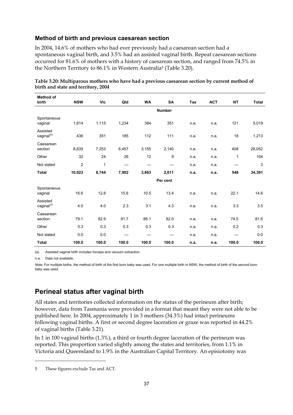#### **Method of birth and previous caesarean section**

In 2004, 14.6% of mothers who had ever previously had a caesarean section had a spontaneous vaginal birth, and 3.5% had an assisted vaginal birth. Repeat caesarean sections occurred for 81.6% of mothers with a history of caesarean section, and ranged from 74.5% in the Northern Territory to 86.1% in Western Australia<sup>5</sup> (Table 3.20).

| <b>Method of</b><br>birth          | <b>NSW</b>     | <b>Vic</b>   | Qld   | <b>WA</b> | <b>SA</b>     | Tas  | <b>ACT</b> | <b>NT</b> | <b>Total</b> |
|------------------------------------|----------------|--------------|-------|-----------|---------------|------|------------|-----------|--------------|
|                                    |                |              |       |           | <b>Number</b> |      |            |           |              |
| Spontaneous<br>vaginal             | 1,814          | 1,115        | 1,234 | 384       | 351           | n.a. | n.a.       | 121       | 5,019        |
| Assisted<br>vaginal <sup>(a)</sup> | 436            | 351          | 185   | 112       | 111           | n.a. | n.a.       | 18        | 1,213        |
| Caesarean<br>section               | 8,639          | 7,253        | 6,457 | 3,155     | 2,140         | n.a. | n.a.       | 408       | 28,052       |
| Other                              | 32             | 24           | 26    | 12        | 9             | n.a. | n.a.       | 1         | 104          |
| Not stated                         | $\overline{2}$ | $\mathbf{1}$ |       |           |               | n.a. | n.a.       |           | 3            |
| <b>Total</b>                       | 10,923         | 8,744        | 7,902 | 3,663     | 2,611         | n.a. | n.a.       | 548       | 34,391       |
|                                    |                |              |       |           | Per cent      |      |            |           |              |
| Spontaneous<br>vaginal             | 16.6           | 12.8         | 15.6  | 10.5      | 13.4          | n.a. | n.a.       | 22.1      | 14.6         |
| Assisted<br>vaginal <sup>(a)</sup> | 4.0            | 4.0          | 2.3   | 3.1       | 4.3           | n.a. | n.a.       | 3.3       | 3.5          |
| Caesarean<br>section               | 79.1           | 82.9         | 81.7  | 86.1      | 82.0          | n.a. | n.a.       | 74.5      | 81.6         |
| Other                              | 0.3            | 0.3          | 0.3   | 0.3       | 0.3           | n.a. | n.a.       | 0.2       | 0.3          |
| Not stated                         | 0.0            | 0.0          |       |           |               | n.a. | n.a.       |           | 0.0          |
| <b>Total</b>                       | 100.0          | 100.0        | 100.0 | 100.0     | 100.0         | n.a. | n.a.       | 100.0     | 100.0        |

**Table 3.20: Multiparous mothers who have had a previous caesarean section by current method of birth and state and territory, 2004** 

(a) Assisted vaginal birth includes forceps and vacuum extraction.

n.a. Data not available.

 $\ddot{\phantom{a}}$ 

*Note:* For multiple births, the method of birth of the first born baby was used. For one multiple birth in NSW, the method of birth of the second born baby was used.

# **Perineal status after vaginal birth**

All states and territories collected information on the status of the perineum after birth; however, data from Tasmania were provided in a format that meant they were not able to be published here. In 2004, approximately 1 in 3 mothers (34.3%) had intact perineums following vaginal births. A first or second degree laceration or graze was reported in 44.2% of vaginal births (Table 3.21).

In 1 in 100 vaginal births (1.3%), a third or fourth degree laceration of the perineum was reported. This proportion varied slightly among the states and territories, from 1.1% in Victoria and Queensland to 1.9% in the Australian Capital Territory. An episiotomy was

<sup>5</sup> These figures exclude Tas and ACT.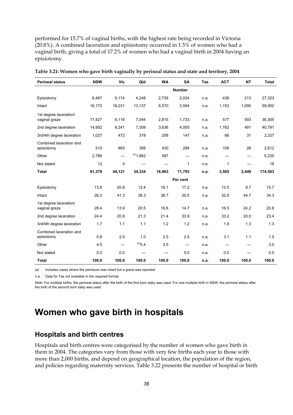performed for 15.7% of vaginal births, with the highest rate being recorded in Victoria (20.8%). A combined laceration and episiotomy occurred in 1.5% of women who had a vaginal birth, giving a total of 17.2% of women who had a vaginal birth in 2004 having an episiotomy.

| <b>Perineal status</b>                  | <b>NSW</b> | <b>Vic</b>               | Qld         | <b>WA</b> | <b>SA</b>                | <b>Tas</b> | <b>ACT</b>               | <b>NT</b>                | <b>Total</b> |
|-----------------------------------------|------------|--------------------------|-------------|-----------|--------------------------|------------|--------------------------|--------------------------|--------------|
|                                         |            |                          |             |           | <b>Number</b>            |            |                          |                          |              |
| Episiotomy                              | 8,487      | 9,174                    | 4,248       | 2,739     | 2,024                    | n.a.       | 438                      | 213                      | 27,323       |
| Intact                                  | 16,172     | 18,231                   | 13,137      | 6,570     | 3,594                    | n.a.       | 1,153                    | 1,095                    | 59,952       |
| 1st degree laceration/<br>vaginal graze | 17,427     | 6,116                    | 7,044       | 2,815     | 1,733                    | n.a.       | 577                      | 593                      | 36,305       |
| 2nd degree laceration                   | 14,952     | 9,241                    | 7,309       | 3,636     | 4,000                    | n.a.       | 1,162                    | 491                      | 40,791       |
| 3rd/4th degree laceration               | 1,027      | 472                      | 378         | 206       | 147                      | n.a.       | 66                       | 31                       | 2,327        |
| Combined laceration and<br>episiotomy   | 515        | 883                      | 356         | 430       | 294                      | n.a.       | 108                      | 26                       | 2,612        |
| Other                                   | 2,786      |                          | $(a)$ 1,862 | 587       | $\overline{\phantom{0}}$ | n.a.       | $\qquad \qquad$          | $\overline{\phantom{0}}$ | 5,235        |
| Not stated                              | 12         | 4                        |             |           | 1                        | n.a.       | 1                        |                          | 18           |
| <b>Total</b>                            | 61,378     | 44,121                   | 34,334      | 16,983    | 11,793                   | n.a.       | 3,505                    | 2,449                    | 174,563      |
|                                         |            |                          |             |           | Per cent                 |            |                          |                          |              |
| Episiotomy                              | 13.8       | 20.8                     | 12.4        | 16.1      | 17.2                     | n.a.       | 12.5                     | 8.7                      | 15.7         |
| Intact                                  | 26.3       | 41.3                     | 38.3        | 38.7      | 30.5                     | n.a.       | 32.9                     | 44.7                     | 34.3         |
| 1st degree laceration/<br>vaginal graze | 28.4       | 13.9                     | 20.5        | 16.6      | 14.7                     | n.a.       | 16.5                     | 24.2                     | 20.8         |
| 2nd degree laceration                   | 24.4       | 20.9                     | 21.3        | 21.4      | 33.9                     | n.a.       | 33.2                     | 20.0                     | 23.4         |
| 3rd/4th degree laceration               | 1.7        | 1.1                      | 1.1         | 1.2       | 1.2                      | n.a.       | 1.9                      | 1.3                      | 1.3          |
| Combined laceration and<br>episiotomy   | 0.8        | 2.0                      | 1.0         | 2.5       | 2.5                      | n.a.       | 3.1                      | 1.1                      | 1.5          |
| Other                                   | 4.5        | $\overline{\phantom{0}}$ | $(a)$ 5.4   | 3.5       |                          | n.a.       | $\overline{\phantom{m}}$ | $\overline{\phantom{0}}$ | 3.0          |
| Not stated                              | 0.0        | 0.0                      |             |           | 0.0                      | n.a.       | 0.0                      |                          | 0.0          |
| <b>Total</b>                            | 100.0      | 100.0                    | 100.0       | 100.0     | 100.0                    | n.a.       | 100.0                    | 100.0                    | 100.0        |

| Table 3.21: Women who gave birth vaginally by perineal status and state and territory, 2004 |  |  |  |
|---------------------------------------------------------------------------------------------|--|--|--|
|                                                                                             |  |  |  |

(a) Includes cases where the perineum was intact but a graze was reported.

n.a. Data for Tas not available in the required format.

*Note:* For multiple births, the perineal status after the birth of the first born baby was used. For one multiple birth in NSW, the perineal status after the birth of the second born baby was used.

# **Women who gave birth in hospitals**

## **Hospitals and birth centres**

Hospitals and birth centres were categorised by the number of women who gave birth in them in 2004. The categories vary from those with very few births each year to those with more than 2,000 births, and depend on geographical location, the population of the region, and policies regarding maternity services. Table 3.22 presents the number of hospital or birth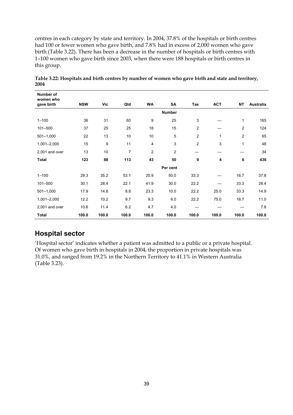centres in each category by state and territory. In 2004, 37.8% of the hospitals or birth centres had 100 or fewer women who gave birth, and 7.8% had in excess of 2,000 women who gave birth (Table 3.22). There has been a decrease in the number of hospitals or birth centres with 1–100 women who gave birth since 2003, when there were 188 hospitals or birth centres in this group.

| Number of<br>women who |            |       |       |                |                |                |            |                |                  |
|------------------------|------------|-------|-------|----------------|----------------|----------------|------------|----------------|------------------|
| gave birth             | <b>NSW</b> | Vic   | Qld   | <b>WA</b>      | SA             | <b>Tas</b>     | <b>ACT</b> | <b>NT</b>      | <b>Australia</b> |
|                        |            |       |       |                | <b>Number</b>  |                |            |                |                  |
| $1 - 100$              | 36         | 31    | 60    | 9              | 25             | 3              |            | 1              | 165              |
| 101-500                | 37         | 25    | 25    | 18             | 15             | $\overline{c}$ |            | $\overline{c}$ | 124              |
| $501 - 1,000$          | 22         | 13    | 10    | 10             | 5              | $\overline{c}$ | 1          | 2              | 65               |
| 1,001-2,000            | 15         | 9     | 11    | $\overline{4}$ | 3              | $\overline{c}$ | 3          | $\mathbf 1$    | 48               |
| 2,001 and over         | 13         | 10    | 7     | 2              | $\overline{c}$ | —              |            |                | 34               |
| <b>Total</b>           | 123        | 88    | 113   | 43             | 50             | 9              | 4          | 6              | 436              |
|                        |            |       |       |                | Per cent       |                |            |                |                  |
| $1 - 100$              | 29.3       | 35.2  | 53.1  | 20.9           | 50.0           | 33.3           |            | 16.7           | 37.8             |
| 101-500                | 30.1       | 28.4  | 22.1  | 41.9           | 30.0           | 22.2           |            | 33.3           | 28.4             |
| $501 - 1,000$          | 17.9       | 14.8  | 8.8   | 23.3           | 10.0           | 22.2           | 25.0       | 33.3           | 14.9             |
| 1,001-2,000            | 12.2       | 10.2  | 9.7   | 9.3            | 6.0            | 22.2           | 75.0       | 16.7           | 11.0             |
| 2,001 and over         | 10.6       | 11.4  | 6.2   | 4.7            | 4.0            |                |            |                | 7.8              |
| <b>Total</b>           | 100.0      | 100.0 | 100.0 | 100.0          | 100.0          | 100.0          | 100.0      | 100.0          | 100.0            |

**Table 3.22: Hospitals and birth centres by number of women who gave birth and state and territory, 2004** 

# **Hospital sector**

'Hospital sector' indicates whether a patient was admitted to a public or a private hospital. Of women who gave birth in hospitals in 2004, the proportion in private hospitals was 31.0%, and ranged from 19.2% in the Northern Territory to 41.1% in Western Australia (Table 3.23).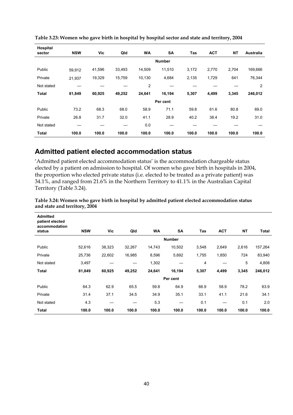| Hospital<br>sector | <b>NSW</b> | Vic    | Qld    | <b>WA</b> | <b>SA</b>     | Tas   | <b>ACT</b> | <b>NT</b> | <b>Australia</b> |
|--------------------|------------|--------|--------|-----------|---------------|-------|------------|-----------|------------------|
|                    |            |        |        |           | <b>Number</b> |       |            |           |                  |
| Public             | 59,912     | 41,596 | 33,493 | 14,509    | 11,510        | 3,172 | 2,770      | 2,704     | 169,666          |
| Private            | 21,937     | 19,329 | 15,759 | 10,130    | 4,684         | 2,135 | 1,729      | 641       | 76,344           |
| Not stated         |            |        |        | 2         |               |       |            |           | 2                |
| <b>Total</b>       | 81,849     | 60,925 | 49,252 | 24,641    | 16,194        | 5,307 | 4,499      | 3,345     | 246,012          |
|                    |            |        |        |           | Per cent      |       |            |           |                  |
| Public             | 73.2       | 68.3   | 68.0   | 58.9      | 71.1          | 59.8  | 61.6       | 80.8      | 69.0             |
| Private            | 26.8       | 31.7   | 32.0   | 41.1      | 28.9          | 40.2  | 38.4       | 19.2      | 31.0             |
| Not stated         |            |        |        | 0.0       |               |       |            |           |                  |
| <b>Total</b>       | 100.0      | 100.0  | 100.0  | 100.0     | 100.0         | 100.0 | 100.0      | 100.0     | 100.0            |

**Table 3.23: Women who gave birth in hospital by hospital sector and state and territory, 2004** 

## **Admitted patient elected accommodation status**

'Admitted patient elected accommodation status' is the accommodation chargeable status elected by a patient on admission to hospital. Of women who gave birth in hospitals in 2004, the proportion who elected private status (i.e. elected to be treated as a private patient) was 34.1%, and ranged from 21.6% in the Northern Territory to 41.1% in the Australian Capital Territory (Table 3.24).

| <b>Admitted</b><br>patient elected<br>accommodation<br>status | <b>NSW</b> | Vic    | Qld    | <b>WA</b> | <b>SA</b>     | Tas   | <b>ACT</b> | <b>NT</b> | Total   |
|---------------------------------------------------------------|------------|--------|--------|-----------|---------------|-------|------------|-----------|---------|
|                                                               |            |        |        |           | <b>Number</b> |       |            |           |         |
| Public                                                        | 52,616     | 38,323 | 32,267 | 14,743    | 10,502        | 3,548 | 2,649      | 2,616     | 157,264 |
| Private                                                       | 25,736     | 22,602 | 16,985 | 8,596     | 5,692         | 1,755 | 1,850      | 724       | 83,940  |
| Not stated                                                    | 3,497      |        |        | 1,302     |               | 4     |            | 5         | 4,808   |
| Total                                                         | 81,849     | 60,925 | 49,252 | 24,641    | 16,194        | 5,307 | 4,499      | 3,345     | 246,012 |
|                                                               |            |        |        |           | Per cent      |       |            |           |         |
| Public                                                        | 64.3       | 62.9   | 65.5   | 59.8      | 64.9          | 66.9  | 58.9       | 78.2      | 63.9    |
| Private                                                       | 31.4       | 37.1   | 34.5   | 34.9      | 35.1          | 33.1  | 41.1       | 21.6      | 34.1    |
| Not stated                                                    | 4.3        |        |        | 5.3       |               | 0.1   |            | 0.1       | 2.0     |
| Total                                                         | 100.0      | 100.0  | 100.0  | 100.0     | 100.0         | 100.0 | 100.0      | 100.0     | 100.0   |

**Table 3.24: Women who gave birth in hospital by admitted patient elected accommodation status and state and territory, 2004**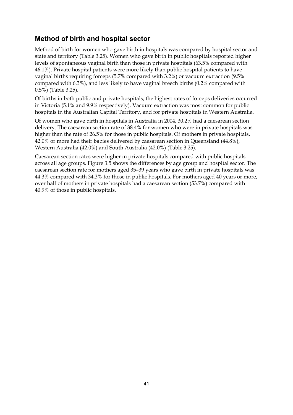# **Method of birth and hospital sector**

Method of birth for women who gave birth in hospitals was compared by hospital sector and state and territory (Table 3.25). Women who gave birth in public hospitals reported higher levels of spontaneous vaginal birth than those in private hospitals (63.5% compared with 46.1%). Private hospital patients were more likely than public hospital patients to have vaginal births requiring forceps (5.7% compared with 3.2%) or vacuum extraction (9.5% compared with 6.3%), and less likely to have vaginal breech births (0.2% compared with 0.5%) (Table 3.25).

Of births in both public and private hospitals, the highest rates of forceps deliveries occurred in Victoria (5.1% and 9.9% respectively). Vacuum extraction was most common for public hospitals in the Australian Capital Territory, and for private hospitals in Western Australia.

Of women who gave birth in hospitals in Australia in 2004, 30.2% had a caesarean section delivery. The caesarean section rate of 38.4% for women who were in private hospitals was higher than the rate of 26.5% for those in public hospitals. Of mothers in private hospitals, 42.0% or more had their babies delivered by caesarean section in Queensland (44.8%), Western Australia (42.0%) and South Australia (42.0%) (Table 3.25).

Caesarean section rates were higher in private hospitals compared with public hospitals across all age groups. Figure 3.5 shows the differences by age group and hospital sector. The caesarean section rate for mothers aged 35–39 years who gave birth in private hospitals was 44.3% compared with 34.3% for those in public hospitals. For mothers aged 40 years or more, over half of mothers in private hospitals had a caesarean section (53.7%) compared with 40.9% of those in public hospitals.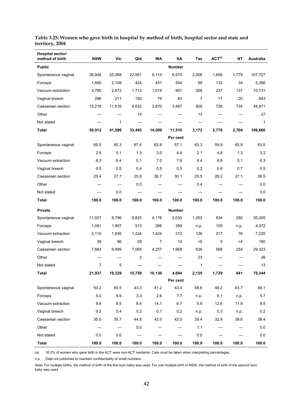| Hospital sector/<br>method of birth | <b>NSW</b> | <b>Vic</b> | Qld    | <b>WA</b> | SA            | Tas   | ACT <sup>(a)</sup> | <b>NT</b> | Australia |
|-------------------------------------|------------|------------|--------|-----------|---------------|-------|--------------------|-----------|-----------|
| <b>Public</b>                       |            |            |        |           | <b>Number</b> |       |                    |           |           |
| Spontaneous vaginal                 | 38,948     | 25,088     | 22,561 | 9,110     | 6,575         | 2,008 | 1,658              | 1,779     | 107,727   |
| Forceps                             | 1,665      | 2,108      | 424    | 431       | 504           | 68    | 132                | 34        | 5,366     |
| Vacuum extraction                   | 3,785      | 2,672      | 1,712  | 1,019     | 901           | 268   | 237                | 137       | 10,731    |
| Vaginal breech                      | 296        | 211        | 150    | 79        | 63            | 7     | 17                 | 20        | 843       |
| Caesarean section                   | 15,218     | 11,516     | 8,632  | 3,870     | 3,467         | 808   | 726                | 734       | 44,971    |
| Other                               |            |            | 14     |           |               | 13    |                    |           | 27        |
| Not stated                          |            | 1          |        |           |               |       |                    |           | 1         |
| <b>Total</b>                        | 59,912     | 41,596     | 33,493 | 14,509    | 11,510        | 3,172 | 2,770              | 2,704     | 169,666   |
|                                     |            |            |        |           | Per cent      |       |                    |           |           |
| Spontaneous vaginal                 | 65.0       | 60.3       | 67.4   | 62.8      | 57.1          | 63.3  | 59.9               | 65.8      | 63.5      |
| Forceps                             | 2.8        | 5.1        | 1.3    | 3.0       | 4.4           | 2.1   | 4.8                | 1.3       | 3.2       |
| Vacuum extraction                   | 6.3        | 6.4        | 5.1    | 7.0       | 7.8           | 8.4   | 8.6                | 5.1       | 6.3       |
| Vaginal breech                      | 0.5        | 0.5        | 0.4    | 0.5       | 0.5           | 0.2   | 0.6                | 0.7       | 0.5       |
| Caesarean section                   | 25.4       | 27.7       | 25.8   | 26.7      | 30.1          | 25.5  | 26.2               | 27.1      | 26.5      |
| Other                               |            |            | 0.0    |           |               | 0.4   |                    |           | 0.0       |
| Not stated                          |            | 0.0        |        |           |               |       |                    |           | 0.0       |
| <b>Total</b>                        | 100.0      | 100.0      | 100.0  | 100.0     | 100.0         | 100.0 | 100.0              | 100.0     | 100.0     |
| Private                             |            |            |        |           | <b>Number</b> |       |                    |           |           |
| Spontaneous vaginal                 | 11,007     | 8,796      | 6,825  | 4,176     | 2,035         | 1,252 | 834                | 280       | 35,205    |
| Forceps                             | 1,091      | 1,907      | 513    | 266       | 359           | n.p.  | 105                | n.p.      | 4,372     |
| Vacuum extraction                   | 2,110      | 1,636      | 1,324  | 1,424     | 312           | 126   | 217                | 76        | 7,225     |
| Vaginal breech                      | 38         | 86         | 29     | 7         | 10            | $5$   | 5                  | <4        | 180       |
| Caesarean section                   | 7,684      | 6,899      | 7,065  | 4,257     | 1,968         | 628   | 568                | 254       | 29,323    |
| Other                               |            |            | 3      |           |               | 23    |                    |           | 26        |
| Not stated                          | 7          | 5          |        |           |               | 1     |                    |           | 13        |
| Total                               | 21,937     | 19,329     | 15,759 | 10,130    | 4,684         | 2,135 | 1,729              | 641       | 76,344    |
|                                     |            |            |        |           | Per cent      |       |                    |           |           |
| Spontaneous vaginal                 | 50.2       | 45.5       | 43.3   | 41.2      | 43.4          | 58.6  | 48.2               | 43.7      | 46.1      |
| Forceps                             | 5.0        | 9.9        | 3.3    | 2.6       | 7.7           | n.p.  | 6.1                | n.p.      | $5.7\,$   |
| Vacuum extraction                   | 9.6        | 8.5        | 8.4    | 14.1      | 6.7           | 5.9   | 12.6               | 11.9      | $9.5\,$   |
| Vaginal breech                      | 0.2        | 0.4        | 0.2    | 0.1       | 0.2           | n.p.  | $0.3\,$            | n.p.      | $0.2\,$   |
| Caesarean section                   | 35.0       | 35.7       | 44.8   | 42.0      | 42.0          | 29.4  | 32.9               | 39.6      | 38.4      |
| Other                               |            |            | 0.0    |           |               | 1.1   |                    |           | $0.0\,$   |
| Not stated                          | 0.0        | $0.0\,$    |        |           |               | 0.0   |                    |           | 0.0       |
| <b>Total</b>                        | 100.0      | 100.0      | 100.0  | 100.0     | 100.0         | 100.0 | 100.0              | 100.0     | 100.0     |

#### **Table 3.25: Women who gave birth in hospital by method of birth, hospital sector and state and territory, 2004**

(a) 16.3% of women who gave birth in the ACT were non-ACT residents. Care must be taken when interpreting percentages.

n.p. Data not published to maintain confidentiality of small numbers.

*Note:* For multiple births, the method of birth of the first born baby was used. For one multiple birth in NSW, the method of birth of the second born baby was used.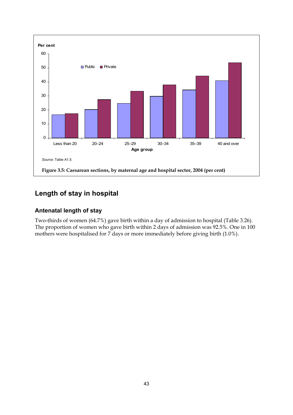

# **Length of stay in hospital**

## **Antenatal length of stay**

Two-thirds of women (64.7%) gave birth within a day of admission to hospital (Table 3.26). The proportion of women who gave birth within 2 days of admission was 92.5%. One in 100 mothers were hospitalised for 7 days or more immediately before giving birth (1.0%).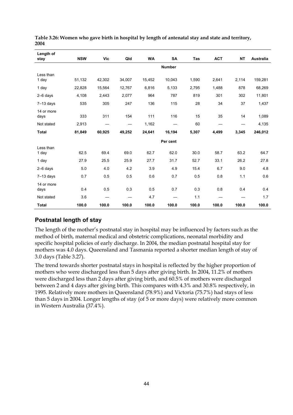| Length of<br>stay  | <b>NSW</b> | <b>Vic</b> | Qld    | <b>WA</b> | SA            | <b>Tas</b> | <b>ACT</b> | <b>NT</b> | <b>Australia</b> |
|--------------------|------------|------------|--------|-----------|---------------|------------|------------|-----------|------------------|
|                    |            |            |        |           | <b>Number</b> |            |            |           |                  |
| Less than<br>1 day | 51,132     | 42,302     | 34,007 | 15,452    | 10,043        | 1,590      | 2,641      | 2,114     | 159,281          |
| 1 day              | 22,828     | 15,564     | 12,767 | 6,816     | 5,133         | 2,795      | 1,488      | 878       | 68,269           |
| $2-6$ days         | 4,108      | 2,443      | 2,077  | 964       | 787           | 819        | 301        | 302       | 11,801           |
| $7-13$ days        | 535        | 305        | 247    | 136       | 115           | 28         | 34         | 37        | 1,437            |
| 14 or more<br>days | 333        | 311        | 154    | 111       | 116           | 15         | 35         | 14        | 1,089            |
| Not stated         | 2,913      |            |        | 1,162     |               | 60         |            |           | 4,135            |
| <b>Total</b>       | 81,849     | 60,925     | 49,252 | 24,641    | 16,194        | 5,307      | 4,499      | 3,345     | 246,012          |
|                    |            |            |        |           | Per cent      |            |            |           |                  |
| Less than<br>1 day | 62.5       | 69.4       | 69.0   | 62.7      | 62.0          | 30.0       | 58.7       | 63.2      | 64.7             |
| 1 day              | 27.9       | 25.5       | 25.9   | 27.7      | 31.7          | 52.7       | 33.1       | 26.2      | 27.8             |
| 2-6 days           | 5.0        | 4.0        | 4.2    | 3.9       | 4.9           | 15.4       | 6.7        | 9.0       | 4.8              |
| $7-13$ days        | 0.7        | 0.5        | 0.5    | 0.6       | 0.7           | 0.5        | 0.8        | 1.1       | 0.6              |
| 14 or more<br>days | 0.4        | 0.5        | 0.3    | 0.5       | 0.7           | 0.3        | 0.8        | 0.4       | 0.4              |
| Not stated         | 3.6        |            |        | 4.7       |               | 1.1        |            |           | 1.7              |
| <b>Total</b>       | 100.0      | 100.0      | 100.0  | 100.0     | 100.0         | 100.0      | 100.0      | 100.0     | 100.0            |

**Table 3.26: Women who gave birth in hospital by length of antenatal stay and state and territory, 2004** 

## **Postnatal length of stay**

The length of the mother's postnatal stay in hospital may be influenced by factors such as the method of birth, maternal medical and obstetric complications, neonatal morbidity and specific hospital policies of early discharge. In 2004, the median postnatal hospital stay for mothers was 4.0 days. Queensland and Tasmania reported a shorter median length of stay of 3.0 days (Table 3.27).

The trend towards shorter postnatal stays in hospital is reflected by the higher proportion of mothers who were discharged less than 5 days after giving birth. In 2004, 11.2% of mothers were discharged less than 2 days after giving birth, and 60.5% of mothers were discharged between 2 and 4 days after giving birth. This compares with 4.3% and 30.8% respectively, in 1995. Relatively more mothers in Queensland (78.9%) and Victoria (75.7%) had stays of less than 5 days in 2004. Longer lengths of stay (of 5 or more days) were relatively more common in Western Australia (37.4%).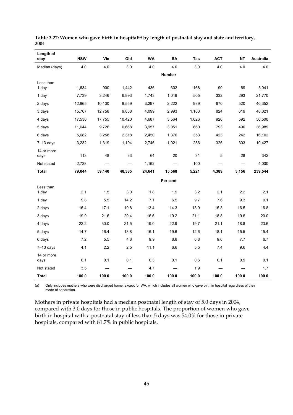| Length of<br>stay  | <b>NSW</b> | Vic    | Qld    | <b>WA</b> | SA            | Tas   | <b>ACT</b> | <b>NT</b> | <b>Australia</b> |
|--------------------|------------|--------|--------|-----------|---------------|-------|------------|-----------|------------------|
| Median (days)      | 4.0        | 4.0    | 3.0    | 4.0       | 4.0           | 3.0   | 4.0        | 4.0       | 4.0              |
|                    |            |        |        |           | <b>Number</b> |       |            |           |                  |
| Less than          |            |        |        |           |               |       |            |           |                  |
| 1 day              | 1,634      | 900    | 1,442  | 436       | 302           | 168   | 90         | 69        | 5,041            |
| 1 day              | 7,739      | 3,246  | 6,893  | 1,743     | 1,019         | 505   | 332        | 293       | 21,770           |
| 2 days             | 12,965     | 10,130 | 9,559  | 3,297     | 2,222         | 989   | 670        | 520       | 40,352           |
| 3 days             | 15,767     | 12,758 | 9,858  | 4,099     | 2,993         | 1,103 | 824        | 619       | 48,021           |
| 4 days             | 17,530     | 17,755 | 10,420 | 4,687     | 3.564         | 1,026 | 926        | 592       | 56,500           |
| 5 days             | 11,644     | 9,726  | 6,668  | 3,957     | 3,051         | 660   | 793        | 490       | 36,989           |
| 6 days             | 5,682      | 3,258  | 2,318  | 2,450     | 1,376         | 353   | 423        | 242       | 16,102           |
| $7-13$ days        | 3,232      | 1,319  | 1,194  | 2,746     | 1,021         | 286   | 326        | 303       | 10,427           |
| 14 or more<br>days | 113        | 48     | 33     | 64        | 20            | 31    | 5          | 28        | 342              |
| Not stated         | 2,738      |        |        | 1,162     |               | 100   |            |           | 4,000            |
| <b>Total</b>       | 79,044     | 59,140 | 48,385 | 24,641    | 15,568        | 5,221 | 4,389      | 3,156     | 239,544          |
|                    |            |        |        |           | Per cent      |       |            |           |                  |
| Less than<br>1 day | 2.1        | 1.5    | 3.0    | 1.8       | 1.9           | 3.2   | 2.1        | 2.2       | 2.1              |
| 1 day              | 9.8        | 5.5    | 14.2   | 7.1       | 6.5           | 9.7   | 7.6        | 9.3       | 9.1              |
| 2 days             | 16.4       | 17.1   | 19.8   | 13.4      | 14.3          | 18.9  | 15.3       | 16.5      | 16.8             |
| 3 days             | 19.9       | 21.6   | 20.4   | 16.6      | 19.2          | 21.1  | 18.8       | 19.6      | 20.0             |
| 4 days             | 22.2       | 30.0   | 21.5   | 19.0      | 22.9          | 19.7  | 21.1       | 18.8      | 23.6             |
| 5 days             | 14.7       | 16.4   | 13.8   | 16.1      | 19.6          | 12.6  | 18.1       | 15.5      | 15.4             |
| 6 days             | 7.2        | 5.5    | 4.8    | 9.9       | 8.8           | 6.8   | 9.6        | 7.7       | 6.7              |
| $7-13$ days        | 4.1        | 2.2    | 2.5    | 11.1      | 6.6           | 5.5   | 7.4        | 9.6       | 4.4              |
| 14 or more<br>days | 0.1        | 0.1    | 0.1    | 0.3       | 0.1           | 0.6   | 0.1        | 0.9       | 0.1              |
| Not stated         | 3.5        |        |        | 4.7       |               | 1.9   |            |           | 1.7              |
| <b>Total</b>       | 100.0      | 100.0  | 100.0  | 100.0     | 100.0         | 100.0 | 100.0      | 100.0     | 100.0            |

| Table 3.27: Women who gave birth in hospital <sup>(a)</sup> by length of postnatal stay and state and territory, |  |  |
|------------------------------------------------------------------------------------------------------------------|--|--|
| 2004                                                                                                             |  |  |

(a) Only includes mothers who were discharged home, except for WA, which includes all women who gave birth in hospital regardless of their mode of separation.

Mothers in private hospitals had a median postnatal length of stay of 5.0 days in 2004, compared with 3.0 days for those in public hospitals. The proportion of women who gave birth in hospital with a postnatal stay of less than 5 days was 54.0% for those in private hospitals, compared with 81.7% in public hospitals.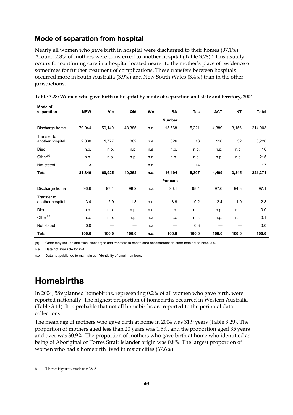# **Mode of separation from hospital**

Nearly all women who gave birth in hospital were discharged to their homes (97.1%). Around 2.8% of mothers were transferred to another hospital (Table 3.28).<sup>6</sup> This usually occurs for continuing care in a hospital located nearer to the mother's place of residence or sometimes for further treatment of complications. These transfers between hospitals occurred more in South Australia (3.9%) and New South Wales (3.4%) than in the other jurisdictions.

| Mode of<br>separation           | <b>NSW</b> | <b>Vic</b> | Qld    | <b>WA</b> | SA            | Tas   | <b>ACT</b> | <b>NT</b> | <b>Total</b> |
|---------------------------------|------------|------------|--------|-----------|---------------|-------|------------|-----------|--------------|
|                                 |            |            |        |           | <b>Number</b> |       |            |           |              |
| Discharge home                  | 79,044     | 59,140     | 48,385 | n.a.      | 15,568        | 5,221 | 4,389      | 3,156     | 214,903      |
| Transfer to<br>another hospital | 2,800      | 1,777      | 862    | n.a.      | 626           | 13    | 110        | 32        | 6,220        |
| Died                            | n.p.       | n.p.       | n.p.   | n.a.      | n.p.          | n.p.  | n.p.       | n.p.      | 16           |
| Other <sup>(a)</sup>            | n.p.       | n.p.       | n.p.   | n.a.      | n.p.          | n.p.  | n.p.       | n.p.      | 215          |
| Not stated                      | 3          |            |        | n.a.      |               | 14    |            |           | 17           |
| <b>Total</b>                    | 81,849     | 60,925     | 49,252 | n.a.      | 16,194        | 5,307 | 4,499      | 3,345     | 221,371      |
|                                 |            |            |        |           | Per cent      |       |            |           |              |
| Discharge home                  | 96.6       | 97.1       | 98.2   | n.a.      | 96.1          | 98.4  | 97.6       | 94.3      | 97.1         |
| Transfer to<br>another hospital | 3.4        | 2.9        | 1.8    | n.a.      | 3.9           | 0.2   | 2.4        | 1.0       | 2.8          |
| Died                            | n.p.       | n.p.       | n.p.   | n.a.      | n.p.          | n.p.  | n.p.       | n.p.      | 0.0          |
| Other <sup>(a)</sup>            | n.p.       | n.p.       | n.p.   | n.a.      | n.p.          | n.p.  | n.p.       | n.p.      | 0.1          |
| Not stated                      | 0.0        |            |        | n.a.      |               | 0.3   |            |           | 0.0          |
| <b>Total</b>                    | 100.0      | 100.0      | 100.0  | n.a.      | 100.0         | 100.0 | 100.0      | 100.0     | 100.0        |

**Table 3.28: Women who gave birth in hospital by mode of separation and state and territory, 2004** 

(a) Other may include statistical discharges and transfers to health care accommodation other than acute hospitals.

n.a. Data not available for WA.

n.p. Data not published to maintain confidentiality of small numbers.

# **Homebirths**

In 2004, 589 planned homebirths, representing 0.2% of all women who gave birth, were reported nationally. The highest proportion of homebirths occurred in Western Australia (Table 3.11). It is probable that not all homebirths are reported to the perinatal data collections.

The mean age of mothers who gave birth at home in 2004 was 31.9 years (Table 3.29). The proportion of mothers aged less than 20 years was 1.5%, and the proportion aged 35 years and over was 30.9%. The proportion of mothers who gave birth at home who identified as being of Aboriginal or Torres Strait Islander origin was 0.8%. The largest proportion of women who had a homebirth lived in major cities (67.6%).

 $\ddot{\phantom{a}}$ 

<sup>6</sup> These figures exclude WA.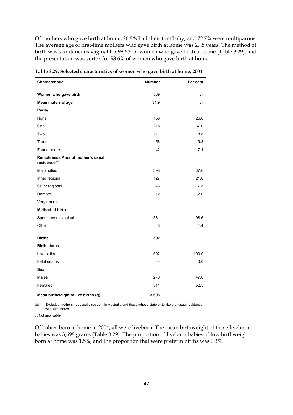Of mothers who gave birth at home, 26.8% had their first baby, and 72.7% were multiparous. The average age of first-time mothers who gave birth at home was 29.8 years. The method of birth was spontaneous vaginal for 98.6% of women who gave birth at home (Table 3.29), and the presentation was vertex for 98.6% of women who gave birth at home.

| Characteristic                                                | <b>Number</b> | Per cent |
|---------------------------------------------------------------|---------------|----------|
| Women who gave birth                                          | 589           |          |
|                                                               |               |          |
| Mean maternal age                                             | 31.9          |          |
| Parity                                                        |               |          |
| None                                                          | 158           | 26.8     |
| One                                                           | 218           | 37.0     |
| Two                                                           | 111           | 18.8     |
| Three                                                         | 58            | 9.8      |
| Four or more                                                  | 42            | 7.1      |
| Remoteness Area of mother's usual<br>residence <sup>(a)</sup> |               |          |
| Major cities                                                  | 398           | 67.6     |
| Inner regional                                                | 127           | 21.6     |
| Outer regional                                                | 43            | 7.3      |
| Remote                                                        | 12            | 2.0      |
| Very remote                                                   |               |          |
| Method of birth                                               |               |          |
| Spontaneous vaginal                                           | 581           | 98.6     |
| Other                                                         | 8             | 1.4      |
| <b>Births</b>                                                 | 592           |          |
| <b>Birth status</b>                                           |               |          |
| Live births                                                   | 592           | 100.0    |
| Fetal deaths                                                  |               | 0.0      |
| Sex                                                           |               |          |
| Males                                                         | 278           | 47.0     |
| Females                                                       | 311           | 52.5     |
| Mean birthweight of live births (g)                           | 3,698         |          |

**Table 3.29: Selected characteristics of women who gave birth at home, 2004** 

(a) Excludes mothers not usually resident in Australia and those whose state or territory of usual residence was 'Not stated'.

. . Not applicable.

Of babies born at home in 2004, all were liveborn. The mean birthweight of these liveborn babies was 3,698 grams (Table 3.29). The proportion of liveborn babies of low birthweight born at home was 1.5%, and the proportion that were preterm births was 0.3%.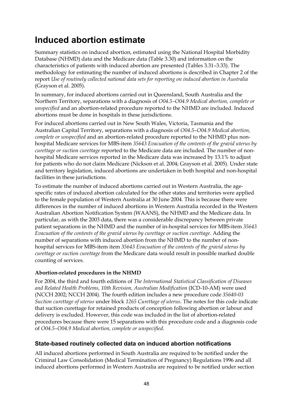# **Induced abortion estimate**

Summary statistics on induced abortion, estimated using the National Hospital Morbidity Database (NHMD) data and the Medicare data (Table 3.30) and information on the characteristics of patients with induced abortion are presented (Tables 3.31–3.33). The methodology for estimating the number of induced abortions is described in Chapter 2 of the report *Use of routinely collected national data sets for reporting on induced abortion in Australia* (Grayson et al. 2005).

In summary, for induced abortions carried out in Queensland, South Australia and the Northern Territory, separations with a diagnosis of *O04.5–O04.9 Medical abortion, complete or unspecified* and an abortion-related procedure reported to the NHMD are included. Induced abortions must be done in hospitals in these jurisdictions.

For induced abortions carried out in New South Wales, Victoria, Tasmania and the Australian Capital Territory, separations with a diagnosis of *O04.5–O04.9 Medical abortion, complete or unspecified* and an abortion-related procedure reported to the NHMD plus nonhospital Medicare services for MBS-item *35643 Evacuation of the contents of the gravid uterus by curettage or suction curettage* reported to the Medicare data are included. The number of nonhospital Medicare services reported in the Medicare data was increased by 13.1% to adjust for patients who do not claim Medicare (Nickson et al. 2004; Grayson et al. 2005). Under state and territory legislation, induced abortions are undertaken in both hospital and non-hospital facilities in these jurisdictions.

To estimate the number of induced abortions carried out in Western Australia, the agespecific rates of induced abortion calculated for the other states and territories were applied to the female population of Western Australia at 30 June 2004. This is because there were differences in the number of induced abortions in Western Australia recorded in the Western Australian Abortion Notification System (WAANS), the NHMD and the Medicare data. In particular, as with the 2003 data, there was a considerable discrepancy between private patient separations in the NHMD and the number of in-hospital services for MBS-item *35643 Evacuation of the contents of the gravid uterus by curettage or suction curettage*. Adding the number of separations with induced abortion from the NHMD to the number of nonhospital services for MBS-item item *35643 Evacuation of the contents of the gravid uterus by curettage or suction curettage* from the Medicare data would result in possible marked double counting of services.

#### **Abortion-related procedures in the NHMD**

For 2004, the third and fourth editions of *The International Statistical Classification of Diseases and Related Health Problems, 10th Revision, Australian Modification* (ICD-10-AM) were used (NCCH 2002; NCCH 2004). The fourth edition includes a new procedure code *35640-03 Suction curettage of uterus* under block *1265 Curettage of uterus*. The notes for this code indicate that suction curettage for retained products of conception following abortion or labour and delivery is excluded. However, this code was included in the list of abortion-related procedures because there were 15 separations with this procedure code and a diagnosis code of *O04.5–O04.9 Medical abortion, complete or unspecified*.

#### **State-based routinely collected data on induced abortion notifications**

All induced abortions performed in South Australia are required to be notified under the Criminal Law Consolidation (Medical Termination of Pregnancy) Regulations 1996 and all induced abortions performed in Western Australia are required to be notified under section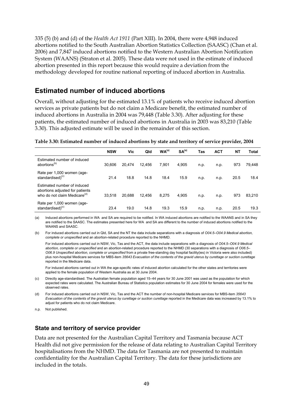335 (5) (b) and (d) of the *Health Act 1911* (Part XIII). In 2004, there were 4,948 induced abortions notified to the South Australian Abortion Statistics Collection (SAASC) (Chan et al. 2006) and 7,847 induced abortions notified to the Western Australian Abortion Notification System (WAANS) (Straton et al. 2005). These data were not used in the estimate of induced abortion presented in this report because this would require a deviation from the methodology developed for routine national reporting of induced abortion in Australia.

#### **Estimated number of induced abortions**

Overall, without adjusting for the estimated 13.1% of patients who receive induced abortion services as private patients but do not claim a Medicare benefit, the estimated number of induced abortions in Australia in 2004 was 79,448 (Table 3.30). After adjusting for these patients, the estimated number of induced abortions in Australia in 2003 was 83,210 (Table 3.30). This adjusted estimate will be used in the remainder of this section.

**Table 3.30: Estimated number of induced abortions by state and territory of service provider, 2004** 

|                                                                                                            | <b>NSW</b> | Vic    | Qld    | WA <sup>(a)</sup> | SA <sup>(a)</sup> | Tas  | <b>ACT</b> | <b>NT</b> | Total  |
|------------------------------------------------------------------------------------------------------------|------------|--------|--------|-------------------|-------------------|------|------------|-----------|--------|
| Estimated number of induced<br>abortions <sup>(b)</sup>                                                    | 30,606     | 20,474 | 12.456 | 7.901             | 4,905             | n.p. | n.p.       | 973       | 79,448 |
| Rate per 1,000 women (age-<br>standardised) <sup>(c)</sup>                                                 | 21.4       | 18.8   | 14.8   | 18.4              | 15.9              | n.p. | n.p.       | 20.5      | 18.4   |
| Estimated number of induced<br>abortions adjusted for patients<br>who do not claim Medicare <sup>(d)</sup> | 33.518     | 20,688 | 12.456 | 8,275             | 4,905             | n.p. | n.p.       | 973       | 83,210 |
| Rate per 1,000 women (age-<br>standardised) <sup>(c)</sup>                                                 | 23.4       | 19.0   | 14.8   | 19.3              | 15.9              | n.p. | n.p.       | 20.5      | 19.3   |

(a) Induced abortions performed in WA and SA are required to be notified. In WA induced abortions are notified to the WAANS and in SA they are notified to the SAASC. The estimates presented here for WA and SA are different to the number of induced abortions notified to the WAANS and SAASC.

(b) For induced abortions carried out in Qld, SA and the NT the data include separations with a diagnosis of *O04.5–O04.9 Medical abortion, complete or unspecified* and an abortion-related procedure reported to the NHMD.

 For induced abortions carried out in NSW, Vic, Tas and the ACT, the data include separations with a diagnosis of *O04.5–O04.9 Medical abortion, complete or unspecified* and an abortion-related procedure reported to the NHMD (30 separations with a diagnosis of *O06.5– O06.9 Unspecified abortion, complete or unspecified* from a private free-standing day hospital facility(ies) in Victoria were also included) plus non-hospital Medicare services for MBS-item *35643 Evacuation of the contents of the gravid uterus by curettage or suction curettage* reported in the Medicare data.

 For induced abortions carried out in WA the age-specific rates of induced abortion calculated for the other states and territories were applied to the female population of Western Australia as at 30 June 2004.

(c) Directly age-standardised. The Australian female population aged 15–44 years for 30 June 2001 was used as the population for which expected rates were calculated. The Australian Bureau of Statistics population estimates for 30 June 2004 for females were used for the observed rates.

(d) For induced abortions carried out in NSW, Vic, Tas and the ACT the number of non-hospital Medicare services for MBS-item *35643 Evacuation of the contents of the gravid uterus by curettage or suction curettage* reported in the Medicare data was increased by 13.1% to adjust for patients who do not claim Medicare.

n.p. Not published.

#### **State and territory of service provider**

Data are not presented for the Australian Capital Territory and Tasmania because ACT Health did not give permission for the release of data relating to Australian Capital Territory hospitalisations from the NHMD. The data for Tasmania are not presented to maintain confidentiality for the Australian Capital Territory. The data for these jurisdictions are included in the totals.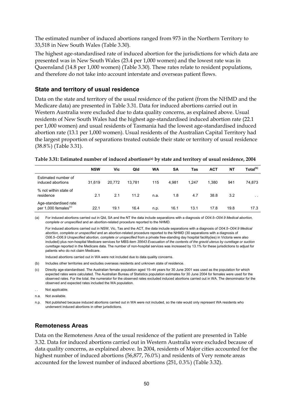The estimated number of induced abortions ranged from 973 in the Northern Territory to 33,518 in New South Wales (Table 3.30).

The highest age-standardised rate of induced abortion for the jurisdictions for which data are presented was in New South Wales (23.4 per 1,000 women) and the lowest rate was in Queensland (14.8 per 1,000 women) (Table 3.30). These rates relate to resident populations, and therefore do not take into account interstate and overseas patient flows.

#### **State and territory of usual residence**

Data on the state and territory of the usual residence of the patient (from the NHMD and the Medicare data) are presented in Table 3.31. Data for induced abortions carried out in Western Australia were excluded due to data quality concerns, as explained above. Usual residents of New South Wales had the highest age-standardised induced abortion rate (22.1 per 1,000 women) and usual residents of Tasmania had the lowest age-standardised induced abortion rate (13.1 per 1,000 women). Usual residents of the Australian Capital Territory had the largest proportion of separations treated outside their state or territory of usual residence (38.8%) (Table 3.31).

| Table 3.31: Estimated number of induced abortions <sup>(a)</sup> by state and territory of usual residence, 2004 |  |  |
|------------------------------------------------------------------------------------------------------------------|--|--|
|------------------------------------------------------------------------------------------------------------------|--|--|

|                                                           | <b>NSW</b> | Vic    | Qld    | WA   | SΑ    | Tas   | <b>ACT</b> | <b>NT</b> | Total <sup>(b)</sup> |
|-----------------------------------------------------------|------------|--------|--------|------|-------|-------|------------|-----------|----------------------|
| Estimated number of<br>induced abortions                  | 31,619     | 20.772 | 13.781 | 115  | 4.981 | 1.247 | 1,380      | 941       | 74,873               |
| % not within state of<br>residence                        | 2.1        | 2.1    | 11.2   | n.a. | 1.8   | 4.7   | 38.8       | 3.2       | $\sim$ $\sim$        |
| Age-standardised rate<br>per 1,000 females <sup>(c)</sup> | 22.1       | 19.1   | 16.4   | n.p. | 16.1  | 13.1  | 17.8       | 19.8      | 17.3                 |

(a) For induced abortions carried out in Qld, SA and the NT the data include separations with a diagnosis of *O04.5–O04.9 Medical abortion, complete or unspecified* and an abortion-related procedure reported to the NHMD.

 For induced abortions carried out in NSW, Vic, Tas and the ACT, the data include separations with a diagnosis of *O04.5–O04.9 Medical abortion, complete or unspecified* and an abortion-related procedure reported to the NHMD (30 separations with a diagnosis of *O06.5–O06.9 Unspecified abortion, complete or unspecified* from a private free-standing day hospital facility(ies) in Victoria were also included) plus non-hospital Medicare services for MBS-item *35643 Evacuation of the contents of the gravid uterus by curettage or suction curettage* reported in the Medicare data. The number of non-hospital services was increased by 13.1% for these jurisdictions to adjust for patients who do not claim Medicare.

Induced abortions carried out in WA were not included due to data quality concerns.

(b) Includes other territories and excludes overseas residents and unknown state of residence.

- (c) Directly age-standardised. The Australian female population aged 15–44 years for 30 June 2001 was used as the population for which expected rates were calculated. The Australian Bureau of Statistics population estimates for 30 June 2004 for females were used for the observed rates. For the total, the numerator for the observed rates excluded induced abortions carried out in WA. The denominator for the observed and expected rates included the WA population.
- Not applicable.
- n.a. Not available.

n.p. Not published because induced abortions carried out in WA were not included, so the rate would only represent WA residents who underwent induced abortions in other jurisdictions.

#### **Remoteness Areas**

Data on the Remoteness Area of the usual residence of the patient are presented in Table 3.32. Data for induced abortions carried out in Western Australia were excluded because of data quality concerns, as explained above. In 2004, residents of Major cities accounted for the highest number of induced abortions (56,877, 76.0%) and residents of Very remote areas accounted for the lowest number of induced abortions (251, 0.3%) (Table 3.32).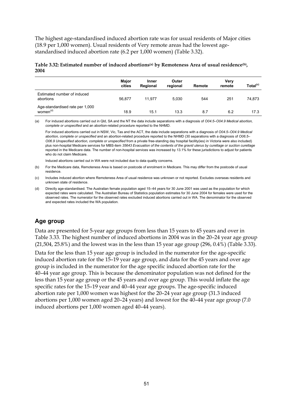The highest age-standardised induced abortion rate was for usual residents of Major cities (18.9 per 1,000 women). Usual residents of Very remote areas had the lowest agestandardised induced abortion rate (6.2 per 1,000 women) (Table 3.32).

#### **Table 3.32: Estimated number of induced abortions(a) by Remoteness Area of usual residence(b), 2004**

|                                                         | Major<br>cities | Inner<br>Regional | Outer<br>regional | Remote | Very<br>remote | Total <sup>(c)</sup> |
|---------------------------------------------------------|-----------------|-------------------|-------------------|--------|----------------|----------------------|
| Estimated number of induced<br>abortions                | 56.877          | 11.977            | 5,030             | 544    | 251            | 74,873               |
| Age-standardised rate per 1,000<br>women <sup>(d)</sup> | 18.9            | 15.1              | 13.3              | 8.7    | 6.2            | 17.3                 |

(a) For induced abortions carried out in Qld, SA and the NT the data include separations with a diagnosis of *O04.5–O04.9 Medical abortion, complete or unspecified* and an abortion-related procedure reported to the NHMD.

 For induced abortions carried out in NSW, Vic, Tas and the ACT, the data include separations with a diagnosis of *O04.5–O04.9 Medical abortion, complete or unspecified* and an abortion-related procedure reported to the NHMD (30 separations with a diagnosis of *O06.5– O06.9 Unspecified abortion, complete or unspecified* from a private free-standing day hospital facility(ies) in Victoria were also included) plus non-hospital Medicare services for MBS-item *35643 Evacuation of the contents of the gravid uterus by curettage or suction curettage* reported in the Medicare data. The number of non-hospital services was increased by 13.1% for these jurisdictions to adjust for patients who do not claim Medicare.

Induced abortions carried out in WA were not included due to data quality concerns.

(b) For the Medicare data, Remoteness Area is based on postcode of enrolment in Medicare. This may differ from the postcode of usual residence.

#### **Age group**

Data are presented for 5-year age groups from less than 15 years to 45 years and over in Table 3.33. The highest number of induced abortions in 2004 was in the 20–24 year age group (21,504, 25.8%) and the lowest was in the less than 15 year age group (296, 0.4%) (Table 3.33).

Data for the less than 15 year age group is included in the numerator for the age-specific induced abortion rate for the 15–19 year age group, and data for the 45 years and over age group is included in the numerator for the age specific induced abortion rate for the 40–44 year age group. This is because the denominator population was not defined for the less than 15 year age group or the 45 years and over age group. This would inflate the age specific rates for the 15–19 year and 40–44 year age groups. The age-specific induced abortion rate per 1,000 women was highest for the 20–24 year age group (31.3 induced abortions per 1,000 women aged 20–24 years) and lowest for the 40–44 year age group (7.0 induced abortions per 1,000 women aged 40–44 years).

<sup>(</sup>c) Includes induced abortion where Remoteness Area of usual residence was unknown or not reported. Excludes overseas residents and unknown state of residence.

<sup>(</sup>d) Directly age-standardised. The Australian female population aged 15–44 years for 30 June 2001 was used as the population for which expected rates were calculated. The Australian Bureau of Statistics population estimates for 30 June 2004 for females were used for the observed rates. The numerator for the observed rates excluded induced abortions carried out in WA. The denominator for the observed and expected rates included the WA population.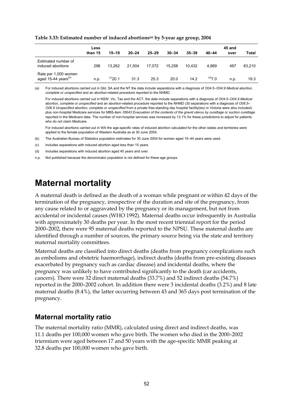| Table 3.33: Estimated number of induced abortions <sup>(a)</sup> by 5-year age group, 2004 |  |  |
|--------------------------------------------------------------------------------------------|--|--|
|                                                                                            |  |  |

|                                                         | Less<br>than 15 | $15 - 19$     | $20 - 24$ | $25 - 29$ | $30 - 34$ | $35 - 39$ | $40 - 44$ | 45 and<br>over | Total  |
|---------------------------------------------------------|-----------------|---------------|-----------|-----------|-----------|-----------|-----------|----------------|--------|
| Estimated number of<br>induced abortions                | 296             | 13.262        | 21.504    | 17.072    | 15.258    | 10.432    | 4.889     | 497            | 83,210 |
| Rate per 1,000 women<br>aged 15-44 years <sup>(b)</sup> | n.p.            | $^{(c)}$ 20.1 | 31.3      | 25.3      | 20.0      | 14.2      | (d)7.0    | n.p.           | 19.3   |

(a) For induced abortions carried out in Qld, SA and the NT the data include separations with a diagnosis of *O04.5–O04.9 Medical abortion, complete or unspecified* and an abortion-related procedure reported to the NHMD.

 For induced abortions carried out in NSW, Vic, Tas and the ACT, the data include separations with a diagnosis of *O04.5–O04.9 Medical abortion, complete or unspecified* and an abortion-related procedure reported to the NHMD (30 separations with a diagnosis of *O06.5– O06.9 Unspecified abortion, complete or unspecified* from a private free-standing day hospital facility(ies) in Victoria were also included) plus non-hospital Medicare services for MBS-item *35643 Evacuation of the contents of the gravid uterus by curettage or suction curettage* reported in the Medicare data. The number of non-hospital services was increased by 13.1% for these jurisdictions to adjust for patients who do not claim Medicare.

 For induced abortions carried out in WA the age-specific rates of induced abortion calculated for the other states and territories were applied to the female population of Western Australia as at 30 June 2004.

(b) The Australian Bureau of Statistics population estimates for 30 June 2004 for women aged 15–44 years were used.

(c) Includes separations with induced abortion aged less than 15 years.

(d) Includes separations with induced abortion aged 45 years and over.

n.p. Not published because the denominator population is not defined for these age groups.

# **Maternal mortality**

A maternal death is defined as the death of a woman while pregnant or within 42 days of the termination of the pregnancy, irrespective of the duration and site of the pregnancy, from any cause related to or aggravated by the pregnancy or its management, but not from accidental or incidental causes (WHO 1992). Maternal deaths occur infrequently in Australia with approximately 30 deaths per year. In the most recent triennial report for the period 2000–2002, there were 95 maternal deaths reported to the NPSU. These maternal deaths are identified through a number of sources, the primary source being via the state and territory maternal mortality committees.

Maternal deaths are classified into direct deaths (deaths from pregnancy complications such as embolisms and obstetric haemorrhage), indirect deaths (deaths from pre-existing diseases exacerbated by pregnancy such as cardiac disease) and incidental deaths, where the pregnancy was unlikely to have contributed significantly to the death (car accidents, cancers). There were 32 direct maternal deaths (33.7%) and 52 indirect deaths (54.7%) reported in the 2000–2002 cohort. In addition there were 3 incidental deaths (3.2%) and 8 late maternal deaths (8.4%), the latter occurring between 43 and 365 days post termination of the pregnancy.

## **Maternal mortality ratio**

The maternal mortality ratio (MMR), calculated using direct and indirect deaths, was 11.1 deaths per 100,000 women who gave birth. The women who died in the 2000–2002 triennium were aged between 17 and 50 years with the age-specific MMR peaking at 32.8 deaths per 100,000 women who gave birth.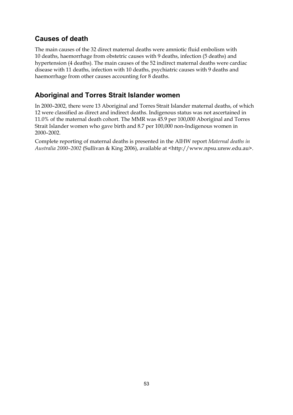# **Causes of death**

The main causes of the 32 direct maternal deaths were amniotic fluid embolism with 10 deaths, haemorrhage from obstetric causes with 9 deaths, infection (5 deaths) and hypertension (4 deaths). The main causes of the 52 indirect maternal deaths were cardiac disease with 11 deaths, infection with 10 deaths, psychiatric causes with 9 deaths and haemorrhage from other causes accounting for 8 deaths.

# **Aboriginal and Torres Strait Islander women**

In 2000–2002, there were 13 Aboriginal and Torres Strait Islander maternal deaths, of which 12 were classified as direct and indirect deaths. Indigenous status was not ascertained in 11.0% of the maternal death cohort. The MMR was 45.9 per 100,000 Aboriginal and Torres Strait Islander women who gave birth and 8.7 per 100,000 non-Indigenous women in 2000–2002.

Complete reporting of maternal deaths is presented in the AIHW report *Maternal deaths in Australia 2000–2002* (Sullivan & King 2006), available at <http://www.npsu.unsw.edu.au>.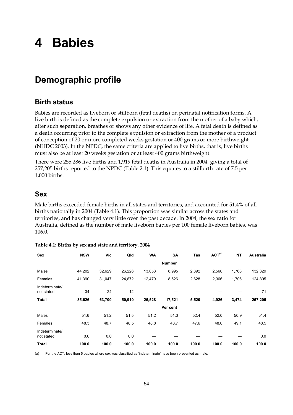# **4 Babies**

# **Demographic profile**

# **Birth status**

Babies are recorded as liveborn or stillborn (fetal deaths) on perinatal notification forms. A live birth is defined as the complete expulsion or extraction from the mother of a baby which, after such separation, breathes or shows any other evidence of life. A fetal death is defined as a death occurring prior to the complete expulsion or extraction from the mother of a product of conception of 20 or more completed weeks gestation or 400 grams or more birthweight (NHDC 2003). In the NPDC, the same criteria are applied to live births, that is, live births must also be at least 20 weeks gestation or at least 400 grams birthweight.

There were 255,286 live births and 1,919 fetal deaths in Australia in 2004, giving a total of 257,205 births reported to the NPDC (Table 2.1). This equates to a stillbirth rate of 7.5 per 1,000 births.

## **Sex**

Male births exceeded female births in all states and territories, and accounted for 51.4% of all births nationally in 2004 (Table 4.1). This proportion was similar across the states and territories, and has changed very little over the past decade. In 2004, the sex ratio for Australia, defined as the number of male liveborn babies per 100 female liveborn babies, was 106.0.

| Sex                          | <b>NSW</b> | <b>Vic</b> | Qld    | <b>WA</b> | <b>SA</b>     | <b>Tas</b> | ACT <sup>(a)</sup> | <b>NT</b> | <b>Australia</b> |
|------------------------------|------------|------------|--------|-----------|---------------|------------|--------------------|-----------|------------------|
|                              |            |            |        |           | <b>Number</b> |            |                    |           |                  |
| Males                        | 44,202     | 32,629     | 26,226 | 13,058    | 8,995         | 2,892      | 2,560              | 1,768     | 132,329          |
| Females                      | 41,390     | 31,047     | 24,672 | 12,470    | 8,526         | 2,628      | 2,366              | 1,706     | 124,805          |
| Indeterminate/<br>not stated | 34         | 24         | 12     |           |               |            |                    |           | 71               |
| <b>Total</b>                 | 85,626     | 63,700     | 50,910 | 25,528    | 17,521        | 5,520      | 4,926              | 3,474     | 257,205          |
|                              |            |            |        |           | Per cent      |            |                    |           |                  |
| Males                        | 51.6       | 51.2       | 51.5   | 51.2      | 51.3          | 52.4       | 52.0               | 50.9      | 51.4             |
| Females                      | 48.3       | 48.7       | 48.5   | 48.8      | 48.7          | 47.6       | 48.0               | 49.1      | 48.5             |
| Indeterminate/<br>not stated | 0.0        | 0.0        | 0.0    |           |               |            |                    |           | 0.0              |
| <b>Total</b>                 | 100.0      | 100.0      | 100.0  | 100.0     | 100.0         | 100.0      | 100.0              | 100.0     | 100.0            |

| Table 4.1: Births by sex and state and territory, 2004 |  |  |  |  |
|--------------------------------------------------------|--|--|--|--|
|                                                        |  |  |  |  |

(a) For the ACT, less than 5 babies where sex was classified as 'indeterminate' have been presented as male.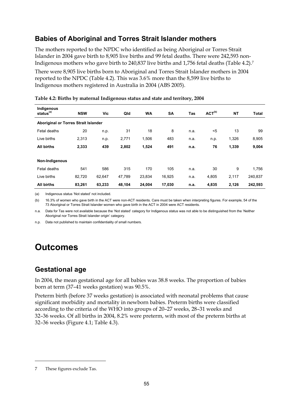# **Babies of Aboriginal and Torres Strait Islander mothers**

The mothers reported to the NPDC who identified as being Aboriginal or Torres Strait Islander in 2004 gave birth to 8,905 live births and 99 fetal deaths. There were 242,593 non-Indigenous mothers who gave birth to 240,837 live births and 1,756 fetal deaths (Table 4.2).7

There were 8,905 live births born to Aboriginal and Torres Strait Islander mothers in 2004 reported to the NPDC (Table 4.2). This was 3.6% more than the 8,599 live births to Indigenous mothers registered in Australia in 2004 (ABS 2005).

| Indigenous<br>status <sup>(a)</sup>  | <b>NSW</b> | Vic    | Qld    | <b>WA</b> | <b>SA</b> | Tas  | ACT <sup>(b)</sup> | <b>NT</b> | <b>Total</b> |
|--------------------------------------|------------|--------|--------|-----------|-----------|------|--------------------|-----------|--------------|
| Aboriginal or Torres Strait Islander |            |        |        |           |           |      |                    |           |              |
| Fetal deaths                         | 20         | n.p.   | 31     | 18        | 8         | n.a. | $5$                | 13        | 99           |
| Live births                          | 2,313      | n.p.   | 2,771  | 1,506     | 483       | n.a. | n.p.               | 1,326     | 8,905        |
| All births                           | 2,333      | 439    | 2,802  | 1,524     | 491       | n.a. | 76                 | 1,339     | 9,004        |
| Non-Indigenous                       |            |        |        |           |           |      |                    |           |              |
| Fetal deaths                         | 541        | 586    | 315    | 170       | 105       | n.a. | 30                 | 9         | 1,756        |
| Live births                          | 82,720     | 62,647 | 47,789 | 23,834    | 16,925    | n.a. | 4,805              | 2,117     | 240,837      |
| <b>All births</b>                    | 83,261     | 63,233 | 48,104 | 24,004    | 17,030    | n.a. | 4,835              | 2,126     | 242,593      |

|  |  |  | Table 4.2: Births by maternal Indigenous status and state and territory, 2004 |
|--|--|--|-------------------------------------------------------------------------------|
|  |  |  |                                                                               |
|  |  |  |                                                                               |

(a) Indigenous status 'Not stated' not included.

(b) 16.3% of women who gave birth in the ACT were non-ACT residents. Care must be taken when interpreting figures. For example, 54 of the 73 Aboriginal or Torres Strait Islander women who gave birth in the ACT in 2004 were ACT residents.

n.a. Data for Tas were not available because the 'Not stated' category for Indigenous status was not able to be distinguished from the 'Neither Aboriginal nor Torres Strait Islander origin' category.

n.p. Data not published to maintain confidentiality of small numbers.

# **Outcomes**

# **Gestational age**

In 2004, the mean gestational age for all babies was 38.8 weeks. The proportion of babies born at term (37–41 weeks gestation) was 90.5%.

Preterm birth (before 37 weeks gestation) is associated with neonatal problems that cause significant morbidity and mortality in newborn babies. Preterm births were classified according to the criteria of the WHO into groups of 20–27 weeks, 28–31 weeks and 32–36 weeks. Of all births in 2004, 8.2% were preterm, with most of the preterm births at 32–36 weeks (Figure 4.1; Table 4.3).

 $\ddot{\phantom{a}}$ 

<sup>7</sup> These figures exclude Tas.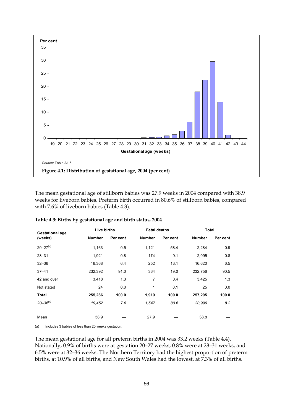

The mean gestational age of stillborn babies was 27.9 weeks in 2004 compared with 38.9 weeks for liveborn babies. Preterm birth occurred in 80.6% of stillborn babies, compared with 7.6% of liveborn babies (Table 4.3).

| <b>Gestational age</b> | Live births   |          | <b>Fetal deaths</b> |          | <b>Total</b>  |          |
|------------------------|---------------|----------|---------------------|----------|---------------|----------|
| (weeks)                | <b>Number</b> | Per cent | <b>Number</b>       | Per cent | <b>Number</b> | Per cent |
| $20 - 27^{(a)}$        | 1,163         | 0.5      | 1,121               | 58.4     | 2,284         | 0.9      |
| $28 - 31$              | 1,921         | 0.8      | 174                 | 9.1      | 2,095         | 0.8      |
| $32 - 36$              | 16,368        | 6.4      | 252                 | 13.1     | 16,620        | 6.5      |
| $37 - 41$              | 232,392       | 91.0     | 364                 | 19.0     | 232,756       | 90.5     |
| 42 and over            | 3,418         | 1.3      | 7                   | 0.4      | 3,425         | 1.3      |
| Not stated             | 24            | 0.0      | 1                   | 0.1      | 25            | 0.0      |
| <b>Total</b>           | 255,286       | 100.0    | 1,919               | 100.0    | 257,205       | 100.0    |
| $20 - 36^{(a)}$        | 19,452        | 7.6      | 1,547               | 80.6     | 20,999        | 8.2      |
|                        |               |          |                     |          |               |          |
| Mean                   | 38.9          |          | 27.9                |          | 38.8          |          |

**Table 4.3: Births by gestational age and birth status, 2004** 

(a) Includes 3 babies of less than 20 weeks gestation.

The mean gestational age for all preterm births in 2004 was 33.2 weeks (Table 4.4). Nationally, 0.9% of births were at gestation 20–27 weeks, 0.8% were at 28–31 weeks, and 6.5% were at 32–36 weeks. The Northern Territory had the highest proportion of preterm births, at 10.9% of all births, and New South Wales had the lowest, at 7.3% of all births.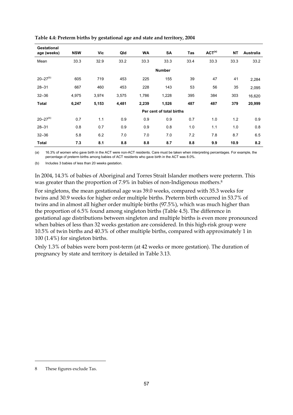| Gestational<br>age (weeks) | <b>NSW</b> | Vic   | Qld   | <b>WA</b> | <b>SA</b>                | Tas  | ACT <sup>(a)</sup> | <b>NT</b> | <b>Australia</b> |
|----------------------------|------------|-------|-------|-----------|--------------------------|------|--------------------|-----------|------------------|
| Mean                       | 33.3       | 32.9  | 33.2  | 33.3      | 33.3                     | 33.4 | 33.3               | 33.3      | 33.2             |
|                            |            |       |       |           | <b>Number</b>            |      |                    |           |                  |
| $20 - 27(b)$               | 605        | 719   | 453   | 225       | 155                      | 39   | 47                 | 41        | 2,284            |
| $28 - 31$                  | 667        | 460   | 453   | 228       | 143                      | 53   | 56                 | 35        | 2,095            |
| $32 - 36$                  | 4,975      | 3,974 | 3,575 | 1,786     | 1,228                    | 395  | 384                | 303       | 16,620           |
| <b>Total</b>               | 6,247      | 5,153 | 4,481 | 2,239     | 1,526                    | 487  | 487                | 379       | 20,999           |
|                            |            |       |       |           | Per cent of total births |      |                    |           |                  |
| $20 - 27^{(b)}$            | 0.7        | 1.1   | 0.9   | 0.9       | 0.9                      | 0.7  | 1.0                | 1.2       | 0.9              |
| $28 - 31$                  | 0.8        | 0.7   | 0.9   | 0.9       | 0.8                      | 1.0  | 1.1                | 1.0       | 0.8              |
| $32 - 36$                  | 5.8        | 6.2   | 7.0   | 7.0       | 7.0                      | 7.2  | 7.8                | 8.7       | 6.5              |
| <b>Total</b>               | 7.3        | 8.1   | 8.8   | 8.8       | 8.7                      | 8.8  | 9.9                | 10.9      | 8.2              |

**Table 4.4: Preterm births by gestational age and state and territory, 2004** 

(a) 16.3% of women who gave birth in the ACT were non-ACT residents. Care must be taken when interpreting percentages. For example, the percentage of preterm births among babies of ACT residents who gave birth in the ACT was 8.0%.

(b) Includes 3 babies of less than 20 weeks gestation.

In 2004, 14.3% of babies of Aboriginal and Torres Strait Islander mothers were preterm. This was greater than the proportion of 7.9% in babies of non-Indigenous mothers.<sup>8</sup>

For singletons, the mean gestational age was 39.0 weeks, compared with 35.3 weeks for twins and 30.9 weeks for higher order multiple births. Preterm birth occurred in 53.7% of twins and in almost all higher order multiple births (97.5%), which was much higher than the proportion of 6.5% found among singleton births (Table 4.5). The difference in gestational age distributions between singleton and multiple births is even more pronounced when babies of less than 32 weeks gestation are considered. In this high-risk group were 10.5% of twin births and 40.3% of other multiple births, compared with approximately 1 in 100 (1.4%) for singleton births.

Only 1.3% of babies were born post-term (at 42 weeks or more gestation). The duration of pregnancy by state and territory is detailed in Table 3.13.

 $\ddot{\phantom{a}}$ 

<sup>8</sup> These figures exclude Tas.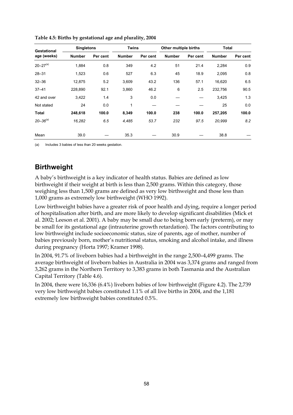| Gestational     | <b>Singletons</b> |          | Twins         |          | Other multiple births |          | Total         |          |
|-----------------|-------------------|----------|---------------|----------|-----------------------|----------|---------------|----------|
| age (weeks)     | <b>Number</b>     | Per cent | <b>Number</b> | Per cent | <b>Number</b>         | Per cent | <b>Number</b> | Per cent |
| $20 - 27^{(a)}$ | 1,884             | 0.8      | 349           | 4.2      | 51                    | 21.4     | 2,284         | 0.9      |
| $28 - 31$       | 1,523             | 0.6      | 527           | 6.3      | 45                    | 18.9     | 2,095         | 0.8      |
| $32 - 36$       | 12,875            | 5.2      | 3,609         | 43.2     | 136                   | 57.1     | 16,620        | 6.5      |
| $37 - 41$       | 228,890           | 92.1     | 3,860         | 46.2     | 6                     | 2.5      | 232,756       | 90.5     |
| 42 and over     | 3,422             | 1.4      | 3             | 0.0      |                       |          | 3,425         | 1.3      |
| Not stated      | 24                | 0.0      | 1             |          |                       |          | 25            | 0.0      |
| <b>Total</b>    | 248,618           | 100.0    | 8,349         | 100.0    | 238                   | 100.0    | 257,205       | 100.0    |
| $20 - 36^{(a)}$ | 16,282            | 6.5      | 4,485         | 53.7     | 232                   | 97.5     | 20,999        | 8.2      |
| Mean            | 39.0              |          | 35.3          |          | 30.9                  |          | 38.8          |          |

**Table 4.5: Births by gestational age and plurality, 2004** 

(a) Includes 3 babies of less than 20 weeks gestation.

# **Birthweight**

A baby's birthweight is a key indicator of health status. Babies are defined as low birthweight if their weight at birth is less than 2,500 grams. Within this category, those weighing less than 1,500 grams are defined as very low birthweight and those less than 1,000 grams as extremely low birthweight (WHO 1992).

Low birthweight babies have a greater risk of poor health and dying, require a longer period of hospitalisation after birth, and are more likely to develop significant disabilities (Mick et al. 2002; Leeson et al. 2001). A baby may be small due to being born early (preterm), or may be small for its gestational age (intrauterine growth retardation). The factors contributing to low birthweight include socioeconomic status, size of parents, age of mother, number of babies previously born, mother's nutritional status, smoking and alcohol intake, and illness during pregnancy (Horta 1997; Kramer 1998).

In 2004, 91.7% of liveborn babies had a birthweight in the range 2,500–4,499 grams. The average birthweight of liveborn babies in Australia in 2004 was 3,374 grams and ranged from 3,262 grams in the Northern Territory to 3,383 grams in both Tasmania and the Australian Capital Territory (Table 4.6).

In 2004, there were 16,336 (6.4%) liveborn babies of low birthweight (Figure 4.2). The 2,739 very low birthweight babies constituted 1.1% of all live births in 2004, and the 1,181 extremely low birthweight babies constituted 0.5%.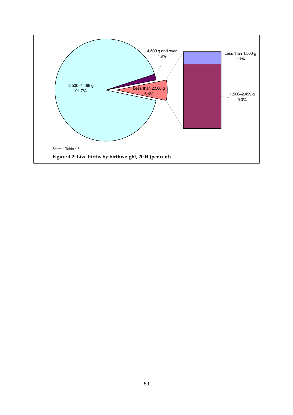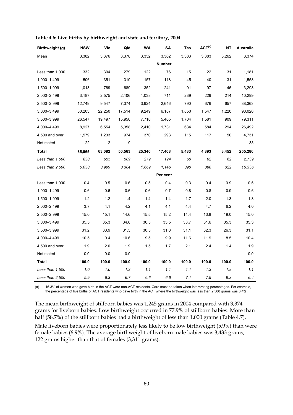| Birthweight (g) | <b>NSW</b> | Vic    | Qld    | <b>WA</b> | SA            | Tas   | ACT <sup>(a)</sup> | NΤ    | Australia |
|-----------------|------------|--------|--------|-----------|---------------|-------|--------------------|-------|-----------|
| Mean            | 3,382      | 3,376  | 3,378  | 3,352     | 3,362         | 3,383 | 3,383              | 3,262 | 3,374     |
|                 |            |        |        |           | <b>Number</b> |       |                    |       |           |
| Less than 1,000 | 332        | 304    | 279    | 122       | 76            | 15    | 22                 | 31    | 1,181     |
| 1,000-1,499     | 506        | 351    | 310    | 157       | 118           | 45    | 40                 | 31    | 1,558     |
| 1,500-1,999     | 1,013      | 769    | 689    | 352       | 241           | 91    | 97                 | 46    | 3,298     |
| 2,000-2,499     | 3,187      | 2,575  | 2,106  | 1,038     | 711           | 239   | 229                | 214   | 10,299    |
| 2,500-2,999     | 12,749     | 9,547  | 7,374  | 3,924     | 2,646         | 790   | 676                | 657   | 38,363    |
| 3,000-3,499     | 30,203     | 22,250 | 17,514 | 9,249     | 6,187         | 1,850 | 1,547              | 1,220 | 90,020    |
| 3,500-3,999     | 26,547     | 19,497 | 15,950 | 7,718     | 5,405         | 1,704 | 1,581              | 909   | 79,311    |
| 4,000–4,499     | 8,927      | 6,554  | 5,358  | 2,410     | 1,731         | 634   | 584                | 294   | 26,492    |
| 4,500 and over  | 1,579      | 1,233  | 974    | 370       | 293           | 115   | 117                | 50    | 4,731     |
| Not stated      | 22         | 2      | 9      |           |               |       |                    |       | 33        |
| <b>Total</b>    | 85,065     | 63,082 | 50,563 | 25,340    | 17,408        | 5,483 | 4,893              | 3,452 | 255,286   |
| Less than 1,500 | 838        | 655    | 589    | 279       | 194           | 60    | 62                 | 62    | 2,739     |
| Less than 2,500 | 5,038      | 3,999  | 3,384  | 1,669     | 1,146         | 390   | 388                | 322   | 16,336    |
|                 |            |        |        |           | Per cent      |       |                    |       |           |
| Less than 1,000 | 0.4        | 0.5    | 0.6    | 0.5       | 0.4           | 0.3   | 0.4                | 0.9   | 0.5       |
| 1,000-1,499     | 0.6        | 0.6    | 0.6    | 0.6       | 0.7           | 0.8   | 0.8                | 0.9   | 0.6       |
| 1,500-1,999     | 1.2        | 1.2    | 1.4    | 1.4       | 1.4           | 1.7   | 2.0                | 1.3   | 1.3       |
| 2,000-2,499     | 3.7        | 4.1    | 4.2    | 4.1       | 4.1           | 4.4   | 4.7                | 6.2   | 4.0       |
| 2,500-2,999     | 15.0       | 15.1   | 14.6   | 15.5      | 15.2          | 14.4  | 13.8               | 19.0  | 15.0      |
| 3,000-3,499     | 35.5       | 35.3   | 34.6   | 36.5      | 35.5          | 33.7  | 31.6               | 35.3  | 35.3      |
| 3,500-3,999     | 31.2       | 30.9   | 31.5   | 30.5      | 31.0          | 31.1  | 32.3               | 26.3  | 31.1      |
| 4,000-4,499     | 10.5       | 10.4   | 10.6   | 9.5       | $9.9\,$       | 11.6  | 11.9               | 8.5   | 10.4      |
| 4,500 and over  | 1.9        | 2.0    | 1.9    | 1.5       | 1.7           | 2.1   | 2.4                | 1.4   | 1.9       |
| Not stated      | 0.0        | 0.0    | 0.0    |           |               |       |                    |       | 0.0       |
| Total           | 100.0      | 100.0  | 100.0  | 100.0     | 100.0         | 100.0 | 100.0              | 100.0 | 100.0     |
| Less than 1,500 | 1.0        | 1.0    | 1.2    | 1.1       | 1.1           | 1.1   | 1.3                | 1.8   | 1.1       |
| Less than 2,500 | 5.9        | 6.3    | 6.7    | 6.6       | 6.6           | 7.1   | 7.9                | 9.3   | 6.4       |

**Table 4.6: Live births by birthweight and state and territory, 2004** 

(a) 16.3% of women who gave birth in the ACT were non-ACT residents. Care must be taken when interpreting percentages. For example, the percentage of live births of ACT residents who gave birth in the ACT where the birthweight was less than 2,500 grams was 6.4%.

The mean birthweight of stillborn babies was 1,245 grams in 2004 compared with 3,374 grams for liveborn babies. Low birthweight occurred in 77.9% of stillborn babies. More than half (58.7%) of the stillborn babies had a birthweight of less than 1,000 grams (Table 4.7).

Male liveborn babies were proportionately less likely to be low birthweight (5.9%) than were female babies (6.9%). The average birthweight of liveborn male babies was 3,433 grams, 122 grams higher than that of females (3,311 grams).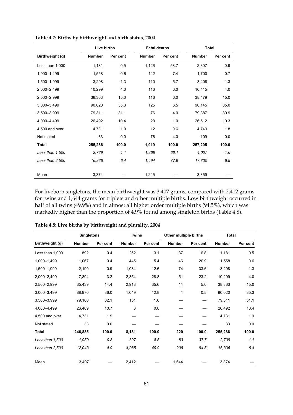|                 | Live births   |          | <b>Fetal deaths</b> |          | <b>Total</b>  |          |
|-----------------|---------------|----------|---------------------|----------|---------------|----------|
| Birthweight (g) | <b>Number</b> | Per cent | <b>Number</b>       | Per cent | <b>Number</b> | Per cent |
| Less than 1,000 | 1,181         | 0.5      | 1,126               | 58.7     | 2,307         | 0.9      |
| 1,000-1,499     | 1,558         | 0.6      | 142                 | 7.4      | 1,700         | 0.7      |
| 1,500-1,999     | 3,298         | 1.3      | 110                 | 5.7      | 3,408         | 1.3      |
| 2,000-2,499     | 10,299        | 4.0      | 116                 | 6.0      | 10,415        | 4.0      |
| 2,500-2,999     | 38,363        | 15.0     | 116                 | 6.0      | 38,479        | 15.0     |
| 3,000-3,499     | 90,020        | 35.3     | 125                 | 6.5      | 90,145        | 35.0     |
| 3,500-3,999     | 79,311        | 31.1     | 76                  | 4.0      | 79,387        | 30.9     |
| 4.000-4.499     | 26,492        | 10.4     | 20                  | 1.0      | 26,512        | 10.3     |
| 4,500 and over  | 4,731         | 1.9      | 12 <sup>2</sup>     | 0.6      | 4,743         | 1.8      |
| Not stated      | 33            | 0.0      | 76                  | 4.0      | 109           | 0.0      |
| Total           | 255,286       | 100.0    | 1,919               | 100.0    | 257,205       | 100.0    |
| Less than 1,500 | 2,739         | 1.1      | 1,268               | 66.1     | 4,007         | 1.6      |
| Less than 2,500 | 16,336        | 6.4      | 1,494               | 77.9     | 17,830        | 6.9      |
|                 |               |          |                     |          |               |          |
| Mean            | 3,374         |          | 1,245               |          | 3,359         |          |

**Table 4.7: Births by birthweight and birth status, 2004** 

For liveborn singletons, the mean birthweight was 3,407 grams, compared with 2,412 grams for twins and 1,644 grams for triplets and other multiple births. Low birthweight occurred in half of all twins (49.9%) and in almost all higher order multiple births (94.5%), which was markedly higher than the proportion of 4.9% found among singleton births (Table 4.8).

|                 |         | <b>Singletons</b> |               | <b>Twins</b> | Other multiple births |          | <b>Total</b>  |          |  |
|-----------------|---------|-------------------|---------------|--------------|-----------------------|----------|---------------|----------|--|
| Birthweight (g) | Number  | Per cent          | <b>Number</b> | Per cent     | <b>Number</b>         | Per cent | <b>Number</b> | Per cent |  |
| Less than 1,000 | 892     | 0.4               | 252           | 3.1          | 37                    | 16.8     | 1,181         | 0.5      |  |
| 1,000-1,499     | 1,067   | 0.4               | 445           | 5.4          | 46                    | 20.9     | 1,558         | 0.6      |  |
| 1,500-1,999     | 2,190   | 0.9               | 1,034         | 12.6         | 74                    | 33.6     | 3,298         | 1.3      |  |
| 2,000-2,499     | 7,894   | 3.2               | 2,354         | 28.8         | 51                    | 23.2     | 10,299        | 4.0      |  |
| 2,500-2,999     | 35,439  | 14.4              | 2,913         | 35.6         | 11                    | 5.0      | 38,363        | 15.0     |  |
| 3,000-3,499     | 88,970  | 36.0              | 1,049         | 12.8         | 1                     | 0.5      | 90,020        | 35.3     |  |
| 3,500-3,999     | 79,180  | 32.1              | 131           | 1.6          |                       |          | 79,311        | 31.1     |  |
| 4.000-4.499     | 26,489  | 10.7              | 3             | 0.0          |                       |          | 26,492        | 10.4     |  |
| 4,500 and over  | 4,731   | 1.9               |               |              |                       |          | 4,731         | 1.9      |  |
| Not stated      | 33      | 0.0               |               |              |                       |          | 33            | 0.0      |  |
| Total           | 246,885 | 100.0             | 8,181         | 100.0        | 220                   | 100.0    | 255,286       | 100.0    |  |
| Less than 1,500 | 1,959   | 0.8               | 697           | 8.5          | 83                    | 37.7     | 2,739         | 1.1      |  |
| Less than 2,500 | 12,043  | 4.9               | 4,085         | 49.9         | 208                   | 94.5     | 16,336        | 6.4      |  |
| Mean            | 3,407   |                   | 2,412         |              | 1,644                 |          | 3,374         |          |  |

**Table 4.8: Live births by birthweight and plurality, 2004**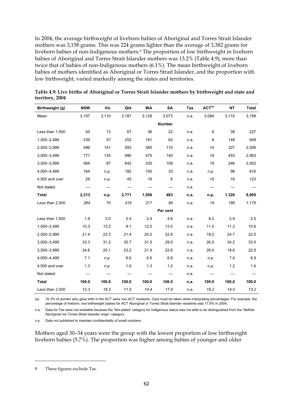In 2004, the average birthweight of liveborn babies of Aboriginal and Torres Strait Islander mothers was 3,158 grams. This was 224 grams lighter than the average of 3,382 grams for liveborn babies of non-Indigenous mothers.9 The proportion of low birthweight in liveborn babies of Aboriginal and Torres Strait Islander mothers was 13.2% (Table 4.9), more than twice that of babies of non-Indigenous mothers (6.1%). The mean birthweight of liveborn babies of mothers identified as Aboriginal or Torres Strait Islander, and the proportion with low birthweight, varied markedly among the states and territories.

| Birthweight (g) | <b>NSW</b> | <b>Vic</b> | Qld   | <b>WA</b> | <b>SA</b>     | <b>Tas</b> | ACT <sup>(a)</sup> | <b>NT</b> | <b>Total</b> |
|-----------------|------------|------------|-------|-----------|---------------|------------|--------------------|-----------|--------------|
| Mean            | 3,197      | 3,110      | 3,187 | 3,129     | 3,073         | n.a.       | 3,084              | 3,115     | 3,158        |
|                 |            |            |       |           | <b>Number</b> |            |                    |           |              |
| Less than 1,500 | 45         | 13         | 67    | 36        | 22            | n.a.       | 6                  | 38        | 227          |
| 1,500-2,499     | 239        | 57         | 252   | 181       | 63            | n.a.       | 8                  | 148       | 948          |
| 2,500-2,999     | 496        | 101        | 593   | 365       | 110           | n.a.       | 14                 | 327       | 2,006        |
| 3,000-3,499     | 771        | 135        | 990   | 475       | 140           | n.a.       | 19                 | 453       | 2,983        |
| 3,500-3,999     | 569        | 87         | 642   | 330       | 109           | n.a.       | 19                 | 246       | 2,002        |
| 4,000-4,499     | 164        | n.p.       | 182   | 100       | 33            | n.a.       | n.p.               | 98        | 616          |
| 4,500 and over  | 29         | n.p.       | 45    | 19        | 6             | n.a.       | $5$                | 16        | 123          |
| Not stated      |            |            |       |           |               | n.a.       |                    |           |              |
| <b>Total</b>    | 2,313      | n.p.       | 2,771 | 1,506     | 483           | n.a.       | n.p.               | 1,326     | 8,905        |
| Less than 2,500 | 284        | 70         | 319   | 217       | 85            | n.a.       | 14                 | 186       | 1,175        |
|                 |            |            |       |           | Per cent      |            |                    |           |              |
| Less than 1,500 | 1.9        | 3.0        | 2.4   | 2.4       | 4.6           | n.a.       | 8.2                | 2.9       | 2.5          |
| 1,500-2,499     | 10.3       | 13.2       | 9.1   | 12.0      | 13.0          | n.a.       | 11.0               | 11.2      | 10.6         |
| 2,500-2,999     | 21.4       | 23.3       | 21.4  | 24.2      | 22.8          | n.a.       | 19.2               | 24.7      | 22.5         |
| 3,000-3,499     | 33.3       | 31.2       | 35.7  | 31.5      | 29.0          | n.a.       | 26.0               | 34.2      | 33.5         |
| 3,500-3,999     | 24.6       | 20.1       | 23.2  | 21.9      | 22.6          | n.a.       | 26.0               | 18.6      | 22.5         |
| 4,000-4,499     | 7.1        | n.p.       | 6.6   | 6.6       | 6.8           | n.a.       | n.p.               | 7.4       | 6.9          |
| 4,500 and over  | 1.3        | n.p.       | 1.6   | 1.3       | 1.2           | n.a.       | n.p.               | $1.2$     | 1.4          |
| Not stated      |            |            |       |           |               | n.a.       |                    |           |              |
| <b>Total</b>    | 100.0      | 100.0      | 100.0 | 100.0     | 100.0         | n.a.       | 100.0              | 100.0     | 100.0        |
| Less than 2,500 | 12.3       | 16.2       | 11.5  | 14.4      | 17.6          | n.a.       | 19.2               | 14.0      | 13.2         |

**Table 4.9: Live births of Aboriginal or Torres Strait Islander mothers by birthweight and state and territory, 2004** 

(a) 16.3% of women who gave birth in the ACT were non-ACT residents. Care must be taken when interpreting percentages. For example, the percentage of liveborn, low birthweight babies for ACT Aboriginal or Torres Strait Islander residents was 17.9% in 2004.

n.a. Data for Tas were not available because the 'Not stated' category for Indigenous status was not able to be distinguished from the 'Neither Aboriginal nor Torres Strait Islander origin' category.

n.p. Data not published to maintain confidentiality of small numbers.

Mothers aged 30–34 years were the group with the lowest proportion of low birthweight liveborn babies (5.7%). The proportion was higher among babies of younger and older

 $\ddot{\phantom{a}}$ 

<sup>9</sup> These figures exclude Tas.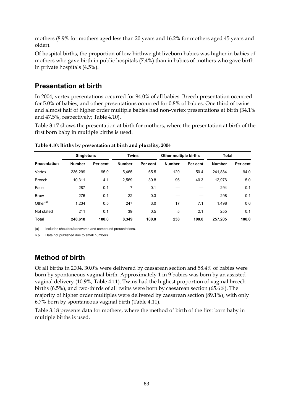mothers (8.9% for mothers aged less than 20 years and 16.2% for mothers aged 45 years and older).

Of hospital births, the proportion of low birthweight liveborn babies was higher in babies of mothers who gave birth in public hospitals (7.4%) than in babies of mothers who gave birth in private hospitals (4.5%).

### **Presentation at birth**

In 2004, vertex presentations occurred for 94.0% of all babies. Breech presentation occurred for 5.0% of babies, and other presentations occurred for 0.8% of babies. One third of twins and almost half of higher order multiple babies had non-vertex presentations at birth (34.1% and 47.5%, respectively; Table 4.10).

Table 3.17 shows the presentation at birth for mothers, where the presentation at birth of the first born baby in multiple births is used.

|                     |               | <b>Singletons</b> |               | <b>Twins</b> | Other multiple births |          | <b>Total</b>  |          |  |
|---------------------|---------------|-------------------|---------------|--------------|-----------------------|----------|---------------|----------|--|
| <b>Presentation</b> | <b>Number</b> | Per cent          | <b>Number</b> | Per cent     | <b>Number</b>         | Per cent | <b>Number</b> | Per cent |  |
| Vertex              | 236.299       | 95.0              | 5.465         | 65.5         | 120                   | 50.4     | 241.884       | 94.0     |  |
| <b>Breech</b>       | 10.311        | 4.1               | 2,569         | 30.8         | 96                    | 40.3     | 12.976        | 5.0      |  |
| Face                | 287           | 0.1               | 7             | 0.1          |                       |          | 294           | 0.1      |  |
| <b>Brow</b>         | 276           | 0.1               | 22            | 0.3          |                       |          | 298           | 0.1      |  |
| Other $(a)$         | 1.234         | 0.5               | 247           | 3.0          | 17                    | 7.1      | 1.498         | 0.6      |  |
| Not stated          | 211           | 0.1               | 39            | 0.5          | 5                     | 2.1      | 255           | 0.1      |  |
| <b>Total</b>        | 248.618       | 100.0             | 8.349         | 100.0        | 238                   | 100.0    | 257.205       | 100.0    |  |

**Table 4.10: Births by presentation at birth and plurality, 2004** 

(a) Includes shoulder/transverse and compound presentations.

n.p. Data not published due to small numbers.

## **Method of birth**

Of all births in 2004, 30.0% were delivered by caesarean section and 58.4% of babies were born by spontaneous vaginal birth. Approximately 1 in 9 babies was born by an assisted vaginal delivery (10.9%; Table 4.11). Twins had the highest proportion of vaginal breech births (6.5%), and two-thirds of all twins were born by caesarean section (65.6%). The majority of higher order multiples were delivered by caesarean section (89.1%), with only 6.7% born by spontaneous vaginal birth (Table 4.11).

Table 3.18 presents data for mothers, where the method of birth of the first born baby in multiple births is used.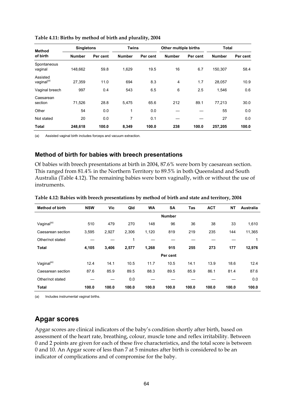| <b>Method</b>                      | <b>Singletons</b> |          | <b>Twins</b>  |          | Other multiple births |          | <b>Total</b>  |          |  |
|------------------------------------|-------------------|----------|---------------|----------|-----------------------|----------|---------------|----------|--|
| of birth                           | <b>Number</b>     | Per cent | <b>Number</b> | Per cent | <b>Number</b>         | Per cent | <b>Number</b> | Per cent |  |
| Spontaneous<br>vaginal             | 148.662           | 59.8     | 1,629         | 19.5     | 16                    | 6.7      | 150.307       | 58.4     |  |
| Assisted<br>vaginal <sup>(a)</sup> | 27.359            | 11.0     | 694           | 8.3      | 4                     | 1.7      | 28,057        | 10.9     |  |
| Vaginal breech                     | 997               | 0.4      | 543           | 6.5      | 6                     | 2.5      | 1,546         | 0.6      |  |
| Caesarean<br>section               | 71,526            | 28.8     | 5,475         | 65.6     | 212                   | 89.1     | 77.213        | 30.0     |  |
| Other                              | 54                | 0.0      | 1             | 0.0      |                       |          | 55            | 0.0      |  |
| Not stated                         | 20                | 0.0      | 7             | 0.1      |                       |          | 27            | 0.0      |  |
| <b>Total</b>                       | 248,618           | 100.0    | 8,349         | 100.0    | 238                   | 100.0    | 257,205       | 100.0    |  |

#### **Table 4.11: Births by method of birth and plurality, 2004**

(a) Assisted vaginal birth includes forceps and vacuum extraction.

### **Method of birth for babies with breech presentations**

Of babies with breech presentations at birth in 2004, 87.6% were born by caesarean section. This ranged from 81.4% in the Northern Territory to 89.5% in both Queensland and South Australia (Table 4.12). The remaining babies were born vaginally, with or without the use of instruments.

| <b>Method of birth</b> | <b>NSW</b> | Vic   | Qld   | <b>WA</b> | <b>SA</b>     | Tas   | <b>ACT</b> | <b>NT</b> | <b>Australia</b> |
|------------------------|------------|-------|-------|-----------|---------------|-------|------------|-----------|------------------|
|                        |            |       |       |           | <b>Number</b> |       |            |           |                  |
| Vaginal <sup>(a)</sup> | 510        | 479   | 270   | 148       | 96            | 36    | 38         | 33        | 1,610            |
| Caesarean section      | 3,595      | 2,927 | 2,306 | 1,120     | 819           | 219   | 235        | 144       | 11,365           |
| Other/not stated       |            |       | 1     |           |               |       |            |           | 1                |
| <b>Total</b>           | 4,105      | 3,406 | 2,577 | 1,268     | 915           | 255   | 273        | 177       | 12,976           |
|                        |            |       |       |           | Per cent      |       |            |           |                  |
| Vaginal <sup>(a)</sup> | 12.4       | 14.1  | 10.5  | 11.7      | 10.5          | 14.1  | 13.9       | 18.6      | 12.4             |
| Caesarean section      | 87.6       | 85.9  | 89.5  | 88.3      | 89.5          | 85.9  | 86.1       | 81.4      | 87.6             |
| Other/not stated       |            |       | 0.0   |           |               |       |            |           | 0.0              |
| <b>Total</b>           | 100.0      | 100.0 | 100.0 | 100.0     | 100.0         | 100.0 | 100.0      | 100.0     | 100.0            |

#### **Table 4.12: Babies with breech presentations by method of birth and state and territory, 2004**

(a) Includes instrumental vaginal births.

### **Apgar scores**

Apgar scores are clinical indicators of the baby's condition shortly after birth, based on assessment of the heart rate, breathing, colour, muscle tone and reflex irritability. Between 0 and 2 points are given for each of these five characteristics, and the total score is between 0 and 10. An Apgar score of less than 7 at 5 minutes after birth is considered to be an indicator of complications and of compromise for the baby.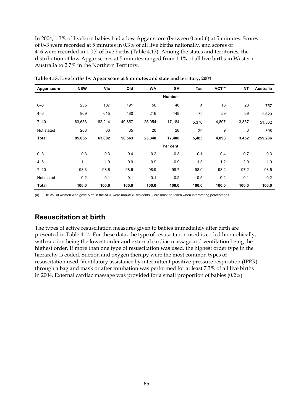In 2004, 1.3% of liveborn babies had a low Apgar score (between 0 and 6) at 5 minutes. Scores of 0–3 were recorded at 5 minutes in 0.3% of all live births nationally, and scores of 4–6 were recorded in 1.0% of live births (Table 4.13). Among the states and territories, the distribution of low Apgar scores at 5 minutes ranged from 1.1% of all live births in Western Australia to 2.7% in the Northern Territory.

| Apgar score  | <b>NSW</b> | Vic    | Qld           | <b>WA</b> | SA       | Tas   | ACT <sup>(a)</sup> | <b>NT</b> | <b>Australia</b> |
|--------------|------------|--------|---------------|-----------|----------|-------|--------------------|-----------|------------------|
|              |            |        | <b>Number</b> |           |          |       |                    |           |                  |
| $0 - 3$      | 235        | 187    | 191           | 50        | 48       | 5     | 18                 | 23        | 757              |
| $4 - 6$      | 969        | 615    | 480           | 216       | 148      | 73    | 59                 | 69        | 2,629            |
| $7 - 10$     | 83,653     | 62,214 | 49,857        | 25,054    | 17,184   | 5,376 | 4,807              | 3,357     | 51,502           |
| Not stated   | 208        | 66     | 35            | 20        | 28       | 29    | 9                  | 3         | 398              |
| <b>Total</b> | 85,065     | 63,082 | 50,563        | 25,340    | 17,408   | 5,483 | 4,893              | 3,452     | 255,286          |
|              |            |        |               |           | Per cent |       |                    |           |                  |
| $0 - 3$      | 0.3        | 0.3    | 0.4           | 0.2       | 0.3      | 0.1   | 0.4                | 0.7       | 0.3              |
| $4 - 6$      | 1.1        | 1.0    | 0.9           | 0.9       | 0.9      | 1.3   | 1.2                | 2.0       | 1.0              |
| $7 - 10$     | 98.3       | 98.6   | 98.6          | 98.9      | 98.7     | 98.0  | 98.2               | 97.2      | 98.5             |
| Not stated   | 0.2        | 0.1    | 0.1           | 0.1       | 0.2      | 0.5   | 0.2                | 0.1       | 0.2              |
| Total        | 100.0      | 100.0  | 100.0         | 100.0     | 100.0    | 100.0 | 100.0              | 100.0     | 100.0            |

**Table 4.13: Live births by Apgar score at 5 minutes and state and territory, 2004** 

(a) 16.3% of women who gave birth in the ACT were non-ACT residents. Care must be taken when interpreting percentages.

### **Resuscitation at birth**

The types of active resuscitation measures given to babies immediately after birth are presented in Table 4.14. For these data, the type of resuscitation used is coded hierarchically, with suction being the lowest order and external cardiac massage and ventilation being the highest order. If more than one type of resuscitation was used, the highest order type in the hierarchy is coded. Suction and oxygen therapy were the most common types of resuscitation used. Ventilatory assistance by intermittent positive pressure respiration (IPPR) through a bag and mask or after intubation was performed for at least 7.3% of all live births in 2004. External cardiac massage was provided for a small proportion of babies (0.2%).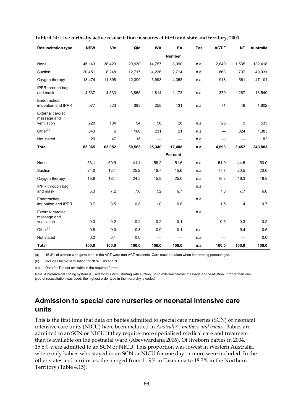| <b>Resuscitation type</b>                      | <b>NSW</b> | <b>Vic</b> | Qld    | <b>WA</b> | <b>SA</b>                | Tas  | ACT <sup>(a)</sup>               | <b>NT</b> | <b>Australia</b> |
|------------------------------------------------|------------|------------|--------|-----------|--------------------------|------|----------------------------------|-----------|------------------|
|                                                |            |            |        |           | <b>Number</b>            |      |                                  |           |                  |
| None                                           | 45,143     | 38,423     | 20,930 | 14,757    | 8,990                    | n.a. | 2,640                            | 1,535     | 132,418          |
| Suction                                        | 20,451     | 8,248      | 12,717 | 4,226     | 2,714                    | n.a. | 868                              | 707       | 49,931           |
| Oxygen therapy                                 | 13,474     | 11,398     | 12,399 | 3,998     | 4,353                    | n.a. | 918                              | 561       | 47,101           |
| IPPR through bag<br>and mask                   | 4,537      | 4,533      | 3,855  | 1,814     | 1,173                    | n.a. | 370                              | 267       | 16,549           |
| Endotracheal<br>intubation and IPPR            | 577        | 323        | 393    | 258       | 131                      | n.a. | 71                               | 49        | 1,802            |
| External cardiac<br>massage and<br>ventilation | 220        | 104        | 94     | 56        | 26                       | n.a. | 26                               | 9         | 535              |
| Other <sup>(b)</sup>                           | 643        | 6          | 160    | 231       | 21                       |      |                                  | 324       |                  |
|                                                |            |            |        |           |                          | n.a. |                                  |           | 1,385            |
| Not stated                                     | 20         | 47         | 15     | —         | $\overline{\phantom{0}}$ | n.a. |                                  |           | 82               |
| <b>Total</b>                                   | 85,065     | 63,082     | 50,563 | 25,340    | 17,408                   | n.a. | 4,893                            | 3,452     | 249,803          |
|                                                |            |            |        |           | Per cent                 |      |                                  |           |                  |
| None                                           | 53.1       | 60.9       | 41.4   | 58.2      | 51.6                     | n.a. | 54.0                             | 44.5      | 53.0             |
| Suction                                        | 24.0       | 13.1       | 25.2   | 16.7      | 15.6                     | n.a. | 17.7                             | 20.5      | 20.0             |
| Oxygen therapy                                 | 15.8       | 18.1       | 24.5   | 15.8      | 25.0                     | n.a. | 18.8                             | 16.3      | 18.9             |
| IPPR through bag<br>and mask                   | 5.3        | 7.2        | 7.6    | 7.2       | 6.7                      | n.a. | 7.6                              | 7.7       | 6.6              |
| Endotracheal<br>intubation and IPPR            | 0.7        | 0.5        | 0.8    | 1.0       | 0.8                      | n.a. | 1.5                              | 1.4       | 0.7              |
| External cardiac<br>massage and                |            |            |        |           |                          | n.a. |                                  |           |                  |
| ventilation                                    | 0.3        | 0.2        | 0.2    | 0.2       | 0.1                      |      | 0.5                              | 0.3       | 0.2              |
| Other <sup>(b)</sup>                           | 0.8        | 0.0        | 0.3    | 0.9       | 0.1                      | n.a. | $\overbrace{\phantom{12322111}}$ | 9.4       | 0.6              |
| Not stated                                     | 0.0        | 0.1        | 0.0    |           |                          | n.a. |                                  |           | 0.0              |
| <b>Total</b>                                   | 100.0      | 100.0      | 100.0  | 100.0     | 100.0                    | n.a. | 100.0                            | 100.0     | 100.0            |

**Table 4.14: Live births by active resuscitation measures at birth and state and territory, 2004** 

(a) 16.3% of women who gave birth in the ACT were non-ACT residents. Care must be taken when interpreting percentag**es.** 

(b) Includes tactile stimulation for NSW, Qld and NT.

n.a. Data for Tas not available in the required format.

*Note:* A hierarchical coding system is used for this item, starting with suction, up to external cardiac massage and ventilation. If more than one type of resuscitation was used, the highest order type in the hierarchy is coded.

### **Admission to special care nurseries or neonatal intensive care units**

This is the first time that data on babies admitted to special care nurseries (SCN) or neonatal intensive care units (NICU) have been included in *Australia's mothers and babies*. Babies are admitted to an SCN or NICU if they require more specialised medical care and treatment than is available on the postnatal ward (Abeywardana 2006). Of liveborn babies in 2004, 15.6% were admitted to an SCN or NICU. This proportion was lowest in Western Australia, where only babies who stayed in an SCN or NICU for one day or more were included. In the other states and territories, this ranged from 11.9% in Tasmania to 18.3% in the Northern Territory (Table 4.15).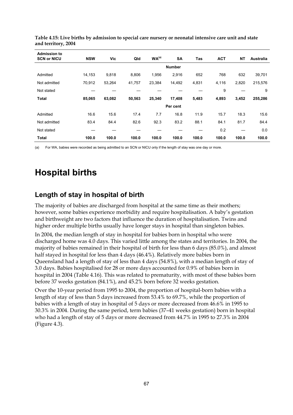| <b>Admission to</b> |            |        |        |                   |               |       |            |           |                  |
|---------------------|------------|--------|--------|-------------------|---------------|-------|------------|-----------|------------------|
| <b>SCN or NICU</b>  | <b>NSW</b> | Vic    | Qld    | WA <sup>(a)</sup> | <b>SA</b>     | Tas   | <b>ACT</b> | <b>NT</b> | <b>Australia</b> |
|                     |            |        |        |                   | <b>Number</b> |       |            |           |                  |
| Admitted            | 14,153     | 9,818  | 8,806  | 1,956             | 2,916         | 652   | 768        | 632       | 39,701           |
| Not admitted        | 70,912     | 53,264 | 41,757 | 23,384            | 14,492        | 4,831 | 4,116      | 2,820     | 215,576          |
| Not stated          |            |        |        |                   |               |       | 9          |           | 9                |
| <b>Total</b>        | 85,065     | 63,082 | 50,563 | 25,340            | 17,408        | 5,483 | 4,893      | 3,452     | 255,286          |
|                     |            |        |        |                   | Per cent      |       |            |           |                  |
| Admitted            | 16.6       | 15.6   | 17.4   | 7.7               | 16.8          | 11.9  | 15.7       | 18.3      | 15.6             |
| Not admitted        | 83.4       | 84.4   | 82.6   | 92.3              | 83.2          | 88.1  | 84.1       | 81.7      | 84.4             |
| Not stated          |            |        |        |                   |               |       | 0.2        |           | 0.0              |
| <b>Total</b>        | 100.0      | 100.0  | 100.0  | 100.0             | 100.0         | 100.0 | 100.0      | 100.0     | 100.0            |

**Table 4.15: Live births by admission to special care nursery or neonatal intensive care unit and state and territory, 2004** 

(a) For WA, babies were recorded as being admitted to an SCN or NICU only if the length of stay was one day or more.

# **Hospital births**

## **Length of stay in hospital of birth**

The majority of babies are discharged from hospital at the same time as their mothers; however, some babies experience morbidity and require hospitalisation. A baby's gestation and birthweight are two factors that influence the duration of hospitalisation. Twins and higher order multiple births usually have longer stays in hospital than singleton babies.

In 2004, the median length of stay in hospital for babies born in hospital who were discharged home was 4.0 days. This varied little among the states and territories. In 2004, the majority of babies remained in their hospital of birth for less than 6 days (85.0%), and almost half stayed in hospital for less than 4 days (46.4%). Relatively more babies born in Queensland had a length of stay of less than 4 days (54.8%), with a median length of stay of 3.0 days. Babies hospitalised for 28 or more days accounted for 0.9% of babies born in hospital in 2004 (Table 4.16). This was related to prematurity, with most of these babies born before 37 weeks gestation (84.1%), and 45.2% born before 32 weeks gestation.

Over the 10-year period from 1995 to 2004, the proportion of hospital-born babies with a length of stay of less than 5 days increased from 53.4% to 69.7%, while the proportion of babies with a length of stay in hospital of 5 days or more decreased from 46.6% in 1995 to 30.3% in 2004. During the same period, term babies (37–41 weeks gestation) born in hospital who had a length of stay of 5 days or more decreased from 44.7% in 1995 to 27.3% in 2004 (Figure 4.3).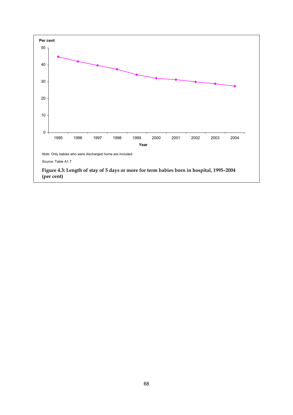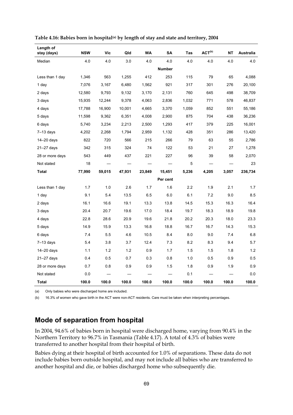| Length of<br>stay (days) | <b>NSW</b> | Vic    | Qld    | <b>WA</b> | SA            | Tas   | $ACT^{(b)}$ | <b>NT</b> | <b>Australia</b> |
|--------------------------|------------|--------|--------|-----------|---------------|-------|-------------|-----------|------------------|
| Median                   | 4.0        | 4.0    | 3.0    | 4.0       | 4.0           | 4.0   | 4.0         | 4.0       | 4.0              |
|                          |            |        |        |           | <b>Number</b> |       |             |           |                  |
| Less than 1 day          | 1,346      | 563    | 1,255  | 412       | 253           | 115   | 79          | 65        | 4,088            |
| 1 day                    | 7,076      | 3,167  | 6,480  | 1,562     | 921           | 317   | 301         | 276       | 20,100           |
| 2 days                   | 12,580     | 9,793  | 9,132  | 3,170     | 2,131         | 760   | 645         | 498       | 38,709           |
| 3 days                   | 15,935     | 12,244 | 9,378  | 4,063     | 2,836         | 1,032 | 771         | 578       | 46,837           |
| 4 days                   | 17,788     | 16,900 | 10,001 | 4,665     | 3,370         | 1,059 | 852         | 551       | 55,186           |
| 5 days                   | 11,598     | 9,362  | 6,351  | 4,008     | 2,900         | 875   | 704         | 438       | 36,236           |
| 6 days                   | 5,740      | 3,234  | 2,213  | 2,500     | 1,293         | 417   | 379         | 225       | 16,001           |
| $7-13$ days              | 4,202      | 2,268  | 1,794  | 2,959     | 1,132         | 428   | 351         | 286       | 13,420           |
| $14 - 20$ days           | 822        | 720    | 566    | 215       | 266           | 79    | 63          | 55        | 2,786            |
| $21 - 27$ days           | 342        | 315    | 324    | 74        | 122           | 53    | 21          | 27        | 1,278            |
| 28 or more days          | 543        | 449    | 437    | 221       | 227           | 96    | 39          | 58        | 2,070            |
| Not stated               | 18         |        |        |           |               | 5     |             |           | 23               |
| <b>Total</b>             | 77,990     | 59,015 | 47,931 | 23,849    | 15,451        | 5,236 | 4,205       | 3,057     | 236,734          |
|                          |            |        |        |           | Per cent      |       |             |           |                  |
| Less than 1 day          | 1.7        | 1.0    | 2.6    | 1.7       | 1.6           | 2.2   | 1.9         | 2.1       | 1.7              |
| 1 day                    | 9.1        | 5.4    | 13.5   | 6.5       | 6.0           | 6.1   | 7.2         | 9.0       | 8.5              |
| 2 days                   | 16.1       | 16.6   | 19.1   | 13.3      | 13.8          | 14.5  | 15.3        | 16.3      | 16.4             |
| 3 days                   | 20.4       | 20.7   | 19.6   | 17.0      | 18.4          | 19.7  | 18.3        | 18.9      | 19.8             |
| 4 days                   | 22.8       | 28.6   | 20.9   | 19.6      | 21.8          | 20.2  | 20.3        | 18.0      | 23.3             |
| 5 days                   | 14.9       | 15.9   | 13.3   | 16.8      | 18.8          | 16.7  | 16.7        | 14.3      | 15.3             |
| 6 days                   | 7.4        | 5.5    | 4.6    | 10.5      | 8.4           | 8.0   | 9.0         | 7.4       | 6.8              |
| $7-13$ days              | 5.4        | 3.8    | 3.7    | 12.4      | 7.3           | 8.2   | 8.3         | 9.4       | 5.7              |
| $14 - 20$ days           | 1.1        | 1.2    | 1.2    | 0.9       | 1.7           | 1.5   | 1.5         | 1.8       | 1.2              |
| $21 - 27$ days           | 0.4        | 0.5    | 0.7    | 0.3       | 0.8           | 1.0   | 0.5         | 0.9       | 0.5              |
| 28 or more days          | 0.7        | 0.8    | 0.9    | 0.9       | 1.5           | 1.8   | 0.9         | 1.9       | 0.9              |
| Not stated               | 0.0        |        |        |           |               | 0.1   |             |           | 0.0              |
| <b>Total</b>             | 100.0      | 100.0  | 100.0  | 100.0     | 100.0         | 100.0 | 100.0       | 100.0     | 100.0            |

Table 4.16: Babies born in hospital<sup>(a)</sup> by length of stay and state and territory, 2004

(a) Only babies who were discharged home are included.

(b) 16.3% of women who gave birth in the ACT were non-ACT residents. Care must be taken when interpreting percentages.

### **Mode of separation from hospital**

In 2004, 94.6% of babies born in hospital were discharged home, varying from 90.4% in the Northern Territory to 96.7% in Tasmania (Table 4.17). A total of 4.3% of babies were transferred to another hospital from their hospital of birth.

Babies dying at their hospital of birth accounted for 1.0% of separations. These data do not include babies born outside hospital, and may not include all babies who are transferred to another hospital and die, or babies discharged home who subsequently die.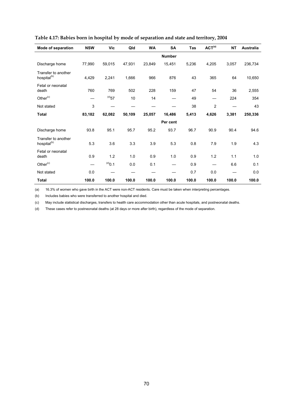| Mode of separation                             | <b>NSW</b> | Vic         | Qld    | <b>WA</b> | <b>SA</b>     | Tas   | ACT <sup>(a)</sup> | <b>NT</b> | <b>Australia</b> |
|------------------------------------------------|------------|-------------|--------|-----------|---------------|-------|--------------------|-----------|------------------|
|                                                |            |             |        |           | <b>Number</b> |       |                    |           |                  |
| Discharge home                                 | 77,990     | 59,015      | 47,931 | 23,849    | 15,451        | 5,236 | 4,205              | 3,057     | 236,734          |
| Transfer to another<br>hospital <sup>(b)</sup> | 4,429      | 2,241       | 1,666  | 966       | 876           | 43    | 365                | 64        | 10,650           |
| Fetal or neonatal<br>death                     | 760        | 769         | 502    | 228       | 159           | 47    | 54                 | 36        | 2,555            |
| Other <sup>(c)</sup>                           |            | $^{(d)}$ 57 | 10     | 14        |               | 49    |                    | 224       | 354              |
| Not stated                                     | 3          |             |        |           |               | 38    | $\overline{2}$     |           | 43               |
| <b>Total</b>                                   | 83,182     | 62,082      | 50,109 | 25,057    | 16,486        | 5,413 | 4,626              | 3,381     | 250,336          |
|                                                |            |             |        |           | Per cent      |       |                    |           |                  |
| Discharge home                                 | 93.8       | 95.1        | 95.7   | 95.2      | 93.7          | 96.7  | 90.9               | 90.4      | 94.6             |
| Transfer to another<br>hospital <sup>(b)</sup> | 5.3        | 3.6         | 3.3    | 3.9       | 5.3           | 0.8   | 7.9                | 1.9       | 4.3              |
| Fetal or neonatal<br>death                     | 0.9        | 1.2         | 1.0    | 0.9       | 1.0           | 0.9   | 1.2                | 1.1       | 1.0              |
| Other <sup>(c)</sup>                           |            | $^{(d)}0.1$ | 0.0    | 0.1       |               | 0.9   |                    | 6.6       | 0.1              |
| Not stated                                     | 0.0        |             |        |           |               | 0.7   | 0.0                |           | 0.0              |
| <b>Total</b>                                   | 100.0      | 100.0       | 100.0  | 100.0     | 100.0         | 100.0 | 100.0              | 100.0     | 100.0            |

### **Table 4.17: Babies born in hospital by mode of separation and state and territory, 2004**

(a) 16.3% of women who gave birth in the ACT were non-ACT residents. Care must be taken when interpreting percentages.

(b) Includes babies who were transferred to another hospital and died.

(c) May include statistical discharges, transfers to health care accommodation other than acute hospitals, and postneonatal deaths.

(d) These cases refer to postneonatal deaths (at 28 days or more after birth), regardless of the mode of separation.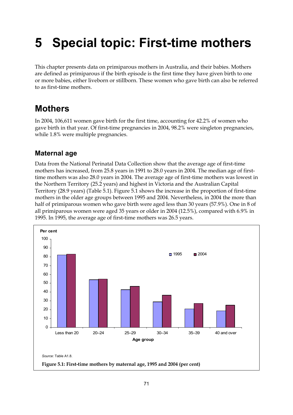# **5 Special topic: First-time mothers**

This chapter presents data on primiparous mothers in Australia, and their babies. Mothers are defined as primiparous if the birth episode is the first time they have given birth to one or more babies, either liveborn or stillborn. These women who gave birth can also be referred to as first-time mothers.

# **Mothers**

In 2004, 106,611 women gave birth for the first time, accounting for 42.2% of women who gave birth in that year. Of first-time pregnancies in 2004, 98.2% were singleton pregnancies, while 1.8% were multiple pregnancies.

# **Maternal age**

Data from the National Perinatal Data Collection show that the average age of first-time mothers has increased, from 25.8 years in 1991 to 28.0 years in 2004. The median age of firsttime mothers was also 28.0 years in 2004. The average age of first-time mothers was lowest in the Northern Territory (25.2 years) and highest in Victoria and the Australian Capital Territory (28.9 years) (Table 5.1). Figure 5.1 shows the increase in the proportion of first-time mothers in the older age groups between 1995 and 2004. Nevertheless, in 2004 the more than half of primiparous women who gave birth were aged less than 30 years (57.9%). One in 8 of all primiparous women were aged 35 years or older in 2004 (12.5%), compared with 6.9% in 1995. In 1995, the average age of first-time mothers was 26.5 years.

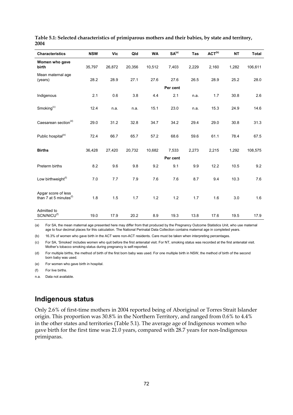| <b>Characteristics</b>                                    | <b>NSW</b> | <b>Vic</b> | Qld    | <b>WA</b> | SA <sup>(a)</sup> | Tas   | ACT <sup>(b)</sup> | <b>NT</b> | <b>Total</b> |
|-----------------------------------------------------------|------------|------------|--------|-----------|-------------------|-------|--------------------|-----------|--------------|
|                                                           |            |            |        |           |                   |       |                    |           |              |
| Women who gave<br>birth                                   | 35,797     | 26,872     | 20,356 | 10,512    | 7,403             | 2,229 | 2,160              | 1,282     | 106,611      |
| Mean maternal age<br>(years)                              | 28.2       | 28.9       | 27.1   | 27.6      | 27.6              | 26.5  | 28.9               | 25.2      | 28.0         |
|                                                           |            |            |        |           | Per cent          |       |                    |           |              |
| Indigenous                                                | 2.1        | 0.6        | 3.8    | 4.4       | 2.1               | n.a.  | 1.7                | 30.8      | 2.6          |
| Smoking $(c)$                                             | 12.4       | n.a.       | n.a.   | 15.1      | 23.0              | n.a.  | 15.3               | 24.9      | 14.6         |
| Caesarean section <sup>(d)</sup>                          | 29.0       | 31.2       | 32.8   | 34.7      | 34.2              | 29.4  | 29.0               | 30.8      | 31.3         |
| Public hospital <sup>(e)</sup>                            | 72.4       | 66.7       | 65.7   | 57.2      | 68.6              | 59.6  | 61.1               | 78.4      | 67.5         |
| <b>Births</b>                                             | 36,428     | 27,420     | 20,732 | 10,682    | 7,533             | 2,273 | 2,215              | 1,292     | 108,575      |
|                                                           |            |            |        |           | Per cent          |       |                    |           |              |
| Preterm births                                            | 8.2        | 9.6        | 9.8    | 9.2       | 9.1               | 9.9   | 12.2               | 10.5      | 9.2          |
| Low birthweight <sup>(f)</sup>                            | 7.0        | 7.7        | 7.9    | 7.6       | 7.6               | 8.7   | 9.4                | 10.3      | 7.6          |
| Apgar score of less<br>than 7 at 5 minutes <sup>(f)</sup> | 1.8        | 1.5        | 1.7    | 1.2       | 1.2               | 1.7   | 1.6                | 3.0       | 1.6          |
| Admitted to<br>SCN/NICU <sup>(f)</sup>                    | 19.0       | 17.9       | 20.2   | 8.9       | 19.3              | 13.8  | 17.6               | 19.5      | 17.9         |

**Table 5.1: Selected characteristics of primiparous mothers and their babies, by state and territory, 2004** 

(a) For SA, the mean maternal age presented here may differ from that produced by the Pregnancy Outcome Statistics Unit, who use maternal age to four decimal places for this calculation. The National Perinatal Data Collection contains maternal age in completed years.

(b) 16.3% of women who gave birth in the ACT were non-ACT residents. Care must be taken when interpreting percentages.

(c) For SA, 'Smoked' includes women who quit before the first antenatal visit. For NT, smoking status was recorded at the first antenatal visit. Mother's tobacco smoking status during pregnancy is self-reported.

(d) For multiple births, the method of birth of the first born baby was used. For one multiple birth in NSW, the method of birth of the second born baby was used.

(e) For women who gave birth in hospital.

(f) For live births.

n.a. Data not available.

### **Indigenous status**

Only 2.6% of first-time mothers in 2004 reported being of Aboriginal or Torres Strait Islander origin. This proportion was 30.8% in the Northern Territory, and ranged from 0.6% to 4.4% in the other states and territories (Table 5.1). The average age of Indigenous women who gave birth for the first time was 21.0 years, compared with 28.7 years for non-Indigenous primiparas.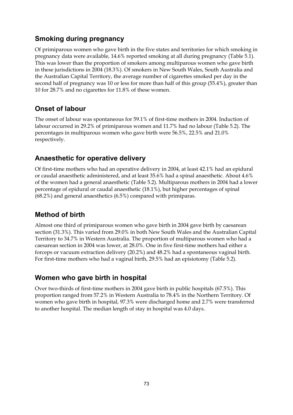# **Smoking during pregnancy**

Of primiparous women who gave birth in the five states and territories for which smoking in pregnancy data were available, 14.6% reported smoking at all during pregnancy (Table 5.1). This was lower than the proportion of smokers among multiparous women who gave birth in these jurisdictions in 2004 (18.3%). Of smokers in New South Wales, South Australia and the Australian Capital Territory, the average number of cigarettes smoked per day in the second half of pregnancy was 10 or less for more than half of this group (55.4%), greater than 10 for 28.7% and no cigarettes for 11.8% of these women.

# **Onset of labour**

The onset of labour was spontaneous for 59.1% of first-time mothers in 2004. Induction of labour occurred in 29.2% of primiparous women and 11.7% had no labour (Table 5.2). The percentages in multiparous women who gave birth were 56.5%, 22.5% and 21.0% respectively.

## **Anaesthetic for operative delivery**

Of first-time mothers who had an operative delivery in 2004, at least 42.1% had an epidural or caudal anaesthetic administered, and at least 35.6% had a spinal anaesthetic. About 4.6% of the women had a general anaesthetic (Table 5.2). Multiparous mothers in 2004 had a lower percentage of epidural or caudal anaesthetic (18.1%), but higher percentages of spinal (68.2%) and general anaesthetics (6.5%) compared with primiparas.

## **Method of birth**

Almost one third of primiparous women who gave birth in 2004 gave birth by caesarean section (31.3%). This varied from 29.0% in both New South Wales and the Australian Capital Territory to 34.7% in Western Australia. The proportion of multiparous women who had a caesarean section in 2004 was lower, at 28.0%. One in five first-time mothers had either a forceps or vacuum extraction delivery (20.2%) and 48.2% had a spontaneous vaginal birth. For first-time mothers who had a vaginal birth, 29.5% had an episiotomy (Table 5.2).

## **Women who gave birth in hospital**

Over two-thirds of first-time mothers in 2004 gave birth in public hospitals (67.5%). This proportion ranged from 57.2% in Western Australia to 78.4% in the Northern Territory. Of women who gave birth in hospital, 97.3% were discharged home and 2.7% were transferred to another hospital. The median length of stay in hospital was 4.0 days.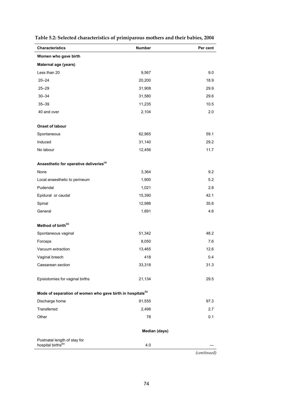| <b>Characteristics</b>                                                 | Number        | Per cent    |
|------------------------------------------------------------------------|---------------|-------------|
| Women who gave birth                                                   |               |             |
| Maternal age (years)                                                   |               |             |
| Less than 20                                                           | 9,567         | 9.0         |
| $20 - 24$                                                              | 20,200        | 18.9        |
| $25 - 29$                                                              | 31,908        | 29.9        |
| $30 - 34$                                                              | 31,580        | 29.6        |
| $35 - 39$                                                              | 11,235        | 10.5        |
| 40 and over                                                            | 2,104         | 2.0         |
| <b>Onset of labour</b>                                                 |               |             |
| Spontaneous                                                            | 62,965        | 59.1        |
| Induced                                                                | 31,140        | 29.2        |
| No labour                                                              | 12,456        | 11.7        |
| Anaesthetic for operative deliveries <sup>(a)</sup>                    |               |             |
| None                                                                   | 3,364         | 9.2         |
| Local anaesthetic to perineum                                          | 1,900         | 5.2         |
| Pudendal                                                               | 1,021         | 2.8         |
| Epidural or caudal                                                     | 15,390        | 42.1        |
| Spinal                                                                 | 12,988        | 35.6        |
| General                                                                | 1,691         | 4.6         |
| Method of birth <sup>(b)</sup>                                         |               |             |
| Spontaneous vaginal                                                    | 51,342        | 48.2        |
| Forceps                                                                | 8,050         | 7.6         |
| Vacuum extraction                                                      | 13,465        | 12.6        |
| Vaginal breech                                                         | 418           | 0.4         |
| Caesarean section                                                      | 33,318        | 31.3        |
| Episiotomies for vaginal births                                        | 21,134        | 29.5        |
| Mode of separation of women who gave birth in hospitals <sup>(b)</sup> |               |             |
| Discharge home                                                         | 91,555        | 97.3        |
| Transferred                                                            | 2,498         | 2.7         |
| Other                                                                  | 78            | 0.1         |
|                                                                        | Median (days) |             |
| Postnatal length of stay for                                           |               |             |
| hospital births <sup>(c)</sup>                                         | 4.0           |             |
|                                                                        |               | (continued) |

### **Table 5.2: Selected characteristics of primiparous mothers and their babies, 2004**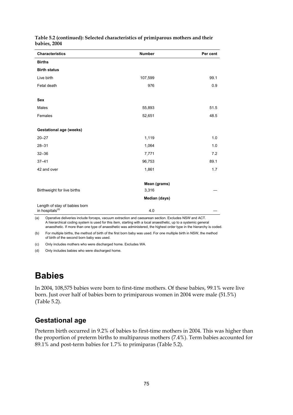| <b>Characteristics</b>                                                                                                                     | <b>Number</b> | Per cent |
|--------------------------------------------------------------------------------------------------------------------------------------------|---------------|----------|
| <b>Births</b>                                                                                                                              |               |          |
| <b>Birth status</b>                                                                                                                        |               |          |
| Live birth                                                                                                                                 | 107,599       | 99.1     |
| Fetal death                                                                                                                                | 976           | 0.9      |
|                                                                                                                                            |               |          |
| <b>Sex</b>                                                                                                                                 |               |          |
| Males                                                                                                                                      | 55,893        | 51.5     |
| Females                                                                                                                                    | 52,651        | 48.5     |
|                                                                                                                                            |               |          |
| <b>Gestational age (weeks)</b>                                                                                                             |               |          |
| $20 - 27$                                                                                                                                  | 1,119         | 1.0      |
| $28 - 31$                                                                                                                                  | 1,064         | 1.0      |
| $32 - 36$                                                                                                                                  | 7,771         | 7.2      |
| $37 - 41$                                                                                                                                  | 96,753        | 89.1     |
| 42 and over                                                                                                                                | 1,861         | 1.7      |
|                                                                                                                                            |               |          |
|                                                                                                                                            | Mean (grams)  |          |
| Birthweight for live births                                                                                                                | 3,316         |          |
|                                                                                                                                            | Median (days) |          |
| Length of stay of babies born                                                                                                              |               |          |
| in hospitals <sup>(d)</sup><br>Operative deliveries include forceps, vacuum extraction and caesarean section. Excludes NSW and ACT.<br>(a) | 4.0           |          |

#### **Table 5.2 (continued): Selected characteristics of primiparous mothers and their babies, 2004**

A hierarchical coding system is used for this item, starting with a local anaesthetic, up to a systemic general anaesthetic. If more than one type of anaesthetic was administered, the highest order type in the hierarchy is coded.

(b) For multiple births, the method of birth of the first born baby was used. For one multiple birth in NSW, the method of birth of the second born baby was used.

(c) Only includes mothers who were discharged home. Excludes WA.

(d) Only includes babies who were discharged home.

# **Babies**

In 2004, 108,575 babies were born to first-time mothers. Of these babies, 99.1% were live born. Just over half of babies born to primiparous women in 2004 were male (51.5%) (Table 5.2).

## **Gestational age**

Preterm birth occurred in 9.2% of babies to first-time mothers in 2004. This was higher than the proportion of preterm births to multiparous mothers (7.4%). Term babies accounted for 89.1% and post-term babies for 1.7% to primiparas (Table 5.2).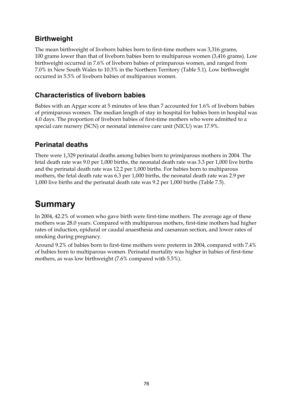# **Birthweight**

The mean birthweight of liveborn babies born to first-time mothers was 3,316 grams, 100 grams lower than that of liveborn babies born to multiparous women (3,416 grams). Low birthweight occurred in 7.6% of liveborn babies of primparous women, and ranged from 7.0% in New South Wales to 10.3% in the Northern Territory (Table 5.1). Low birthweight occurred in 5.5% of liveborn babies of multiparous women.

### **Characteristics of liveborn babies**

Babies with an Apgar score at 5 minutes of less than 7 accounted for 1.6% of liveborn babies of primiparous women. The median length of stay in hospital for babies born in hospital was 4.0 days. The proportion of liveborn babies of first-time mothers who were admitted to a special care nursery (SCN) or neonatal intensive care unit (NICU) was 17.9%.

## **Perinatal deaths**

There were 1,329 perinatal deaths among babies born to primiparous mothers in 2004. The fetal death rate was 9.0 per 1,000 births, the neonatal death rate was 3.3 per 1,000 live births and the perinatal death rate was 12.2 per 1,000 births. For babies born to multiparous mothers, the fetal death rate was 6.3 per 1,000 births, the neonatal death rate was 2.9 per 1,000 live births and the perinatal death rate was 9.2 per 1,000 births (Table 7.5).

# **Summary**

In 2004, 42.2% of women who gave birth were first-time mothers. The average age of these mothers was 28.0 years. Compared with multiparous mothers, first-time mothers had higher rates of induction, epidural or caudal anaesthesia and caesarean section, and lower rates of smoking during pregnancy.

Around 9.2% of babies born to first-time mothers were preterm in 2004, compared with 7.4% of babies born to multiparous women. Perinatal mortality was higher in babies of first-time mothers, as was low birthweight (7.6% compared with 5.5%).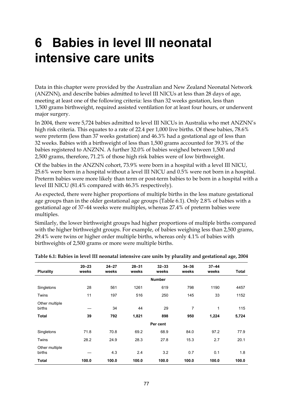# **6 Babies in level III neonatal intensive care units**

Data in this chapter were provided by the Australian and New Zealand Neonatal Network (ANZNN), and describe babies admitted to level III NICUs at less than 28 days of age, meeting at least one of the following criteria: less than 32 weeks gestation, less than 1,500 grams birthweight, required assisted ventilation for at least four hours, or underwent major surgery.

In 2004, there were 5,724 babies admitted to level III NICUs in Australia who met ANZNN's high risk criteria. This equates to a rate of 22.4 per 1,000 live births. Of these babies, 78.6% were preterm (less than 37 weeks gestation) and 46.3% had a gestational age of less than 32 weeks. Babies with a birthweight of less than 1,500 grams accounted for 39.3% of the babies registered to ANZNN. A further 32.0% of babies weighed between 1,500 and 2,500 grams, therefore, 71.2% of those high risk babies were of low birthweight.

Of the babies in the ANZNN cohort, 73.9% were born in a hospital with a level III NICU, 25.6% were born in a hospital without a level III NICU and 0.5% were not born in a hospital. Preterm babies were more likely than term or post-term babies to be born in a hospital with a level III NICU (81.4% compared with 46.3% respectively).

As expected, there were higher proportions of multiple births in the less mature gestational age groups than in the older gestational age groups (Table 6.1). Only 2.8% of babies with a gestational age of 37–44 weeks were multiples, whereas 27.4% of preterm babies were multiples.

Similarly, the lower birthweight groups had higher proportions of multiple births compared with the higher birthweight groups. For example, of babies weighing less than 2,500 grams, 29.4% were twins or higher order multiple births, whereas only 4.1% of babies with birthweights of 2,500 grams or more were multiple births.

| <b>Plurality</b>         | $20 - 23$<br>weeks | $24 - 27$<br>weeks | $28 - 31$<br>weeks | $32 - 33$<br>weeks | $34 - 36$<br>weeks | $37 - 44$<br>weeks | Total |
|--------------------------|--------------------|--------------------|--------------------|--------------------|--------------------|--------------------|-------|
|                          |                    |                    |                    | <b>Number</b>      |                    |                    |       |
| Singletons               | 28                 | 561                | 1261               | 619                | 798                | 1190               | 4457  |
| Twins                    | 11                 | 197                | 516                | 250                | 145                | 33                 | 1152  |
| Other multiple<br>births |                    | 34                 | 44                 | 29                 | 7                  | 1                  | 115   |
| <b>Total</b>             | 39                 | 792                | 1,821              | 898                | 950                | 1,224              | 5,724 |
|                          |                    |                    |                    | Per cent           |                    |                    |       |
| Singletons               | 71.8               | 70.8               | 69.2               | 68.9               | 84.0               | 97.2               | 77.9  |
| Twins                    | 28.2               | 24.9               | 28.3               | 27.8               | 15.3               | 2.7                | 20.1  |
| Other multiple<br>births |                    | 4.3                | 2.4                | 3.2                | 0.7                | 0.1                | 1.8   |
| Total                    | 100.0              | 100.0              | 100.0              | 100.0              | 100.0              | 100.0              | 100.0 |

| Table 6.1: Babies in level III neonatal intensive care units by plurality and gestational age, 2004 |  |  |  |
|-----------------------------------------------------------------------------------------------------|--|--|--|
|-----------------------------------------------------------------------------------------------------|--|--|--|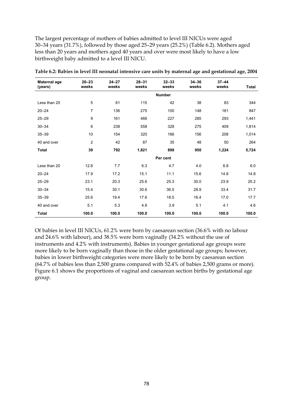The largest percentage of mothers of babies admitted to level III NICUs were aged 30–34 years (31.7%), followed by those aged 25–29 years (25.2%) (Table 6.2). Mothers aged less than 20 years and mothers aged 40 years and over were most likely to have a low birthweight baby admitted to a level III NICU.

| Maternal age<br>(years) | $20 - 23$<br>weeks | $24 - 27$<br>weeks | $28 - 31$<br>weeks | $32 - 33$<br>weeks | $34 - 36$<br>weeks | $37 - 44$<br>weeks | <b>Total</b> |
|-------------------------|--------------------|--------------------|--------------------|--------------------|--------------------|--------------------|--------------|
|                         |                    |                    |                    | <b>Number</b>      |                    |                    |              |
| Less than 20            | 5                  | 61                 | 115                | 42                 | 38                 | 83                 | 344          |
| $20 - 24$               | $\overline{7}$     | 136                | 275                | 100                | 148                | 181                | 847          |
| $25 - 29$               | 9                  | 161                | 466                | 227                | 285                | 293                | 1,441        |
| $30 - 34$               | 6                  | 238                | 558                | 328                | 275                | 409                | 1,814        |
| $35 - 39$               | 10                 | 154                | 320                | 166                | 156                | 208                | 1,014        |
| 40 and over             | 2                  | 42                 | 87                 | 35                 | 48                 | 50                 | 264          |
| <b>Total</b>            | 39                 | 792                | 1,821              | 898                | 950                | 1,224              | 5,724        |
|                         |                    |                    |                    | Per cent           |                    |                    |              |
| Less than 20            | 12.8               | 7.7                | 6.3                | 4.7                | 4.0                | 6.8                | 6.0          |
| $20 - 24$               | 17.9               | 17.2               | 15.1               | 11.1               | 15.6               | 14.8               | 14.8         |
| $25 - 29$               | 23.1               | 20.3               | 25.6               | 25.3               | 30.0               | 23.9               | 25.2         |
| $30 - 34$               | 15.4               | 30.1               | 30.6               | 36.5               | 28.9               | 33.4               | 31.7         |
| $35 - 39$               | 25.6               | 19.4               | 17.6               | 18.5               | 16.4               | 17.0               | 17.7         |
| 40 and over             | 5.1                | 5.3                | 4.8                | 3.9                | 5.1                | 4.1                | 4.6          |
| <b>Total</b>            | 100.0              | 100.0              | 100.0              | 100.0              | 100.0              | 100.0              | 100.0        |

**Table 6.2: Babies in level III neonatal intensive care units by maternal age and gestational age, 2004** 

Of babies in level III NICUs, 61.2% were born by caesarean section (36.6% with no labour and 24.6% with labour), and 38.5% were born vaginally (34.2% without the use of instruments and 4.2% with instruments). Babies in younger gestational age groups were more likely to be born vaginally than those in the older gestational age groups; however, babies in lower birthweight categories were more likely to be born by caesarean section (64.7% of babies less than 2,500 grams compared with 52.4% of babies 2,500 grams or more). Figure 6.1 shows the proportions of vaginal and caesarean section births by gestational age group.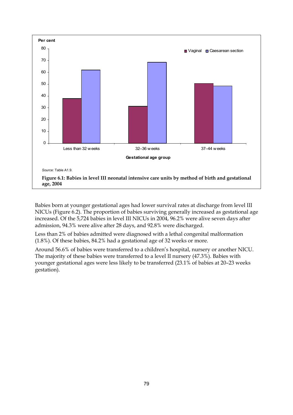

Babies born at younger gestational ages had lower survival rates at discharge from level III NICUs (Figure 6.2). The proportion of babies surviving generally increased as gestational age increased. Of the 5,724 babies in level III NICUs in 2004, 96.2% were alive seven days after admission, 94.3% were alive after 28 days, and 92.8% were discharged.

Less than 2% of babies admitted were diagnosed with a lethal congenital malformation (1.8%). Of these babies, 84.2% had a gestational age of 32 weeks or more.

Around 56.6% of babies were transferred to a children's hospital, nursery or another NICU. The majority of these babies were transferred to a level II nursery (47.3%). Babies with younger gestational ages were less likely to be transferred (23.1% of babies at 20–23 weeks gestation).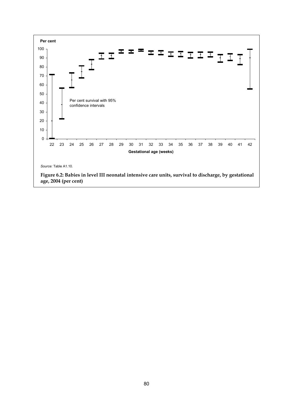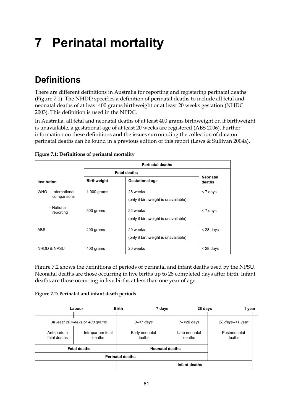# **7 Perinatal mortality**

# **Definitions**

There are different definitions in Australia for reporting and registering perinatal deaths (Figure 7.1). The NHDD specifies a definition of perinatal deaths to include all fetal and neonatal deaths of at least 400 grams birthweight or at least 20 weeks gestation (NHDC 2003). This definition is used in the NPDC.

In Australia, all fetal and neonatal deaths of at least 400 grams birthweight or, if birthweight is unavailable, a gestational age of at least 20 weeks are registered (ABS 2006). Further information on these definitions and the issues surrounding the collection of data on perinatal deaths can be found in a previous edition of this report (Laws & Sullivan 2004a).

|                                    |                    | <b>Fetal deaths</b>                              |                           |
|------------------------------------|--------------------|--------------------------------------------------|---------------------------|
| <b>Institution</b>                 | <b>Birthweight</b> | <b>Gestational age</b>                           | <b>Neonatal</b><br>deaths |
| WHO - International<br>comparisons | $1,000$ grams      | 28 weeks<br>(only if birthweight is unavailable) | $<$ 7 days                |
| - National<br>reporting            | 500 grams          | 22 weeks<br>(only if birthweight is unavailable) | $<$ 7 days                |
| ABS                                | 400 grams          | 20 weeks<br>(only if birthweight is unavailable) | $<$ 28 days               |
| <b>NHDD &amp; NPSU</b>             | 400 grams          | 20 weeks                                         | $<$ 28 days               |

**Figure 7.1: Definitions of perinatal mortality** 

Figure 7.2 shows the definitions of periods of perinatal and infant deaths used by the NPSU. Neonatal deaths are those occurring in live births up to 28 completed days after birth. Infant deaths are those occurring in live births at less than one year of age.

### **Figure 7.2: Perinatal and infant death periods**

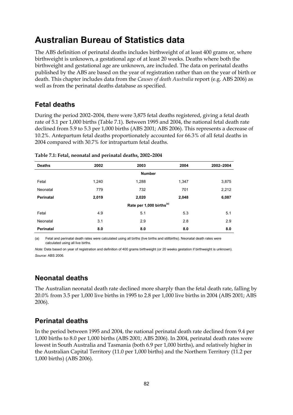# **Australian Bureau of Statistics data**

The ABS definition of perinatal deaths includes birthweight of at least 400 grams or, where birthweight is unknown, a gestational age of at least 20 weeks. Deaths where both the birthweight and gestational age are unknown, are included. The data on perinatal deaths published by the ABS are based on the year of registration rather than on the year of birth or death. This chapter includes data from the *Causes of death Australia* report (e.g. ABS 2006) as well as from the perinatal deaths database as specified.

## **Fetal deaths**

During the period 2002–2004, there were 3,875 fetal deaths registered, giving a fetal death rate of 5.1 per 1,000 births (Table 7.1). Between 1995 and 2004, the national fetal death rate declined from 5.9 to 5.3 per 1,000 births (ABS 2001; ABS 2006). This represents a decrease of 10.2%. Antepartum fetal deaths proportionately accounted for 66.3% of all fetal deaths in 2004 compared with 30.7% for intrapartum fetal deaths.

| <b>Deaths</b>    | 2002  | 2003                                 | 2004  | 2002-2004 |
|------------------|-------|--------------------------------------|-------|-----------|
|                  |       | <b>Number</b>                        |       |           |
| Fetal            | 1,240 | 1,288                                | 1,347 | 3,875     |
| Neonatal         | 779   | 732                                  | 701   | 2,212     |
| <b>Perinatal</b> | 2,019 | 2,020                                | 2,048 | 6,087     |
|                  |       | Rate per 1,000 births <sup>(a)</sup> |       |           |
| Fetal            | 4.9   | 5.1                                  | 5.3   | 5.1       |
| Neonatal         | 3.1   | 2.9                                  | 2.8   | 2.9       |
| <b>Perinatal</b> | 8.0   | 8.0                                  | 8.0   | 8.0       |

| Table 7.1: Fetal, neonatal and perinatal deaths, 2002-2004 |  |
|------------------------------------------------------------|--|
|------------------------------------------------------------|--|

(a) Fetal and perinatal death rates were calculated using all births (live births and stillbirths). Neonatal death rates were calculated using all live births.

*Note:* Data based on year of registration and definition of 400 grams birthweight (or 20 weeks gestation if birthweight is unknown). *Source:* ABS 2006.

## **Neonatal deaths**

The Australian neonatal death rate declined more sharply than the fetal death rate, falling by 20.0% from 3.5 per 1,000 live births in 1995 to 2.8 per 1,000 live births in 2004 (ABS 2001; ABS 2006).

### **Perinatal deaths**

In the period between 1995 and 2004, the national perinatal death rate declined from 9.4 per 1,000 births to 8.0 per 1,000 births (ABS 2001; ABS 2006). In 2004, perinatal death rates were lowest in South Australia and Tasmania (both 6.9 per 1,000 births), and relatively higher in the Australian Capital Territory (11.0 per 1,000 births) and the Northern Territory (11.2 per 1,000 births) (ABS 2006).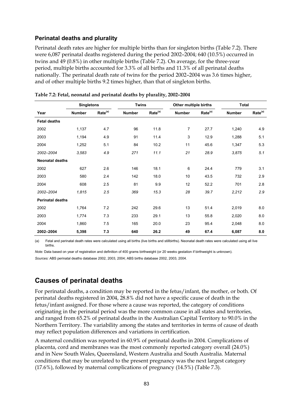### **Perinatal deaths and plurality**

Perinatal death rates are higher for multiple births than for singleton births (Table 7.2). There were 6,087 perinatal deaths registered during the period 2002–2004; 640 (10.5%) occurred in twins and 49 (0.8%) in other multiple births (Table 7.2). On average, for the three-year period, multiple births accounted for 3.3% of all births and 11.3% of all perinatal deaths nationally. The perinatal death rate of twins for the period 2002–2004 was 3.6 times higher, and of other multiple births 9.2 times higher, than that of singleton births.

|                         |               | <b>Twins</b><br><b>Singletons</b> |               |                     | Other multiple births |                     | <b>Total</b>  |                     |  |
|-------------------------|---------------|-----------------------------------|---------------|---------------------|-----------------------|---------------------|---------------|---------------------|--|
| Year                    | <b>Number</b> | Rate <sup>(a)</sup>               | <b>Number</b> | Rate <sup>(a)</sup> | <b>Number</b>         | Rate <sup>(a)</sup> | <b>Number</b> | Rate <sup>(a)</sup> |  |
| <b>Fetal deaths</b>     |               |                                   |               |                     |                       |                     |               |                     |  |
| 2002                    | 1,137         | 4.7                               | 96            | 11.8                | 7                     | 27.7                | 1,240         | 4.9                 |  |
| 2003                    | 1,194         | 4.9                               | 91            | 11.4                | 3                     | 12.9                | 1,288         | 5.1                 |  |
| 2004                    | 1,252         | 5.1                               | 84            | 10.2                | 11                    | 45.6                | 1,347         | 5.3                 |  |
| 2002-2004               | 3,583         | 4.9                               | 271           | 11.1                | 21                    | 28.9                | 3,875         | 5.1                 |  |
| <b>Neonatal deaths</b>  |               |                                   |               |                     |                       |                     |               |                     |  |
| 2002                    | 627           | 2.6                               | 146           | 18.1                | 6                     | 24.4                | 779           | 3.1                 |  |
| 2003                    | 580           | 2.4                               | 142           | 18.0                | 10                    | 43.5                | 732           | 2.9                 |  |
| 2004                    | 608           | 2.5                               | 81            | 9.9                 | 12                    | 52.2                | 701           | 2.8                 |  |
| 2002-2004               | 1,815         | 2.5                               | 369           | 15.3                | 28                    | 39.7                | 2,212         | 2.9                 |  |
| <b>Perinatal deaths</b> |               |                                   |               |                     |                       |                     |               |                     |  |
| 2002                    | 1,764         | 7.2                               | 242           | 29.6                | 13                    | 51.4                | 2,019         | 8.0                 |  |
| 2003                    | 1,774         | 7.3                               | 233           | 29.1                | 13                    | 55.8                | 2,020         | 8.0                 |  |
| 2004                    | 1,860         | 7.5                               | 165           | 20.0                | 23                    | 95.4                | 2,048         | 8.0                 |  |
| 2002-2004               | 5,398         | 7.3                               | 640           | 26.2                | 49                    | 67.4                | 6,087         | 8.0                 |  |

|  |  | Table 7.2: Fetal, neonatal and perinatal deaths by plurality, 2002–2004 |
|--|--|-------------------------------------------------------------------------|
|  |  |                                                                         |

(a) Fetal and perinatal death rates were calculated using all births (live births and stillbirths). Neonatal death rates were calculated using all live births.

*Note:* Data based on year of registration and definition of 400 grams birthweight (or 20 weeks gestation if birthweight is unknown). *Sources:* ABS perinatal deaths database 2002, 2003, 2004; ABS births database 2002, 2003, 2004.

### **Causes of perinatal deaths**

For perinatal deaths, a condition may be reported in the fetus/infant, the mother, or both. Of perinatal deaths registered in 2004, 28.8% did not have a specific cause of death in the fetus/infant assigned. For those where a cause was reported, the category of conditions originating in the perinatal period was the more common cause in all states and territories, and ranged from 65.2% of perinatal deaths in the Australian Capital Territory to 90.0% in the Northern Territory. The variability among the states and territories in terms of cause of death may reflect population differences and variations in certification.

A maternal condition was reported in 60.9% of perinatal deaths in 2004. Complications of placenta, cord and membranes was the most commonly reported category overall (24.0%) and in New South Wales, Queensland, Western Australia and South Australia. Maternal conditions that may be unrelated to the present pregnancy was the next largest category (17.6%), followed by maternal complications of pregnancy (14.5%) (Table 7.3).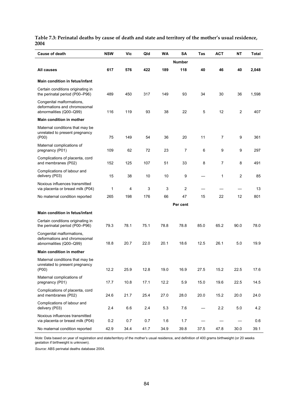### **Table 7.3: Perinatal deaths by cause of death and state and territory of the mother's usual residence, 2004**

| <b>Cause of death</b>                                                                | <b>NSW</b> | Vic  | Qld  | WA   | SΑ             | Tas  | <b>ACT</b>     | NΤ             | Total |
|--------------------------------------------------------------------------------------|------------|------|------|------|----------------|------|----------------|----------------|-------|
|                                                                                      |            |      |      |      | <b>Number</b>  |      |                |                |       |
| All causes                                                                           | 617        | 576  | 422  | 189  | 118            | 40   | 46             | 40             | 2,048 |
| <b>Main condition in fetus/infant</b>                                                |            |      |      |      |                |      |                |                |       |
| Certain conditions originating in<br>the perinatal period (P00-P96)                  | 489        | 450  | 317  | 149  | 93             | 34   | 30             | 36             | 1,598 |
| Congenital malformations,<br>deformations and chromosomal<br>abnormalities (Q00-Q99) | 116        | 119  | 93   | 38   | 22             | 5    | 12             | $\overline{2}$ | 407   |
| <b>Main condition in mother</b>                                                      |            |      |      |      |                |      |                |                |       |
| Maternal conditions that may be<br>unrelated to present pregnancy<br>(POO)           | 75         | 149  | 54   | 36   | 20             | 11   | $\overline{7}$ | 9              | 361   |
| Maternal complications of<br>pregnancy (P01)                                         | 109        | 62   | 72   | 23   | $\overline{7}$ | 6    | 9              | 9              | 297   |
| Complications of placenta, cord<br>and membranes (P02)                               | 152        | 125  | 107  | 51   | 33             | 8    | $\overline{7}$ | 8              | 491   |
| Complications of labour and<br>delivery (P03)                                        | 15         | 38   | 10   | 10   | 9              |      | 1              | $\overline{2}$ | 85    |
| Noxious influences transmitted<br>via placenta or breast milk (P04)                  | 1          | 4    | 3    | 3    | $\overline{c}$ |      |                |                | 13    |
| No maternal condition reported                                                       | 265        | 198  | 176  | 66   | 47             | 15   | 22             | 12             | 801   |
|                                                                                      |            |      |      |      | Per cent       |      |                |                |       |
| Main condition in fetus/infant                                                       |            |      |      |      |                |      |                |                |       |
| Certain conditions originating in<br>the perinatal period (P00-P96)                  | 79.3       | 78.1 | 75.1 | 78.8 | 78.8           | 85.0 | 65.2           | 90.0           | 78.0  |
| Congenital malformations,<br>deformations and chromosomal<br>abnormalities (Q00-Q99) | 18.8       | 20.7 | 22.0 | 20.1 | 18.6           | 12.5 | 26.1           | 5.0            | 19.9  |
| Main condition in mother                                                             |            |      |      |      |                |      |                |                |       |
| Maternal conditions that may be<br>unrelated to present pregnancy<br>(POO)           | 12.2       | 25.9 | 12.8 | 19.0 | 16.9           | 27.5 | 15.2           | 22.5           | 17.6  |
| Maternal complications of<br>pregnancy (P01)                                         | 17.7       | 10.8 | 17.1 | 12.2 | 5.9            | 15.0 | 19.6           | 22.5           | 14.5  |
| Complications of placenta, cord<br>and membranes (P02)                               | 24.6       | 21.7 | 25.4 | 27.0 | 28.0           | 20.0 | 15.2           | $20.0\,$       | 24.0  |
| Complications of labour and<br>delivery (P03)                                        | 2.4        | 6.6  | 2.4  | 5.3  | 7.6            |      | 2.2            | $5.0\,$        | 4.2   |
| Noxious influences transmitted<br>via placenta or breast milk (P04)                  | 0.2        | 0.7  | 0.7  | 1.6  | 1.7            |      |                |                | 0.6   |
| No maternal condition reported                                                       | 42.9       | 34.4 | 41.7 | 34.9 | 39.8           | 37.5 | 47.8           | 30.0           | 39.1  |

*Note:* Data based on year of registration and state/territory of the mother's usual residence, and definition of 400 grams birthweight (or 20 weeks gestation if birthweight is unknown).

*Source:* ABS perinatal deaths database 2004.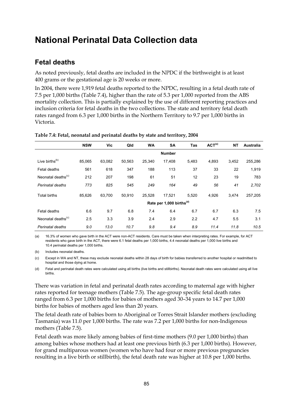# **National Perinatal Data Collection data**

### **Fetal deaths**

As noted previously, fetal deaths are included in the NPDC if the birthweight is at least 400 grams or the gestational age is 20 weeks or more.

In 2004, there were 1,919 fetal deaths reported to the NPDC, resulting in a fetal death rate of 7.5 per 1,000 births (Table 7.4), higher than the rate of 5.3 per 1,000 reported from the ABS mortality collection. This is partially explained by the use of different reporting practices and inclusion criteria for fetal deaths in the two collections. The state and territory fetal death rates ranged from 6.3 per 1,000 births in the Northern Territory to 9.7 per 1,000 births in Victoria.

|                                | <b>NSW</b> | Vic    | Qld    | <b>WA</b> | <b>SA</b>                            | Tas   | ACT <sup>(a)</sup> | <b>NT</b> | <b>Australia</b> |
|--------------------------------|------------|--------|--------|-----------|--------------------------------------|-------|--------------------|-----------|------------------|
|                                |            |        |        |           | <b>Number</b>                        |       |                    |           |                  |
| Live births <sup>(b)</sup>     | 85,065     | 63,082 | 50,563 | 25.340    | 17.408                               | 5,483 | 4,893              | 3,452     | 255,286          |
| Fetal deaths                   | 561        | 618    | 347    | 188       | 113                                  | 37    | 33                 | 22        | 1,919            |
| Neonatal deaths <sup>(c)</sup> | 212        | 207    | 198    | 61        | 51                                   | 12    | 23                 | 19        | 783              |
| Perinatal deaths               | 773        | 825    | 545    | 249       | 164                                  | 49    | 56                 | 41        | 2,702            |
| <b>Total births</b>            | 85,626     | 63,700 | 50,910 | 25,528    | 17,521                               | 5,520 | 4,926              | 3,474     | 257,205          |
|                                |            |        |        |           | Rate per 1,000 births <sup>(d)</sup> |       |                    |           |                  |
| Fetal deaths                   | 6.6        | 9.7    | 6.8    | 7.4       | 6.4                                  | 6.7   | 6.7                | 6.3       | 7.5              |
| Neonatal deaths $(c)$          | 2.5        | 3.3    | 3.9    | 2.4       | 2.9                                  | 2.2   | 4.7                | 5.5       | 3.1              |
| Perinatal deaths               | 9.0        | 13.0   | 10.7   | 9.8       | 9.4                                  | 8.9   | 11.4               | 11.8      | 10.5             |

**Table 7.4: Fetal, neonatal and perinatal deaths by state and territory, 2004** 

(a) 16.3% of women who gave birth in the ACT were non-ACT residents. Care must be taken when interpreting rates. For example, for ACT residents who gave birth in the ACT, there were 6.1 fetal deaths per 1,000 births, 4.4 neonatal deaths per 1,000 live births and 10.4 perinatal deaths per 1,000 births.

(b) Includes neonatal deaths.

(c) Except in WA and NT, these may exclude neonatal deaths within 28 days of birth for babies transferred to another hospital or readmitted to hospital and those dying at home.

(d) Fetal and perinatal death rates were calculated using all births (live births and stillbirths). Neonatal death rates were calculated using all live births.

There was variation in fetal and perinatal death rates according to maternal age with higher rates reported for teenage mothers (Table 7.5). The age-group specific fetal death rates ranged from 6.3 per 1,000 births for babies of mothers aged 30–34 years to 14.7 per 1,000 births for babies of mothers aged less than 20 years.

The fetal death rate of babies born to Aboriginal or Torres Strait Islander mothers (excluding Tasmania) was 11.0 per 1,000 births. The rate was 7.2 per 1,000 births for non-Indigenous mothers (Table 7.5).

Fetal death was more likely among babies of first-time mothers (9.0 per 1,000 births) than among babies whose mothers had at least one previous birth (6.3 per 1,000 births). However, for grand multiparous women (women who have had four or more previous pregnancies resulting in a live birth or stillbirth), the fetal death rate was higher at 10.8 per 1,000 births.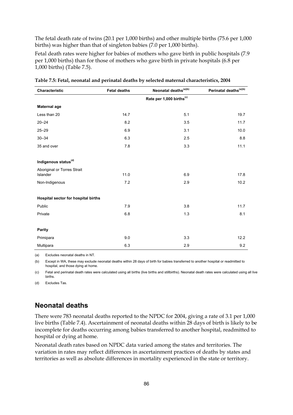The fetal death rate of twins (20.1 per 1,000 births) and other multiple births (75.6 per 1,000 births) was higher than that of singleton babies (7.0 per 1,000 births).

Fetal death rates were higher for babies of mothers who gave birth in public hospitals (7.9 per 1,000 births) than for those of mothers who gave birth in private hospitals (6.8 per 1,000 births) (Table 7.5).

| Characteristic                          | <b>Fetal deaths</b> | Neonatal deaths <sup>(a)(b)</sup>    | Perinatal deaths <sup>(a)(b)</sup> |
|-----------------------------------------|---------------------|--------------------------------------|------------------------------------|
|                                         |                     | Rate per 1,000 births <sup>(c)</sup> |                                    |
| <b>Maternal age</b>                     |                     |                                      |                                    |
| Less than 20                            | 14.7                | 5.1                                  | 19.7                               |
| $20 - 24$                               | 8.2                 | 3.5                                  | 11.7                               |
| $25 - 29$                               | 6.9                 | 3.1                                  | 10.0                               |
| $30 - 34$                               | 6.3                 | 2.5                                  | 8.8                                |
| 35 and over                             | 7.8                 | 3.3                                  | 11.1                               |
|                                         |                     |                                      |                                    |
| Indigenous status <sup>(d)</sup>        |                     |                                      |                                    |
| Aboriginal or Torres Strait<br>Islander | 11.0                | 6.9                                  | 17.8                               |
| Non-Indigenous                          | 7.2                 | 2.9                                  | 10.2                               |
|                                         |                     |                                      |                                    |
| Hospital sector for hospital births     |                     |                                      |                                    |
| Public                                  | 7.9                 | 3.8                                  | 11.7                               |
| Private                                 | 6.8                 | 1.3                                  | 8.1                                |
| Parity                                  |                     |                                      |                                    |
| Primipara                               | 9.0                 | 3.3                                  | 12.2                               |
| Multipara                               | 6.3                 | 2.9                                  | 9.2                                |

**Table 7.5: Fetal, neonatal and perinatal deaths by selected maternal characteristics, 2004** 

(a) Excludes neonatal deaths in NT.

(b) Except in WA, these may exclude neonatal deaths within 28 days of birth for babies transferred to another hospital or readmitted to hospital, and those dying at home.

(c) Fetal and perinatal death rates were calculated using all births (live births and stillbirths). Neonatal death rates were calculated using all live births.

(d) Excludes Tas.

### **Neonatal deaths**

There were 783 neonatal deaths reported to the NPDC for 2004, giving a rate of 3.1 per 1,000 live births (Table 7.4). Ascertainment of neonatal deaths within 28 days of birth is likely to be incomplete for deaths occurring among babies transferred to another hospital, readmitted to hospital or dying at home.

Neonatal death rates based on NPDC data varied among the states and territories. The variation in rates may reflect differences in ascertainment practices of deaths by states and territories as well as absolute differences in mortality experienced in the state or territory.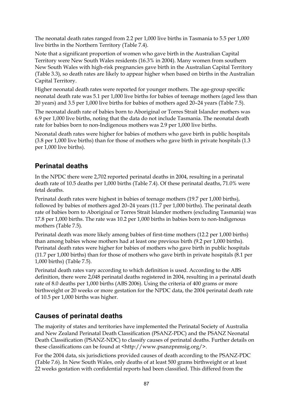The neonatal death rates ranged from 2.2 per 1,000 live births in Tasmania to 5.5 per 1,000 live births in the Northern Territory (Table 7.4).

Note that a significant proportion of women who gave birth in the Australian Capital Territory were New South Wales residents (16.3% in 2004). Many women from southern New South Wales with high-risk pregnancies gave birth in the Australian Capital Territory (Table 3.3), so death rates are likely to appear higher when based on births in the Australian Capital Territory.

Higher neonatal death rates were reported for younger mothers. The age-group specific neonatal death rate was 5.1 per 1,000 live births for babies of teenage mothers (aged less than 20 years) and 3.5 per 1,000 live births for babies of mothers aged 20–24 years (Table 7.5).

The neonatal death rate of babies born to Aboriginal or Torres Strait Islander mothers was 6.9 per 1,000 live births, noting that the data do not include Tasmania. The neonatal death rate for babies born to non-Indigenous mothers was 2.9 per 1,000 live births.

Neonatal death rates were higher for babies of mothers who gave birth in public hospitals (3.8 per 1,000 live births) than for those of mothers who gave birth in private hospitals (1.3 per 1,000 live births).

### **Perinatal deaths**

In the NPDC there were 2,702 reported perinatal deaths in 2004, resulting in a perinatal death rate of 10.5 deaths per 1,000 births (Table 7.4). Of these perinatal deaths, 71.0% were fetal deaths.

Perinatal death rates were highest in babies of teenage mothers (19.7 per 1,000 births), followed by babies of mothers aged 20–24 years (11.7 per 1,000 births). The perinatal death rate of babies born to Aboriginal or Torres Strait Islander mothers (excluding Tasmania) was 17.8 per 1,000 births. The rate was 10.2 per 1,000 births in babies born to non-Indigenous mothers (Table 7.5).

Perinatal death was more likely among babies of first-time mothers (12.2 per 1,000 births) than among babies whose mothers had at least one previous birth (9.2 per 1,000 births). Perinatal death rates were higher for babies of mothers who gave birth in public hospitals (11.7 per 1,000 births) than for those of mothers who gave birth in private hospitals (8.1 per 1,000 births) (Table 7.5).

Perinatal death rates vary according to which definition is used. According to the ABS definition, there were 2,048 perinatal deaths registered in 2004, resulting in a perinatal death rate of 8.0 deaths per 1,000 births (ABS 2006). Using the criteria of 400 grams or more birthweight or 20 weeks or more gestation for the NPDC data, the 2004 perinatal death rate of 10.5 per 1,000 births was higher.

### **Causes of perinatal deaths**

The majority of states and territories have implemented the Perinatal Society of Australia and New Zealand Perinatal Death Classification (PSANZ-PDC) and the PSANZ Neonatal Death Classification (PSANZ-NDC) to classify causes of perinatal deaths. Further details on these classifications can be found at <http://www.psanzpnmsig.org/>.

For the 2004 data, six jurisdictions provided causes of death according to the PSANZ-PDC (Table 7.6). In New South Wales, only deaths of at least 500 grams birthweight or at least 22 weeks gestation with confidential reports had been classified. This differed from the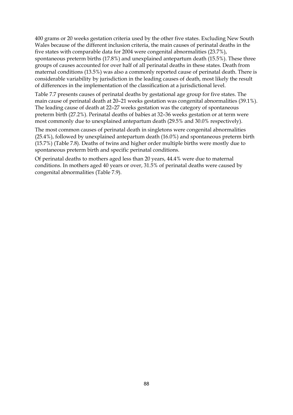400 grams or 20 weeks gestation criteria used by the other five states. Excluding New South Wales because of the different inclusion criteria, the main causes of perinatal deaths in the five states with comparable data for 2004 were congenital abnormalities (23.7%), spontaneous preterm births (17.8%) and unexplained antepartum death (15.5%). These three groups of causes accounted for over half of all perinatal deaths in these states. Death from maternal conditions (13.5%) was also a commonly reported cause of perinatal death. There is considerable variability by jurisdiction in the leading causes of death, most likely the result of differences in the implementation of the classification at a jurisdictional level.

Table 7.7 presents causes of perinatal deaths by gestational age group for five states. The main cause of perinatal death at 20–21 weeks gestation was congenital abnormalities (39.1%). The leading cause of death at 22–27 weeks gestation was the category of spontaneous preterm birth (27.2%). Perinatal deaths of babies at 32–36 weeks gestation or at term were most commonly due to unexplained antepartum death (29.5% and 30.0% respectively).

The most common causes of perinatal death in singletons were congenital abnormalities (25.4%), followed by unexplained antepartum death (16.0%) and spontaneous preterm birth (15.7%) (Table 7.8). Deaths of twins and higher order multiple births were mostly due to spontaneous preterm birth and specific perinatal conditions.

Of perinatal deaths to mothers aged less than 20 years, 44.4% were due to maternal conditions. In mothers aged 40 years or over, 31.5% of perinatal deaths were caused by congenital abnormalities (Table 7.9).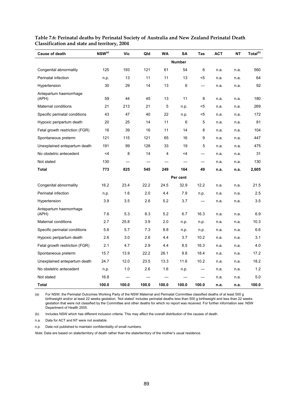| <b>Cause of death</b>           | $NSW^{(a)}$ | Vic   | Qld   | <b>WA</b> | SΑ            | Tas   | <b>ACT</b> | NΤ   | Total <sup>(b)</sup> |
|---------------------------------|-------------|-------|-------|-----------|---------------|-------|------------|------|----------------------|
|                                 |             |       |       |           | <b>Number</b> |       |            |      |                      |
| Congenital abnormality          | 125         | 193   | 121   | 61        | 54            | 6     | n.a.       | n.a. | 560                  |
| Perinatal infection             | n.p.        | 13    | 11    | 11        | 13            | $<$ 5 | n.a.       | n.a. | 64                   |
| Hypertension                    | 30          | 29    | 14    | 13        | 6             |       | n.a.       | n.a. | 92                   |
| Antepartum haemorrhage<br>(APH) | 59          | 44    | 45    | 13        | 11            | 8     | n.a.       | n.a. | 180                  |
| Maternal conditions             | 21          | 213   | 21    | 5         | n.p.          | <5    | n.a.       | n.a. | 269                  |
| Specific perinatal conditions   | 43          | 47    | 40    | 22        | n.p.          | <5    | n.a.       | n.a. | 172                  |
| Hypoxic peripartum death        | 20          | 25    | 14    | 11        | 6             | 5     | n.a.       | n.a. | 81                   |
| Fetal growth restriction (FGR)  | 16          | 39    | 16    | 11        | 14            | 8     | n.a.       | n.a. | 104                  |
| Spontaneous preterm             | 121         | 115   | 121   | 65        | 16            | 9     | n.a.       | n.a. | 447                  |
| Unexplained antepartum death    | 191         | 99    | 128   | 33        | 19            | 5     | n.a.       | n.a. | 475                  |
| No obstetric antecedent         | $<$ 4       | 8     | 14    | 4         | $<$ 4         |       | n.a.       | n.a. | 31                   |
| Not stated                      | 130         |       |       |           |               |       | n.a.       | n.a. | 130                  |
| Total                           | 773         | 825   | 545   | 249       | 164           | 49    | n.a.       | n.a. | 2,605                |
|                                 |             |       |       |           | Per cent      |       |            |      |                      |
| Congenital abnormality          | 16.2        | 23.4  | 22.2  | 24.5      | 32.9          | 12.2  | n.a.       | n.a. | 21.5                 |
| Perinatal infection             | n.p.        | 1.6   | 2.0   | 4.4       | 7.9           | n.p.  | n.a.       | n.a. | 2.5                  |
| Hypertension                    | 3.9         | 3.5   | 2.6   | 5.2       | 3.7           |       | n.a.       | n.a. | 3.5                  |
| Antepartum haemorrhage<br>(APH) | 7.6         | 5.3   | 8.3   | 5.2       | 6.7           | 16.3  | n.a.       | n.a. | 6.9                  |
| Maternal conditions             | 2.7         | 25.8  | 3.9   | 2.0       | n.p.          | n.p.  | n.a.       | n.a. | 10.3                 |
| Specific perinatal conditions   | 5.6         | 5.7   | 7.3   | 8.8       | n.p.          | n.p.  | n.a.       | n.a. | 6.6                  |
| Hypoxic peripartum death        | 2.6         | 3.0   | 2.6   | 4.4       | 3.7           | 10.2  | n.a.       | n.a. | 3.1                  |
| Fetal growth restriction (FGR)  | 2.1         | 4.7   | 2.9   | 4.4       | 8.5           | 16.3  | n.a.       | n.a. | 4.0                  |
| Spontaneous preterm             | 15.7        | 13.9  | 22.2  | 26.1      | 9.8           | 18.4  | n.a.       | n.a. | 17.2                 |
| Unexplained antepartum death    | 24.7        | 12.0  | 23.5  | 13.3      | 11.6          | 10.2  | n.a.       | n.a. | 18.2                 |
| No obstetric antecedent         | n.p.        | 1.0   | 2.6   | 1.6       | n.p.          |       | n.a.       | n.a. | 1.2                  |
| Not stated                      | 16.8        |       |       |           |               |       | n.a.       | n.a. | 5.0                  |
| Total                           | 100.0       | 100.0 | 100.0 | 100.0     | 100.0         | 100.0 | n.a.       | n.a. | 100.0                |

### **Table 7.6: Perinatal deaths by Perinatal Society of Australia and New Zealand Perinatal Death Classification and state and territory, 2004**

(a) For NSW, the Perinatal Outcomes Working Party of the NSW Maternal and Perinatal Committee classified deaths of at least 500 g birthweight and/or at least 22 weeks gestation. 'Not stated' includes perinatal deaths less than 500 g birthweight and less than 22 weeks gestation that were not classified by the Committee and other deaths for which no report was received. For further information see: NSW Department of Health 2005.

(b) Includes NSW which has different inclusion criteria. This may affect the overall distribution of the causes of death.

n.a. Data for ACT and NT were not available.

n.p. Data not published to maintain confidentiality of small numbers.

*Note:* Data are based on state/territory of death rather than the state/territory of the mother's usual residence.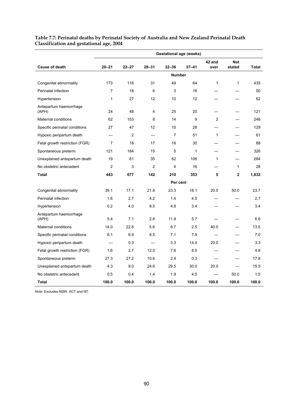| <b>Gestational age (weeks)</b>  |                |           |                |                |           |                |                |              |
|---------------------------------|----------------|-----------|----------------|----------------|-----------|----------------|----------------|--------------|
| <b>Cause of death</b>           | $20 - 21$      | $22 - 27$ | $28 - 31$      | $32 - 36$      | $37 - 41$ | 42 and<br>over | <b>Not</b>     | <b>Total</b> |
|                                 |                |           |                |                |           |                | stated         |              |
|                                 |                |           |                | <b>Number</b>  |           |                |                |              |
| Congenital abnormality          | 173            | 116       | 31             | 49             | 64        | $\mathbf{1}$   | 1              | 435          |
| Perinatal infection             | $\overline{7}$ | 18        | 6              | 3              | 16        |                |                | 50           |
| Hypertension                    | 1              | 27        | 12             | 10             | 12        |                |                | 62           |
| Antepartum haemorrhage<br>(APH) | 24             | 48        | 4              | 25             | 20        |                |                | 121          |
| Maternal conditions             | 62             | 153       | 8              | 14             | 9         | 2              |                | 248          |
| Specific perinatal conditions   | 27             | 47        | 12             | 15             | 28        |                |                | 129          |
| Hypoxic peripartum death        |                | 2         |                | $\overline{7}$ | 51        | $\mathbf{1}$   |                | 61           |
| Fetal growth restriction (FGR)  | $\overline{7}$ | 18        | 17             | 16             | 30        |                |                | 88           |
| Spontaneous preterm             | 121            | 184       | 15             | 5              | 1         |                |                | 326          |
| Unexplained antepartum death    | 19             | 61        | 35             | 62             | 106       | $\mathbf{1}$   |                | 284          |
| No obstetric antecedent         | $\overline{2}$ | 3         | $\overline{2}$ | 4              | 16        |                | $\mathbf{1}$   | 28           |
| Total                           | 443            | 677       | 142            | 210            | 353       | 5              | $\overline{2}$ | 1,832        |
|                                 |                |           |                | Per cent       |           |                |                |              |
| Congenital abnormality          | 39.1           | 17.1      | 21.8           | 23.3           | 18.1      | 20.0           | 50.0           | 23.7         |
| Perinatal infection             | 1.6            | 2.7       | 4.2            | 1.4            | 4.5       |                |                | 2.7          |
| Hypertension                    | 0.2            | 4.0       | 8.5            | 4.8            | 3.4       |                |                | 3.4          |
| Antepartum haemorrhage<br>(APH) | 5.4            | 7.1       | 2.8            | 11.9           | 5.7       |                |                | 6.6          |
| Maternal conditions             | 14.0           | 22.6      | 5.6            | 6.7            | 2.5       | 40.0           |                | 13.5         |
| Specific perinatal conditions   | 6.1            | 6.9       | 8.5            | 7.1            | 7.9       |                |                | 7.0          |
| Hypoxic peripartum death        |                | 0.3       |                | 3.3            | 14.4      | 20.0           |                | 3.3          |
| Fetal growth restriction (FGR)  | 1.6            | 2.7       | 12.0           | 7.6            | 8.5       |                |                | 4.8          |
| Spontaneous preterm             | 27.3           | 27.2      | 10.6           | 2.4            | 0.3       |                |                | 17.8         |
| Unexplained antepartum death    | 4.3            | 9.0       | 24.6           | 29.5           | 30.0      | 20.0           |                | 15.5         |
| No obstetric antecedent         | 0.5            | 0.4       | 1.4            | 1.9            | 4.5       |                | 50.0           | 1.5          |
| Total                           | 100.0          | 100.0     | 100.0          | 100.0          | 100.0     | 100.0          | 100.0          | 100.0        |

#### **Table 7.7: Perinatal deaths by Perinatal Society of Australia and New Zealand Perinatal Death Classification and gestational age, 2004**

*Note:* Excludes NSW, ACT and NT.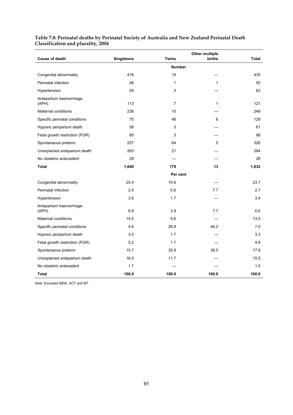#### **Table 7.8: Perinatal deaths by Perinatal Society of Australia and New Zealand Perinatal Death Classification and plurality, 2004**

| <b>Cause of death</b>           | <b>Singletons</b> | <b>Twins</b>   | <b>Other multiple</b><br>births | <b>Total</b> |
|---------------------------------|-------------------|----------------|---------------------------------|--------------|
|                                 |                   |                |                                 |              |
|                                 |                   | <b>Number</b>  |                                 |              |
| Congenital abnormality          | 416               | 19             |                                 | 435          |
| Perinatal infection             | 48                | 1              | $\mathbf 1$                     | 50           |
| Hypertension                    | 59                | 3              |                                 | 62           |
| Antepartum haemorrhage<br>(APH) | 113               | $\overline{7}$ | 1                               | 121          |
| Maternal conditions             | 238               | 10             |                                 | 248          |
| Specific perinatal conditions   | 75                | 48             | 6                               | 129          |
| Hypoxic peripartum death        | 58                | 3              |                                 | 61           |
| Fetal growth restriction (FGR)  | 85                | 3              |                                 | 88           |
| Spontaneous preterm             | 257               | 64             | 5                               | 326          |
| Unexplained antepartum death    | 263               | 21             |                                 | 284          |
| No obstetric antecedent         | 28                |                |                                 | 28           |
| <b>Total</b>                    | 1,640             | 179            | 13                              | 1,832        |
|                                 |                   | Per cent       |                                 |              |
| Congenital abnormality          | 25.4              | 10.6           |                                 | 23.7         |
| Perinatal infection             | 2.9               | 0.6            | 7.7                             | 2.7          |
| Hypertension                    | 3.6               | 1.7            |                                 | 3.4          |
| Antepartum haemorrhage<br>(APH) | 6.9               | 3.9            | 7.7                             | 6.6          |
| Maternal conditions             | 14.5              | 5.6            |                                 | 13.5         |
| Specific perinatal conditions   | 4.6               | 26.8           | 46.2                            | 7.0          |
| Hypoxic peripartum death        | 3.5               | 1.7            |                                 | 3.3          |
| Fetal growth restriction (FGR)  | 5.2               | 1.7            |                                 | 4.8          |
| Spontaneous preterm             | 15.7              | 35.8           | 38.5                            | 17.8         |
| Unexplained antepartum death    | 16.0              | 11.7           |                                 | 15.5         |
| No obstetric antecedent         | 1.7               |                |                                 | 1.5          |
| <b>Total</b>                    | 100.0             | 100.0          | 100.0                           | 100.0        |

*Note:* Excludes NSW, ACT and NT.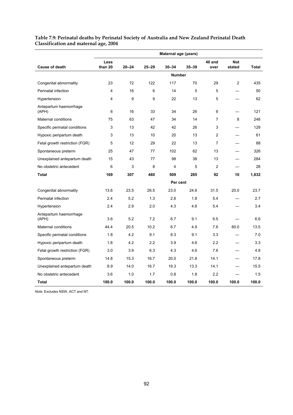#### **Table 7.9: Perinatal deaths by Perinatal Society of Australia and New Zealand Perinatal Death Classification and maternal age, 2004**

|                                 | Maternal age (years) |           |           |               |       |                |                |       |
|---------------------------------|----------------------|-----------|-----------|---------------|-------|----------------|----------------|-------|
|                                 | Less                 |           |           |               |       | 40 and         | <b>Not</b>     |       |
| <b>Cause of death</b>           | than 20              | $20 - 24$ | $25 - 29$ | $30 - 34$     | 35-39 | over           | stated         | Total |
|                                 |                      |           |           | <b>Number</b> |       |                |                |       |
| Congenital abnormality          | 23                   | 72        | 122       | 117           | 70    | 29             | $\overline{2}$ | 435   |
| Perinatal infection             | 4                    | 16        | 6         | 14            | 5     | 5              |                | 50    |
| Hypertension                    | 4                    | 9         | 9         | 22            | 13    | 5              |                | 62    |
| Antepartum haemorrhage<br>(APH) | 6                    | 16        | 33        | 34            | 26    | 6              |                | 121   |
| Maternal conditions             | 75                   | 63        | 47        | 34            | 14    | $\overline{7}$ | 8              | 248   |
| Specific perinatal conditions   | 3                    | 13        | 42        | 42            | 26    | 3              |                | 129   |
| Hypoxic peripartum death        | 3                    | 13        | 10        | 20            | 13    | $\overline{2}$ |                | 61    |
| Fetal growth restriction (FGR)  | 5                    | 12        | 29        | 22            | 13    | $\overline{7}$ |                | 88    |
| Spontaneous preterm             | 25                   | 47        | 77        | 102           | 62    | 13             |                | 326   |
| Unexplained antepartum death    | 15                   | 43        | 77        | 98            | 38    | 13             |                | 284   |
| No obstetric antecedent         | 6                    | 3         | 8         | 4             | 5     | 2              |                | 28    |
| Total                           | 169                  | 307       | 460       | 509           | 285   | 92             | 10             | 1,832 |
|                                 |                      |           |           | Per cent      |       |                |                |       |
| Congenital abnormality          | 13.6                 | 23.5      | 26.5      | 23.0          | 24.6  | 31.5           | 20.0           | 23.7  |
| Perinatal infection             | 2.4                  | 5.2       | 1.3       | 2.8           | 1.8   | 5.4            |                | 2.7   |
| Hypertension                    | 2.4                  | 2.9       | 2.0       | 4.3           | 4.6   | 5.4            |                | 3.4   |
| Antepartum haemorrhage<br>(APH) | 3.6                  | 5.2       | 7.2       | 6.7           | 9.1   | 6.5            |                | 6.6   |
| Maternal conditions             | 44.4                 | 20.5      | 10.2      | 6.7           | 4.9   | 7.6            | 80.0           | 13.5  |
| Specific perinatal conditions   | 1.8                  | 4.2       | 9.1       | 8.3           | 9.1   | 3.3            |                | 7.0   |
| Hypoxic peripartum death        | 1.8                  | 4.2       | 2.2       | 3.9           | 4.6   | 2.2            |                | 3.3   |
| Fetal growth restriction (FGR)  | 3.0                  | 3.9       | 6.3       | 4.3           | 4.6   | 7.6            |                | 4.8   |
| Spontaneous preterm             | 14.8                 | 15.3      | 16.7      | 20.0          | 21.8  | 14.1           |                | 17.8  |
| Unexplained antepartum death    | 8.9                  | 14.0      | 16.7      | 19.3          | 13.3  | 14.1           |                | 15.5  |
| No obstetric antecedent         | 3.6                  | 1.0       | 1.7       | 0.8           | 1.8   | 2.2            |                | 1.5   |
| Total                           | 100.0                | 100.0     | 100.0     | 100.0         | 100.0 | 100.0          | 100.0          | 100.0 |

*Note:* Excludes NSW, ACT and NT.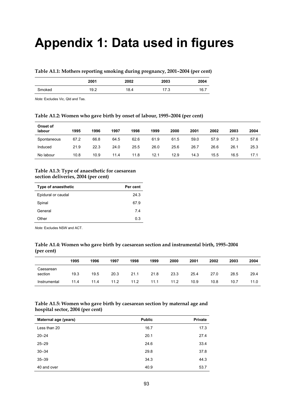# **Appendix 1: Data used in figures**

#### **Table A1.1: Mothers reporting smoking during pregnancy, 2001–2004 (per cent)**

|        | 2001 | 2002 | 2003 | 2004 |
|--------|------|------|------|------|
| Smoked | 19.2 | 18.4 | 17.3 | 16.7 |

*Note:* Excludes Vic, Qld and Tas.

# **Table A1.2: Women who gave birth by onset of labour, 1995–2004 (per cent)**

| Onset of<br>labour | 1995 | 1996 | 1997 | 1998 | 1999 | 2000 | 2001 | 2002 | 2003 | 2004 |
|--------------------|------|------|------|------|------|------|------|------|------|------|
| Spontaneous        | 67.2 | 66.8 | 64.5 | 62.6 | 61.9 | 61.5 | 59.0 | 57.9 | 57.3 | 57.6 |
| Induced            | 21.9 | 22.3 | 24.0 | 25.5 | 26.0 | 25.6 | 26.7 | 26.6 | 26.1 | 25.3 |
| No labour          | 10.8 | 10.9 | 11.4 | 11.8 | 12.1 | 12.9 | 14.3 | 15.5 | 16.5 | 17.1 |

#### **Table A1.3: Type of anaesthetic for caesarean section deliveries, 2004 (per cent)**

| Type of anaesthetic | Per cent |
|---------------------|----------|
| Epidural or caudal  | 24 3     |
| Spinal              | 67.9     |
| General             | 74       |
| Other               | 03       |

*Note:* Excludes NSW and ACT.

### **Table A1.4: Women who gave birth by caesarean section and instrumental birth, 1995–2004 (per cent)**

|                      | 1995 | 1996 | 1997 | 1998 | 1999 | 2000 | 2001 | 2002 | 2003 | 2004 |
|----------------------|------|------|------|------|------|------|------|------|------|------|
| Caesarean<br>section | 19.3 | 19.5 | 20.3 | 21.1 | 21.8 | 23.3 | 25.4 | 27.0 | 28.5 | 29.4 |
| Instrumental         | 11.4 | 11.4 | 11.2 | 11.2 | 11.1 | 11.2 | 10.9 | 10.8 | 10.7 | 11.0 |

#### **Table A1.5: Women who gave birth by caesarean section by maternal age and hospital sector, 2004 (per cent)**

| Maternal age (years) | <b>Public</b> | Private |
|----------------------|---------------|---------|
| Less than 20         | 16.7          | 17.3    |
| $20 - 24$            | 20.1          | 27.4    |
| $25 - 29$            | 24.6          | 33.4    |
| $30 - 34$            | 29.8          | 37.8    |
| $35 - 39$            | 34.3          | 44.3    |
| 40 and over          | 40.9          | 53.7    |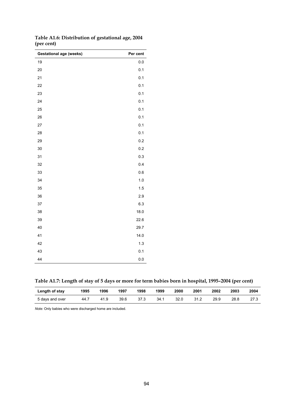| <b>Gestational age (weeks)</b> | Per cent |
|--------------------------------|----------|
| 19                             | 0.0      |
| 20                             | 0.1      |
| 21                             | 0.1      |
| 22                             | 0.1      |
| 23                             | 0.1      |
| 24                             | 0.1      |
| 25                             | 0.1      |
| 26                             | 0.1      |
| 27                             | 0.1      |
| 28                             | 0.1      |
| 29                             | 0.2      |
| 30                             | 0.2      |
| 31                             | 0.3      |
| 32                             | 0.4      |
| 33                             | $0.6\,$  |
| 34                             | 1.0      |
| 35                             | 1.5      |
| 36                             | 2.9      |
| 37                             | 6.3      |
| 38                             | 18.0     |
| 39                             | 22.6     |
| 40                             | 29.7     |
| 41                             | 14.0     |
| 42                             | 1.3      |
| 43                             | 0.1      |
| 44                             | $0.0\,$  |

**Table A1.6: Distribution of gestational age, 2004 (per cent)** 

**Table A1.7: Length of stay of 5 days or more for term babies born in hospital, 1995–2004 (per cent)** 

| Length of stay  | 1995 | 1996 | 1997 | 1998 | 1999 | 2000 | 2001 | 2002 | 2003 | 2004 |
|-----------------|------|------|------|------|------|------|------|------|------|------|
| 5 days and over | 44.7 | 41.9 | 39.6 | 37.3 | 34.1 | 32.0 | 31.2 | 29.9 | 28.8 | 27.3 |

*Note:* Only babies who were discharged home are included.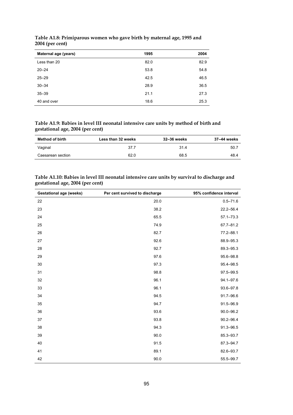| Maternal age (years) | 1995 | 2004 |
|----------------------|------|------|
| Less than 20         | 82.0 | 82.9 |
| $20 - 24$            | 53.8 | 54.8 |
| $25 - 29$            | 42.5 | 46.5 |
| $30 - 34$            | 28.9 | 36.5 |
| $35 - 39$            | 21.1 | 27.3 |
| 40 and over          | 18.6 | 25.3 |

**Table A1.8: Primiparous women who gave birth by maternal age, 1995 and 2004 (per cent)** 

**Table A1.9: Babies in level III neonatal intensive care units by method of birth and gestational age, 2004 (per cent)** 

| Method of birth   | Less than 32 weeks | 32-36 weeks | 37–44 weeks |
|-------------------|--------------------|-------------|-------------|
| Vaginal           | 37.7               | 31.4        | 50.7        |
| Caesarean section | 62.0               | 68.5        | 48.4        |

| Table A1.10: Babies in level III neonatal intensive care units by survival to discharge and |
|---------------------------------------------------------------------------------------------|
| gestational age, 2004 (per cent)                                                            |

| <b>Gestational age (weeks)</b> | Per cent survived to discharge | 95% confidence interval |
|--------------------------------|--------------------------------|-------------------------|
| 22                             | 20.0                           | $0.5 - 71.6$            |
| 23                             | 38.2                           | $22.2 - 56.4$           |
| 24                             | 65.5                           | $57.1 - 73.3$           |
| 25                             | 74.9                           | 67.7-81.2               |
| 26                             | 82.7                           | 77.2-88.1               |
| 27                             | 92.6                           | 88.9-95.3               |
| 28                             | 92.7                           | 89.3-95.3               |
| 29                             | 97.6                           | 95.6-98.8               |
| 30                             | 97.3                           | 95.4-98.5               |
| 31                             | 98.8                           | 97.5-99.5               |
| 32                             | 96.1                           | $94.1 - 97.6$           |
| 33                             | 96.1                           | 93.6-97.8               |
| 34                             | 94.5                           | 91.7-96.6               |
| 35                             | 94.7                           | 91.5-96.9               |
| 36                             | 93.6                           | $90.0 - 96.2$           |
| 37                             | 93.8                           | $90.2 - 96.4$           |
| 38                             | 94.3                           | 91.3-96.5               |
| 39                             | 90.0                           | 85.3-93.7               |
| 40                             | 91.5                           | 87.3-94.7               |
| 41                             | 89.1                           | 82.6-93.7               |
| 42                             | 90.0                           | 55.5-99.7               |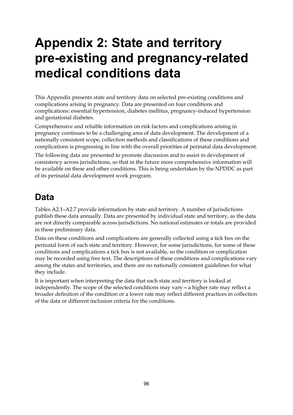# **Appendix 2: State and territory pre-existing and pregnancy-related medical conditions data**

This Appendix presents state and territory data on selected pre-existing conditions and complications arising in pregnancy. Data are presented on four conditions and complications: essential hypertension, diabetes mellitus, pregnancy-induced hypertension and gestational diabetes.

Comprehensive and reliable information on risk factors and complications arising in pregnancy continues to be a challenging area of data development. The development of a nationally consistent scope, collection methods and classifications of these conditions and complications is progressing in line with the overall priorities of perinatal data development.

The following data are presented to promote discussion and to assist in development of consistency across jurisdictions, so that in the future more comprehensive information will be available on these and other conditions. This is being undertaken by the NPDDC as part of its perinatal data development work program.

# **Data**

Tables A2.1–A2.7 provide information by state and territory. A number of jurisdictions publish these data annually. Data are presented by individual state and territory, as the data are not directly comparable across jurisdictions. No national estimates or totals are provided in these preliminary data.

Data on these conditions and complications are generally collected using a tick box on the perinatal form of each state and territory. However, for some jurisdictions, for some of these conditions and complications a tick box is not available, so the condition or complication may be recorded using free text. The descriptions of these conditions and complications vary among the states and territories, and there are no nationally consistent guidelines for what they include.

It is important when interpreting the data that each state and territory is looked at independently. The scope of the selected conditions may vary—a higher rate may reflect a broader definition of the condition or a lower rate may reflect different practices in collection of the data or different inclusion criteria for the conditions.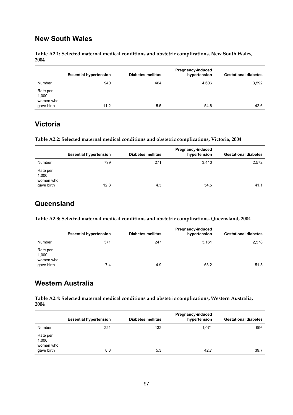## **New South Wales**

**Table A2.1: Selected maternal medical conditions and obstetric complications, New South Wales, 2004** 

|                                              | <b>Essential hypertension</b> | Diabetes mellitus | Pregnancy-induced<br>hypertension | <b>Gestational diabetes</b> |
|----------------------------------------------|-------------------------------|-------------------|-----------------------------------|-----------------------------|
| Number                                       | 940                           | 464               | 4,606                             | 3,592                       |
| Rate per<br>1,000<br>women who<br>gave birth | 11.2                          | 5.5               | 54.6                              | 42.6                        |

## **Victoria**

**Table A2.2: Selected maternal medical conditions and obstetric complications, Victoria, 2004** 

|                                              | <b>Essential hypertension</b> | <b>Diabetes mellitus</b> | <b>Pregnancy-induced</b><br>hypertension | <b>Gestational diabetes</b> |
|----------------------------------------------|-------------------------------|--------------------------|------------------------------------------|-----------------------------|
| Number                                       | 799                           | 271                      | 3,410                                    | 2,572                       |
| Rate per<br>1,000<br>women who<br>gave birth | 12.8                          | 4.3                      | 54.5                                     | 41.1                        |

### **Queensland**

**Table A2.3: Selected maternal medical conditions and obstetric complications, Queensland, 2004** 

|                                              | <b>Essential hypertension</b> | <b>Diabetes mellitus</b> | Pregnancy-induced<br>hypertension | <b>Gestational diabetes</b> |
|----------------------------------------------|-------------------------------|--------------------------|-----------------------------------|-----------------------------|
| Number                                       | 371                           | 247                      | 3,161                             | 2,578                       |
| Rate per<br>1,000<br>women who<br>gave birth | 7.4                           | 4.9                      | 63.2                              | 51.5                        |

## **Western Australia**

**Table A2.4: Selected maternal medical conditions and obstetric complications, Western Australia, 2004** 

|                                              |     |     | hypertension | <b>Gestational diabetes</b> |
|----------------------------------------------|-----|-----|--------------|-----------------------------|
| Number                                       | 221 | 132 | 1.071        | 996                         |
| Rate per<br>1,000<br>women who<br>gave birth | 8.8 | 5.3 | 42.7         | 39.7                        |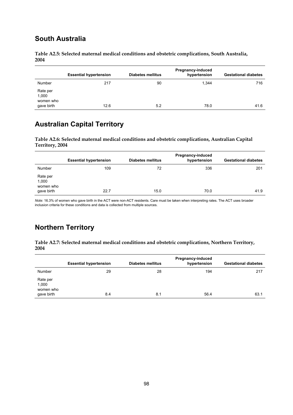## **South Australia**

**Table A2.5: Selected maternal medical conditions and obstetric complications, South Australia, 2004** 

|                                              | <b>Essential hypertension</b> | <b>Diabetes mellitus</b> | Pregnancy-induced<br>hypertension | <b>Gestational diabetes</b> |
|----------------------------------------------|-------------------------------|--------------------------|-----------------------------------|-----------------------------|
| Number                                       | 217                           | 90                       | 1.344                             | 716                         |
| Rate per<br>1,000<br>women who<br>gave birth | 12.6                          | 5.2                      | 78.0                              | 41.6                        |

## **Australian Capital Territory**

**Table A2.6: Selected maternal medical conditions and obstetric complications, Australian Capital Territory, 2004** 

|                                              | <b>Essential hypertension</b> | <b>Diabetes mellitus</b> | Pregnancy-induced<br>hypertension | <b>Gestational diabetes</b> |
|----------------------------------------------|-------------------------------|--------------------------|-----------------------------------|-----------------------------|
| Number                                       | 109                           | 72                       | 336                               | 201                         |
| Rate per<br>1,000<br>women who<br>gave birth | 22.7                          | 15.0                     | 70.0                              | 41.9                        |

*Note:* 16.3% of women who gave birth in the ACT were non-ACT residents. Care must be taken when interpreting rates. The ACT uses broader inclusion criteria for these conditions and data is collected from multiple sources.

# **Northern Territory**

**Table A2.7: Selected maternal medical conditions and obstetric complications, Northern Territory, 2004** 

|                                              | <b>Essential hypertension</b> | <b>Diabetes mellitus</b> | Pregnancy-induced<br>hypertension | <b>Gestational diabetes</b> |
|----------------------------------------------|-------------------------------|--------------------------|-----------------------------------|-----------------------------|
| Number                                       | 29                            | 28                       | 194                               | 217                         |
| Rate per<br>1,000<br>women who<br>gave birth | 8.4                           | 8.1                      | 56.4                              | 63.1                        |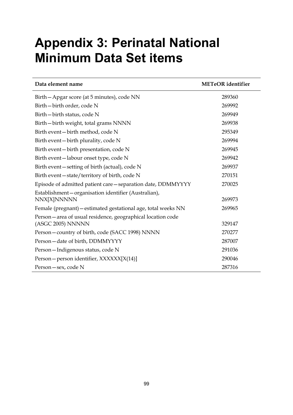# **Appendix 3: Perinatal National Minimum Data Set items**

| Data element name                                                               | <b>METeOR</b> identifier |
|---------------------------------------------------------------------------------|--------------------------|
| Birth - Apgar score (at 5 minutes), code NN                                     | 289360                   |
| Birth-birth order, code N                                                       | 269992                   |
| Birth-birth status, code N                                                      | 269949                   |
| Birth-birth weight, total grams NNNN                                            | 269938                   |
| Birth event-birth method, code N                                                | 295349                   |
| Birth event – birth plurality, code N                                           | 269994                   |
| Birth event-birth presentation, code N                                          | 269945                   |
| Birth event-labour onset type, code N                                           | 269942                   |
| Birth event – setting of birth (actual), code N                                 | 269937                   |
| Birth event - state/territory of birth, code N                                  | 270151                   |
| Episode of admitted patient care - separation date, DDMMYYYY                    | 270025                   |
| Establishment-organisation identifier (Australian),<br>NNX[X]NNNNN              | 269973                   |
| Female (pregnant) - estimated gestational age, total weeks NN                   | 269965                   |
| Person-area of usual residence, geographical location code<br>(ASGC 2005) NNNNN | 329147                   |
| Person-country of birth, code (SACC 1998) NNNN                                  | 270277                   |
| Person-date of birth, DDMMYYYY                                                  | 287007                   |
| Person-Indigenous status, code N                                                | 291036                   |
| Person – person identifier, XXXXXX[X(14)]                                       | 290046                   |
| Person – sex, code N                                                            | 287316                   |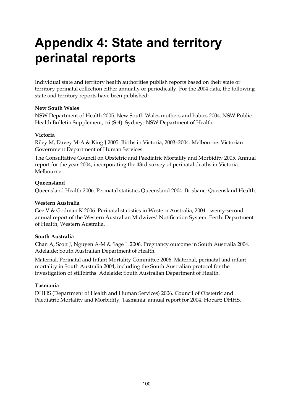# **Appendix 4: State and territory perinatal reports**

Individual state and territory health authorities publish reports based on their state or territory perinatal collection either annually or periodically. For the 2004 data, the following state and territory reports have been published:

### **New South Wales**

NSW Department of Health 2005. New South Wales mothers and babies 2004. NSW Public Health Bulletin Supplement, 16 (S-4). Sydney: NSW Department of Health.

### **Victoria**

Riley M, Davey M-A & King J 2005. Births in Victoria, 2003–2004. Melbourne: Victorian Government Department of Human Services.

The Consultative Council on Obstetric and Paediatric Mortality and Morbidity 2005. Annual report for the year 2004, incorporating the 43rd survey of perinatal deaths in Victoria. Melbourne.

### **Queensland**

Queensland Health 2006. Perinatal statistics Queensland 2004. Brisbane: Queensland Health.

### **Western Australia**

Gee V & Godman K 2006. Perinatal statistics in Western Australia, 2004: twenty-second annual report of the Western Australian Midwives' Notification System. Perth: Department of Health, Western Australia.

#### **South Australia**

Chan A, Scott J, Nguyen A-M & Sage L 2006. Pregnancy outcome in South Australia 2004. Adelaide: South Australian Department of Health.

Maternal, Perinatal and Infant Mortality Committee 2006. Maternal, perinatal and infant mortality in South Australia 2004, including the South Australian protocol for the investigation of stillbirths. Adelaide: South Australian Department of Health.

### **Tasmania**

DHHS (Department of Health and Human Services) 2006. Council of Obstetric and Paediatric Mortality and Morbidity, Tasmania: annual report for 2004. Hobart: DHHS.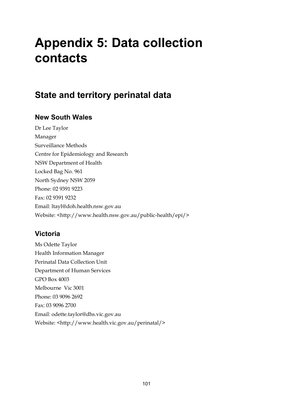# **Appendix 5: Data collection contacts**

# **State and territory perinatal data**

# **New South Wales**

Dr Lee Taylor Manager Surveillance Methods Centre for Epidemiology and Research NSW Department of Health Locked Bag No. 961 North Sydney NSW 2059 Phone: 02 9391 9223 Fax: 02 9391 9232 Email: ltayl@doh.health.nsw.gov.au Website: <http://www.health.nsw.gov.au/public-health/epi/>

# **Victoria**

Ms Odette Taylor Health Information Manager Perinatal Data Collection Unit Department of Human Services GPO Box 4003 Melbourne Vic 3001 Phone: 03 9096 2692 Fax: 03 9096 2700 Email: odette.taylor@dhs.vic.gov.au Website: <http://www.health.vic.gov.au/perinatal/>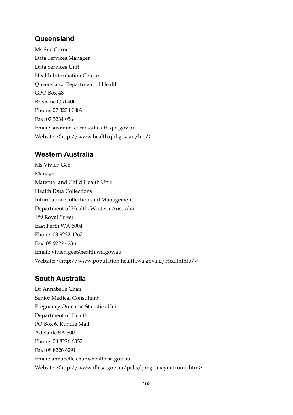## **Queensland**

Ms Sue Cornes Data Services Manager Data Services Unit Health Information Centre Queensland Department of Health GPO Box 48 Brisbane Qld 4001 Phone: 07 3234 0889 Fax: 07 3234 0564 Email: suzanne\_cornes@health.qld.gov.au Website: <http://www.health.qld.gov.au/hic/>

## **Western Australia**

Ms Vivien Gee Manager Maternal and Child Health Unit Health Data Collections Information Collection and Management Department of Health, Western Australia 189 Royal Street East Perth WA 6004 Phone: 08 9222 4262 Fax: 08 9222 4236 Email: vivien.gee@health.wa.gov.au Website: <http://www.population.health.wa.gov.au/HealthInfo/>

### **South Australia**

Dr Annabelle Chan Senior Medical Consultant Pregnancy Outcome Statistics Unit Department of Health PO Box 6, Rundle Mall Adelaide SA 5000 Phone: 08 8226 6357 Fax: 08 8226 6291 Email: annabelle.chan@health.sa.gov.au Website: <http://www.dh.sa.gov.au/pehs/pregnancyoutcome.htm>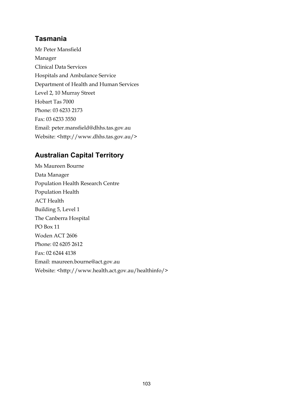# **Tasmania**

Mr Peter Mansfield Manager Clinical Data Services Hospitals and Ambulance Service Department of Health and Human Services Level 2, 10 Murray Street Hobart Tas 7000 Phone: 03 6233 2173 Fax: 03 6233 3550 Email: peter.mansfield@dhhs.tas.gov.au Website: <http://www.dhhs.tas.gov.au/>

# **Australian Capital Territory**

Ms Maureen Bourne Data Manager Population Health Research Centre Population Health ACT Health Building 5, Level 1 The Canberra Hospital PO Box 11 Woden ACT 2606 Phone: 02 6205 2612 Fax: 02 6244 4138 Email: maureen.bourne@act.gov.au Website: <http://www.health.act.gov.au/healthinfo/>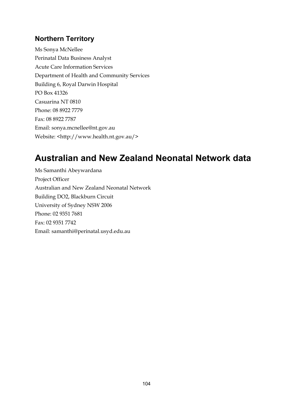# **Northern Territory**

Ms Sonya McNellee Perinatal Data Business Analyst Acute Care Information Services Department of Health and Community Services Building 6, Royal Darwin Hospital PO Box 41326 Casuarina NT 0810 Phone: 08 8922 7779 Fax: 08 8922 7787 Email: sonya.mcnellee@nt.gov.au Website: <http://www.health.nt.gov.au/>

# **Australian and New Zealand Neonatal Network data**

Ms Samanthi Abeywardana Project Officer Australian and New Zealand Neonatal Network Building DO2, Blackburn Circuit University of Sydney NSW 2006 Phone: 02 9351 7681 Fax: 02 9351 7742 Email: samanthi@perinatal.usyd.edu.au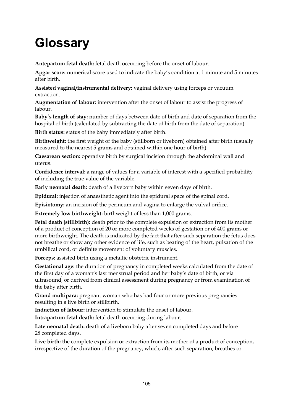# **Glossary**

**Antepartum fetal death:** fetal death occurring before the onset of labour.

**Apgar score:** numerical score used to indicate the baby's condition at 1 minute and 5 minutes after birth.

**Assisted vaginal/instrumental delivery:** vaginal delivery using forceps or vacuum extraction.

**Augmentation of labour:** intervention after the onset of labour to assist the progress of labour.

**Baby's length of stay:** number of days between date of birth and date of separation from the hospital of birth (calculated by subtracting the date of birth from the date of separation).

**Birth status:** status of the baby immediately after birth.

**Birthweight:** the first weight of the baby (stillborn or liveborn) obtained after birth (usually measured to the nearest 5 grams and obtained within one hour of birth).

**Caesarean section:** operative birth by surgical incision through the abdominal wall and uterus.

**Confidence interval:** a range of values for a variable of interest with a specified probability of including the true value of the variable.

**Early neonatal death:** death of a liveborn baby within seven days of birth.

**Epidural:** injection of anaesthetic agent into the epidural space of the spinal cord.

**Episiotomy:** an incision of the perineum and vagina to enlarge the vulval orifice.

**Extremely low birthweight:** birthweight of less than 1,000 grams.

**Fetal death (stillbirth):** death prior to the complete expulsion or extraction from its mother of a product of conception of 20 or more completed weeks of gestation or of 400 grams or more birthweight. The death is indicated by the fact that after such separation the fetus does not breathe or show any other evidence of life, such as beating of the heart, pulsation of the umbilical cord, or definite movement of voluntary muscles.

**Forceps:** assisted birth using a metallic obstetric instrument.

**Gestational age:** the duration of pregnancy in completed weeks calculated from the date of the first day of a woman's last menstrual period and her baby's date of birth, or via ultrasound, or derived from clinical assessment during pregnancy or from examination of the baby after birth.

**Grand multipara:** pregnant woman who has had four or more previous pregnancies resulting in a live birth or stillbirth.

**Induction of labour:** intervention to stimulate the onset of labour.

**Intrapartum fetal death:** fetal death occurring during labour.

**Late neonatal death:** death of a liveborn baby after seven completed days and before 28 completed days.

**Live birth:** the complete expulsion or extraction from its mother of a product of conception, irrespective of the duration of the pregnancy, which, after such separation, breathes or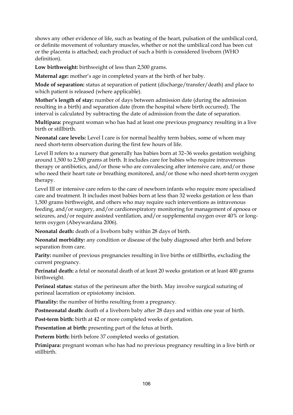shows any other evidence of life, such as beating of the heart, pulsation of the umbilical cord, or definite movement of voluntary muscles, whether or not the umbilical cord has been cut or the placenta is attached; each product of such a birth is considered liveborn (WHO definition).

**Low birthweight:** birthweight of less than 2,500 grams.

**Maternal age:** mother's age in completed years at the birth of her baby.

**Mode of separation:** status at separation of patient (discharge/transfer/death) and place to which patient is released (where applicable).

**Mother's length of stay:** number of days between admission date (during the admission resulting in a birth) and separation date (from the hospital where birth occurred). The interval is calculated by subtracting the date of admission from the date of separation.

**Multipara:** pregnant woman who has had at least one previous pregnancy resulting in a live birth or stillbirth.

**Neonatal care levels:** Level I care is for normal healthy term babies, some of whom may need short-term observation during the first few hours of life.

Level II refers to a nursery that generally has babies born at 32–36 weeks gestation weighing around 1,500 to 2,500 grams at birth. It includes care for babies who require intravenous therapy or antibiotics, and/or those who are convalescing after intensive care, and/or those who need their heart rate or breathing monitored, and/or those who need short-term oxygen therapy.

Level III or intensive care refers to the care of newborn infants who require more specialised care and treatment. It includes most babies born at less than 32 weeks gestation or less than 1,500 grams birthweight, and others who may require such interventions as intravenous feeding, and/or surgery, and/or cardiorespiratory monitoring for management of apnoea or seizures, and/or require assisted ventilation, and/or supplemental oxygen over 40% or longterm oxygen (Abeywardana 2006).

**Neonatal death:** death of a liveborn baby within 28 days of birth.

**Neonatal morbidity:** any condition or disease of the baby diagnosed after birth and before separation from care.

**Parity:** number of previous pregnancies resulting in live births or stillbirths, excluding the current pregnancy.

**Perinatal death:** a fetal or neonatal death of at least 20 weeks gestation or at least 400 grams birthweight.

**Perineal status:** status of the perineum after the birth. May involve surgical suturing of perineal laceration or episiotomy incision.

**Plurality:** the number of births resulting from a pregnancy.

**Postneonatal death:** death of a liveborn baby after 28 days and within one year of birth.

**Post-term birth:** birth at 42 or more completed weeks of gestation.

**Presentation at birth:** presenting part of the fetus at birth.

**Preterm birth:** birth before 37 completed weeks of gestation.

**Primipara:** pregnant woman who has had no previous pregnancy resulting in a live birth or stillbirth.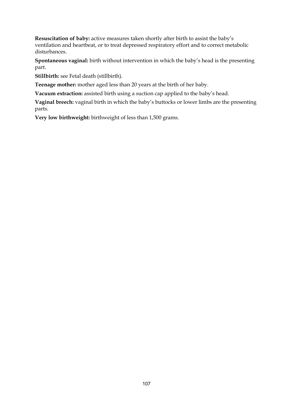**Resuscitation of baby:** active measures taken shortly after birth to assist the baby's ventilation and heartbeat, or to treat depressed respiratory effort and to correct metabolic disturbances.

**Spontaneous vaginal:** birth without intervention in which the baby's head is the presenting part.

**Stillbirth:** see Fetal death (stillbirth).

**Teenage mother:** mother aged less than 20 years at the birth of her baby.

**Vacuum extraction:** assisted birth using a suction cap applied to the baby's head.

**Vaginal breech:** vaginal birth in which the baby's buttocks or lower limbs are the presenting parts.

**Very low birthweight:** birthweight of less than 1,500 grams.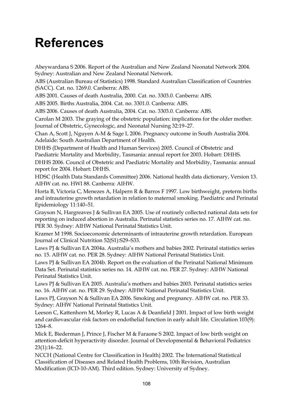# **References**

Abeywardana S 2006. Report of the Australian and New Zealand Neonatal Network 2004. Sydney: Australian and New Zealand Neonatal Network.

ABS (Australian Bureau of Statistics) 1998. Standard Australian Classification of Countries (SACC). Cat. no. 1269.0. Canberra: ABS.

ABS 2001. Causes of death Australia, 2000. Cat. no. 3303.0. Canberra: ABS.

ABS 2005. Births Australia, 2004. Cat. no. 3301.0. Canberra: ABS.

ABS 2006. Causes of death Australia, 2004. Cat. no. 3303.0. Canberra: ABS.

Carolan M 2003. The graying of the obstetric population: implications for the older mother. Journal of Obstetric, Gynecologic, and Neonatal Nursing 32:19–27.

Chan A, Scott J, Nguyen A-M & Sage L 2006. Pregnancy outcome in South Australia 2004. Adelaide: South Australian Department of Health.

DHHS (Department of Health and Human Services) 2005. Council of Obstetric and Paediatric Mortality and Morbidity, Tasmania: annual report for 2003. Hobart: DHHS.

DHHS 2006. Council of Obstetric and Paediatric Mortality and Morbidity, Tasmania: annual report for 2004. Hobart: DHHS.

HDSC (Health Data Standards Committee) 2006. National health data dictionary, Version 13. AIHW cat. no. HWI 88. Canberra: AIHW.

Horta B, Victoria C, Menezes A, Halpern R & Barros F 1997. Low birthweight, preterm births and intrauterine growth retardation in relation to maternal smoking. Paediatric and Perinatal Epidemiology 11:140–51.

Grayson N, Hargreaves J & Sullivan EA 2005. Use of routinely collected national data sets for reporting on induced abortion in Australia. Perinatal statistics series no. 17. AIHW cat. no. PER 30. Sydney: AIHW National Perinatal Statistics Unit.

Kramer M 1998. Socioeconomic determinants of intrauterine growth retardation. European Journal of Clinical Nutrition 52(S1):S29–S33.

Laws PJ & Sullivan EA 2004a. Australia's mothers and babies 2002. Perinatal statistics series no. 15. AIHW cat. no. PER 28. Sydney: AIHW National Perinatal Statistics Unit.

Laws PJ & Sullivan EA 2004b. Report on the evaluation of the Perinatal National Minimum Data Set. Perinatal statistics series no. 14. AIHW cat. no. PER 27. Sydney: AIHW National Perinatal Statistics Unit.

Laws PJ & Sullivan EA 2005. Australia's mothers and babies 2003. Perinatal statistics series no. 16. AIHW cat. no. PER 29. Sydney: AIHW National Perinatal Statistics Unit.

Laws PJ, Grayson N & Sullivan EA 2006. Smoking and pregnancy. AIHW cat. no. PER 33. Sydney: AIHW National Perinatal Statistics Unit.

Leeson C, Kattenhorn M, Morley R, Lucas A & Deanfield J 2001. Impact of low birth weight and cardiovascular risk factors on endothelial function in early adult life. Circulation 103(9): 1264–8.

Mick E, Biederman J, Prince J, Fischer M & Faraone S 2002. Impact of low birth weight on attention-deficit hyperactivity disorder. Journal of Developmental & Behavioral Pediatrics 23(1):16–22.

NCCH (National Centre for Classification in Health) 2002. The International Statistical Classification of Diseases and Related Health Problems, 10th Revision, Australian Modification (ICD-10-AM). Third edition. Sydney: University of Sydney.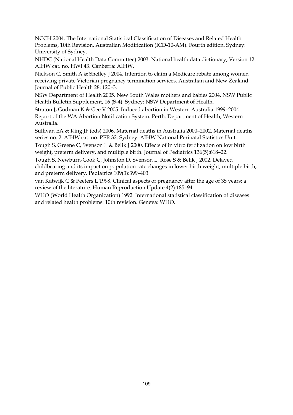NCCH 2004. The International Statistical Classification of Diseases and Related Health Problems, 10th Revision, Australian Modification (ICD-10-AM). Fourth edition. Sydney: University of Sydney.

NHDC (National Health Data Committee) 2003. National health data dictionary, Version 12. AIHW cat. no. HWI 43. Canberra: AIHW.

Nickson C, Smith A & Shelley J 2004. Intention to claim a Medicare rebate among women receiving private Victorian pregnancy termination services. Australian and New Zealand Journal of Public Health 28: 120–3.

NSW Department of Health 2005. New South Wales mothers and babies 2004. NSW Public Health Bulletin Supplement, 16 (S-4). Sydney: NSW Department of Health.

Straton J, Godman K & Gee V 2005. Induced abortion in Western Australia 1999–2004. Report of the WA Abortion Notification System. Perth: Department of Health, Western Australia.

Sullivan EA & King JF (eds) 2006. Maternal deaths in Australia 2000–2002. Maternal deaths series no. 2. AIHW cat. no. PER 32. Sydney: AIHW National Perinatal Statistics Unit.

Tough S, Greene C, Svenson L & Belik J 2000. Effects of in vitro fertilization on low birth weight, preterm delivery, and multiple birth. Journal of Pediatrics 136(5):618–22.

Tough S, Newburn-Cook C, Johnston D, Svenson L, Rose S & Belik J 2002. Delayed childbearing and its impact on population rate changes in lower birth weight, multiple birth, and preterm delivery. Pediatrics 109(3):399–403.

van Katwijk C & Peeters L 1998. Clinical aspects of pregnancy after the age of 35 years: a review of the literature. Human Reproduction Update 4(2):185–94.

WHO (World Health Organization) 1992. International statistical classification of diseases and related health problems: 10th revision. Geneva: WHO.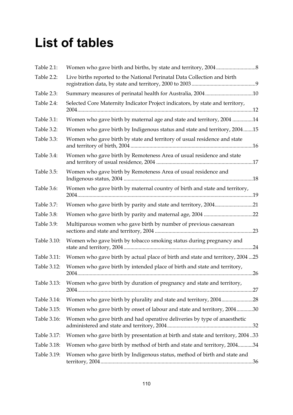# **List of tables**

| Table 2.1:  |                                                                                 |  |
|-------------|---------------------------------------------------------------------------------|--|
| Table 2.2:  | Live births reported to the National Perinatal Data Collection and birth        |  |
| Table 2.3:  |                                                                                 |  |
| Table 2.4:  | Selected Core Maternity Indicator Project indicators, by state and territory,   |  |
| Table 3.1:  | Women who gave birth by maternal age and state and territory, 2004 14           |  |
| Table 3.2:  | Women who gave birth by Indigenous status and state and territory, 200415       |  |
| Table 3.3:  | Women who gave birth by state and territory of usual residence and state        |  |
| Table 3.4:  | Women who gave birth by Remoteness Area of usual residence and state            |  |
| Table 3.5:  | Women who gave birth by Remoteness Area of usual residence and                  |  |
| Table 3.6:  | Women who gave birth by maternal country of birth and state and territory,      |  |
| Table 3.7:  | Women who gave birth by parity and state and territory, 200421                  |  |
| Table 3.8:  |                                                                                 |  |
| Table 3.9:  | Multiparous women who gave birth by number of previous caesarean                |  |
| Table 3.10: | Women who gave birth by tobacco smoking status during pregnancy and             |  |
| Table 3.11: | Women who gave birth by actual place of birth and state and territory, 2004  25 |  |
| Table 3.12: | Women who gave birth by intended place of birth and state and territory,        |  |
| Table 3.13: | Women who gave birth by duration of pregnancy and state and territory,          |  |
| Table 3.14: | Women who gave birth by plurality and state and territory, 200428               |  |
| Table 3.15: | Women who gave birth by onset of labour and state and territory, 200430         |  |
| Table 3.16: | Women who gave birth and had operative deliveries by type of anaesthetic        |  |
| Table 3.17: | Women who gave birth by presentation at birth and state and territory, 200433   |  |
| Table 3.18: | Women who gave birth by method of birth and state and territory, 200434         |  |
| Table 3.19: | Women who gave birth by Indigenous status, method of birth and state and        |  |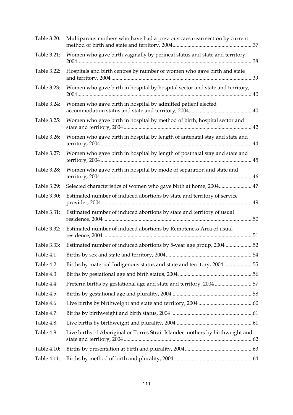| Table 3.20: | Multiparous mothers who have had a previous caesarean section by current       |     |
|-------------|--------------------------------------------------------------------------------|-----|
| Table 3.21: | Women who gave birth vaginally by perineal status and state and territory,     |     |
| Table 3.22: | Hospitals and birth centres by number of women who gave birth and state        |     |
| Table 3.23: | Women who gave birth in hospital by hospital sector and state and territory,   |     |
| Table 3.24: | Women who gave birth in hospital by admitted patient elected                   |     |
| Table 3.25: | Women who gave birth in hospital by method of birth, hospital sector and       |     |
| Table 3.26: | Women who gave birth in hospital by length of antenatal stay and state and     |     |
| Table 3.27: | Women who gave birth in hospital by length of postnatal stay and state and     |     |
| Table 3.28: | Women who gave birth in hospital by mode of separation and state and           |     |
| Table 3.29: | Selected characteristics of women who gave birth at home, 200447               |     |
| Table 3.30: | Estimated number of induced abortions by state and territory of service        |     |
| Table 3.31: | Estimated number of induced abortions by state and territory of usual          | .50 |
| Table 3.32: | Estimated number of induced abortions by Remoteness Area of usual              |     |
| Table 3.33: | Estimated number of induced abortions by 5-year age group, 2004 52             |     |
| Table 4.1:  |                                                                                |     |
| Table 4.2:  | Births by maternal Indigenous status and state and territory, 2004 55          |     |
| Table 4.3:  |                                                                                |     |
| Table 4.4:  | Preterm births by gestational age and state and territory, 200457              |     |
| Table 4.5:  |                                                                                |     |
| Table 4.6:  |                                                                                |     |
| Table 4.7:  |                                                                                |     |
| Table 4.8:  |                                                                                |     |
| Table 4.9:  | Live births of Aboriginal or Torres Strait Islander mothers by birthweight and |     |
| Table 4.10: |                                                                                |     |
| Table 4.11: |                                                                                |     |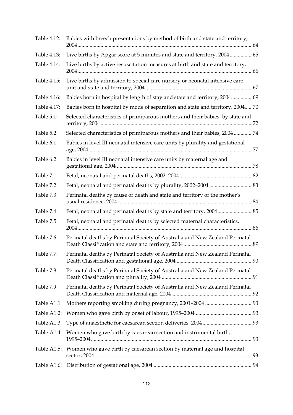| Table 4.12: | Babies with breech presentations by method of birth and state and territory,       |
|-------------|------------------------------------------------------------------------------------|
| Table 4.13: | Live births by Apgar score at 5 minutes and state and territory, 200465            |
| Table 4.14: | Live births by active resuscitation measures at birth and state and territory,     |
| Table 4.15: | Live births by admission to special care nursery or neonatal intensive care        |
| Table 4.16: | Babies born in hospital by length of stay and state and territory, 200469          |
| Table 4.17: | Babies born in hospital by mode of separation and state and territory, 200470      |
| Table 5.1:  | Selected characteristics of primiparous mothers and their babies, by state and     |
| Table 5.2:  | Selected characteristics of primiparous mothers and their babies, 2004 74          |
| Table 6.1:  | Babies in level III neonatal intensive care units by plurality and gestational     |
| Table 6.2:  | Babies in level III neonatal intensive care units by maternal age and              |
| Table 7.1:  |                                                                                    |
| Table 7.2:  |                                                                                    |
| Table 7.3:  | Perinatal deaths by cause of death and state and territory of the mother's         |
| Table 7.4:  |                                                                                    |
| Table 7.5:  | Fetal, neonatal and perinatal deaths by selected maternal characteristics,         |
| Table 7.6:  | Perinatal deaths by Perinatal Society of Australia and New Zealand Perinatal       |
| Table 7.7:  | Perinatal deaths by Perinatal Society of Australia and New Zealand Perinatal       |
| Table 7.8:  | Perinatal deaths by Perinatal Society of Australia and New Zealand Perinatal       |
| Table 7.9:  | Perinatal deaths by Perinatal Society of Australia and New Zealand Perinatal       |
| Table A1.1: |                                                                                    |
| Table A1.2: |                                                                                    |
|             |                                                                                    |
|             | Table A1.4: Women who gave birth by caesarean section and instrumental birth,      |
|             | Table A1.5: Women who gave birth by caesarean section by maternal age and hospital |
|             |                                                                                    |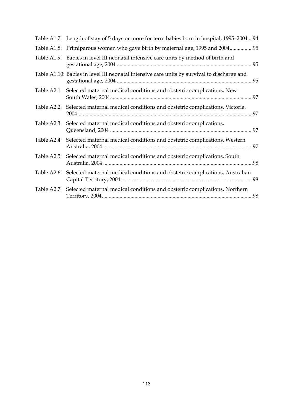|             | Table A1.7: Length of stay of 5 days or more for term babies born in hospital, 1995–2004  94 |  |
|-------------|----------------------------------------------------------------------------------------------|--|
|             | Table A1.8: Primiparous women who gave birth by maternal age, 1995 and 200495                |  |
|             | Table A1.9: Babies in level III neonatal intensive care units by method of birth and         |  |
|             | Table A1.10: Babies in level III neonatal intensive care units by survival to discharge and  |  |
|             | Table A2.1: Selected maternal medical conditions and obstetric complications, New            |  |
|             | Table A2.2: Selected maternal medical conditions and obstetric complications, Victoria,      |  |
|             | Table A2.3: Selected maternal medical conditions and obstetric complications,                |  |
|             | Table A2.4: Selected maternal medical conditions and obstetric complications, Western        |  |
|             | Table A2.5: Selected maternal medical conditions and obstetric complications, South          |  |
| Table A2.6: | Selected maternal medical conditions and obstetric complications, Australian                 |  |
|             | Table A2.7: Selected maternal medical conditions and obstetric complications, Northern       |  |